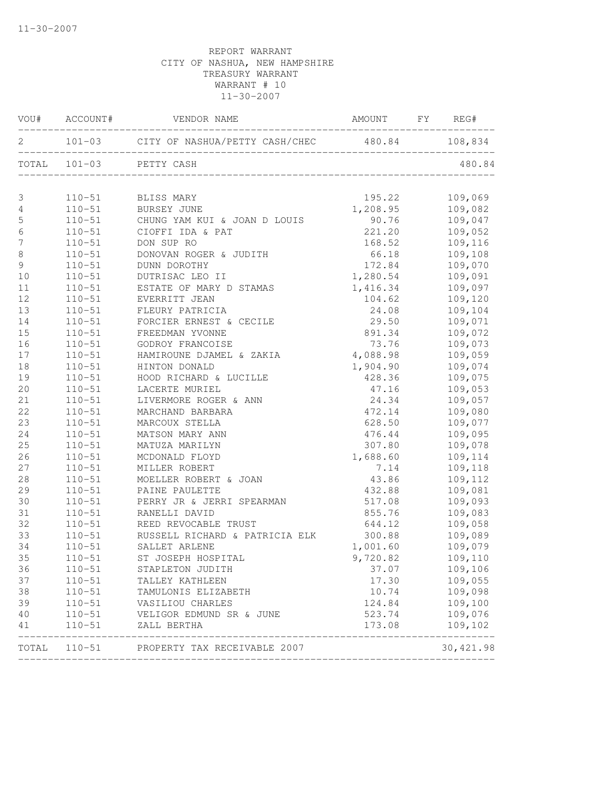|                  |            | VOU# ACCOUNT# VENDOR NAME AMOUNT FY REG#  |                              |           |
|------------------|------------|-------------------------------------------|------------------------------|-----------|
|                  |            |                                           |                              |           |
|                  |            | TOTAL 101-03 PETTY CASH                   |                              | 480.84    |
| $\mathfrak{Z}$   |            | 110-51 BLISS MARY                         | 195.22                       | 109,069   |
| 4                |            | 110-51 BURSEY JUNE                        | 1,208.95                     | 109,082   |
| 5                |            | 110-51 CHUNG YAM KUI & JOAN D LOUIS 90.76 |                              | 109,047   |
| $\sqrt{6}$       | $110 - 51$ | CIOFFI IDA & PAT                          | 221.20                       | 109,052   |
| $\boldsymbol{7}$ | $110 - 51$ | DON SUP RO                                | 168.52                       | 109,116   |
| $\,8\,$          | $110 - 51$ | DONOVAN ROGER & JUDITH                    | 66.18                        | 109,108   |
| $\mathsf 9$      | $110 - 51$ | DUNN DOROTHY                              | 172.84                       | 109,070   |
| 10               | $110 - 51$ | DUTRISAC LEO II                           | 1,280.54                     | 109,091   |
| 11               | $110 - 51$ | ESTATE OF MARY D STAMAS                   | 1,416.34                     | 109,097   |
| 12               | $110 - 51$ | EVERRITT JEAN                             | 104.62                       | 109,120   |
| 13               | $110 - 51$ | FLEURY PATRICIA                           | 24.08                        | 109,104   |
| 14               | $110 - 51$ | FORCIER ERNEST & CECILE                   | 29.50                        | 109,071   |
| 15               | $110 - 51$ | FREEDMAN YVONNE                           | 891.34                       | 109,072   |
| 16               | $110 - 51$ | GODROY FRANCOISE                          | 73.76                        | 109,073   |
| 17               | $110 - 51$ | HAMIROUNE DJAMEL & ZAKIA                  | 4,088.98                     | 109,059   |
| 18               | $110 - 51$ | HINTON DONALD                             | 1,904.90                     | 109,074   |
| 19               | $110 - 51$ | HOOD RICHARD & LUCILLE                    | 428.36                       | 109,075   |
| 20               | $110 - 51$ | LACERTE MURIEL                            | 47.16                        | 109,053   |
| 21               | $110 - 51$ | LIVERMORE ROGER & ANN                     | 24.34                        | 109,057   |
| 22               | $110 - 51$ | MARCHAND BARBARA                          | 472.14                       | 109,080   |
| 23               | $110 - 51$ | MARCOUX STELLA                            | 628.50                       | 109,077   |
| 24               | $110 - 51$ | MATSON MARY ANN                           | 476.44                       | 109,095   |
| 25               | $110 - 51$ | MATUZA MARILYN                            | 307.80                       | 109,078   |
| 26               | $110 - 51$ | MCDONALD FLOYD                            | 1,688.60                     | 109,114   |
| 27               | $110 - 51$ | MILLER ROBERT                             | 7.14                         | 109,118   |
| 28               | $110 - 51$ | MOELLER ROBERT & JOAN                     | 43.86                        | 109,112   |
| 29               | $110 - 51$ | PAINE PAULETTE                            | 432.88                       | 109,081   |
| 30               | $110 - 51$ | PERRY JR & JERRI SPEARMAN                 | 517.08                       | 109,093   |
| 31               | $110 - 51$ | RANELLI DAVID                             | 855.76                       | 109,083   |
| 32               | $110 - 51$ | REED REVOCABLE TRUST                      | 644.12                       | 109,058   |
| 33               | $110 - 51$ | RUSSELL RICHARD & PATRICIA ELK            | 300.88                       | 109,089   |
| 34               | $110 - 51$ | SALLET ARLENE                             | 1,001.60                     | 109,079   |
| 35               | $110 - 51$ | ST JOSEPH HOSPITAL                        | 9,720.82                     | 109,110   |
| 36               | $110 - 51$ | STAPLETON JUDITH                          | 37.07                        | 109,106   |
| 37               | $110 - 51$ | TALLEY KATHLEEN                           | 17.30                        | 109,055   |
| 38               | $110 - 51$ | TAMULONIS ELIZABETH                       | 10.74                        | 109,098   |
| 39               | $110 - 51$ | VASILIOU CHARLES                          | 124.84                       | 109,100   |
| 40               | $110 - 51$ | VELIGOR EDMUND SR & JUNE                  | 523.74                       | 109,076   |
| 41               | $110 - 51$ | ZALL BERTHA                               | 173.08                       | 109,102   |
|                  |            | TOTAL 110-51 PROPERTY TAX RECEIVABLE 2007 | ____________________________ | 30,421.98 |
|                  |            |                                           |                              |           |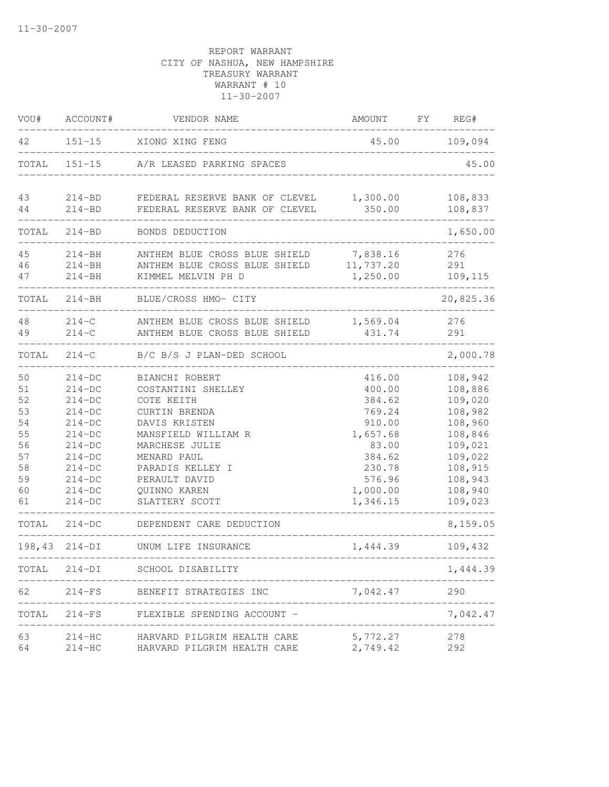| VOU#  | ACCOUNT#   | VENDOR NAME                             | AMOUNT   | FY | REG#      |
|-------|------------|-----------------------------------------|----------|----|-----------|
| 42    |            | 151-15 XIONG XING FENG                  | 45.00    |    | 109,094   |
|       |            | TOTAL 151-15 A/R LEASED PARKING SPACES  |          |    | 45.00     |
| 43    | $214 - BD$ | FEDERAL RESERVE BANK OF CLEVEL 1,300.00 |          |    | 108,833   |
| 44    | $214 - BD$ | FEDERAL RESERVE BANK OF CLEVEL          | 350.00   |    | 108,837   |
| TOTAL | $214 - BD$ | BONDS DEDUCTION                         |          |    | 1,650.00  |
| 45    | $214 - BH$ | ANTHEM BLUE CROSS BLUE SHIELD           | 7,838.16 |    | 276       |
| 46    | $214 - BH$ | ANTHEM BLUE CROSS BLUE SHIELD 11,737.20 |          |    | 291       |
| 47    | $214 - BH$ | KIMMEL MELVIN PH D                      | 1,250.00 |    | 109,115   |
|       |            | TOTAL 214-BH BLUE/CROSS HMO- CITY       |          |    | 20,825.36 |
| 48    | $214-C$    | ANTHEM BLUE CROSS BLUE SHIELD           | 1,569.04 |    | 276       |
| 49    | $214-C$    | ANTHEM BLUE CROSS BLUE SHIELD           | 431.74   |    | 291       |
| TOTAL |            | 214-C B/C B/S J PLAN-DED SCHOOL         |          |    | 2,000.78  |
| 50    | $214-DC$   | BIANCHI ROBERT                          | 416.00   |    | 108,942   |
| 51    | $214-DC$   | COSTANTINI SHELLEY                      | 400.00   |    | 108,886   |
| 52    | $214-DC$   | COTE KEITH                              | 384.62   |    | 109,020   |
| 53    | $214-DC$   | CURTIN BRENDA                           | 769.24   |    | 108,982   |
| 54    | $214-DC$   | DAVIS KRISTEN                           | 910.00   |    | 108,960   |
| 55    | $214-DC$   | MANSFIELD WILLIAM R                     | 1,657.68 |    | 108,846   |
| 56    | $214-DC$   | MARCHESE JULIE                          | 83.00    |    | 109,021   |
| 57    | $214-DC$   | MENARD PAUL                             | 384.62   |    | 109,022   |
| 58    | $214-DC$   | PARADIS KELLEY I                        | 230.78   |    | 108,915   |
| 59    | $214-DC$   | PERAULT DAVID                           | 576.96   |    | 108,943   |
| 60    | $214-DC$   | QUINNO KAREN                            | 1,000.00 |    | 108,940   |
| 61    | $214-DC$   | SLATTERY SCOTT                          | 1,346.15 |    | 109,023   |
|       |            | TOTAL 214-DC DEPENDENT CARE DEDUCTION   |          |    | 8,159.05  |
|       |            | 198,43 214-DI UNUM LIFE INSURANCE       | 1,444.39 |    | 109,432   |
| TOTAL | $214-DI$   | SCHOOL DISABILITY                       |          |    | 1,444.39  |
| 62    |            | 214-FS BENEFIT STRATEGIES INC           | 7,042.47 |    | 290       |
| TOTAL | $214-FS$   | FLEXIBLE SPENDING ACCOUNT -             |          |    | 7,042.47  |
| 63    | $214 - HC$ | HARVARD PILGRIM HEALTH CARE             | 5,772.27 |    | 278       |
| 64    | $214 - HC$ | HARVARD PILGRIM HEALTH CARE             | 2,749.42 |    | 292       |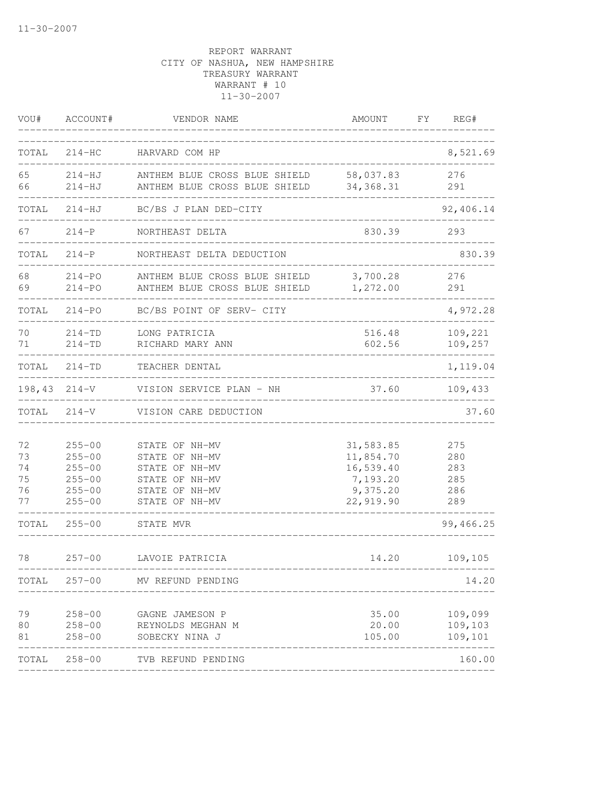| VOU#                             | ACCOUNT#                                                                         | VENDOR NAME                                                                                              | AMOUNT                                                                   | FY REG#                                |
|----------------------------------|----------------------------------------------------------------------------------|----------------------------------------------------------------------------------------------------------|--------------------------------------------------------------------------|----------------------------------------|
| TOTAL                            |                                                                                  | 214-HC HARVARD COM HP                                                                                    |                                                                          | 8,521.69                               |
| 65<br>66                         | $214 - HJ$<br>$214 - HJ$                                                         | ANTHEM BLUE CROSS BLUE SHIELD<br>ANTHEM BLUE CROSS BLUE SHIELD 34,368.31                                 | 58,037.83                                                                | 276<br>291                             |
| TOTAL                            | 214-HJ                                                                           | BC/BS J PLAN DED-CITY                                                                                    |                                                                          | 92,406.14                              |
| 67                               | $214-P$                                                                          | NORTHEAST DELTA                                                                                          | 830.39                                                                   | 293                                    |
| TOTAL                            | $214-P$                                                                          | NORTHEAST DELTA DEDUCTION                                                                                |                                                                          | 830.39                                 |
| 68<br>69                         | $214 - PO$<br>$214 - PO$                                                         | ANTHEM BLUE CROSS BLUE SHIELD<br>ANTHEM BLUE CROSS BLUE SHIELD                                           | 3,700.28<br>1,272.00                                                     | 276<br>291                             |
| TOTAL                            | 214-PO                                                                           | BC/BS POINT OF SERV- CITY                                                                                |                                                                          | 4,972.28                               |
| 70<br>71                         | $214 - TD$<br>$214 - TD$                                                         | LONG PATRICIA<br>RICHARD MARY ANN                                                                        | 516.48<br>602.56                                                         | 109,221<br>109,257                     |
| TOTAL                            | $214 - TD$                                                                       | TEACHER DENTAL                                                                                           |                                                                          | 1,119.04                               |
| 198,43                           |                                                                                  | 214-V VISION SERVICE PLAN - NH                                                                           | 37.60                                                                    | 109,433                                |
| TOTAL                            | $214-V$                                                                          | VISION CARE DEDUCTION                                                                                    |                                                                          | 37.60                                  |
| 72<br>73<br>74<br>75<br>76<br>77 | $255 - 00$<br>$255 - 00$<br>$255 - 00$<br>$255 - 00$<br>$255 - 00$<br>$255 - 00$ | STATE OF NH-MV<br>STATE OF NH-MV<br>STATE OF NH-MV<br>STATE OF NH-MV<br>STATE OF NH-MV<br>STATE OF NH-MV | 31,583.85<br>11,854.70<br>16,539.40<br>7,193.20<br>9,375.20<br>22,919.90 | 275<br>280<br>283<br>285<br>286<br>289 |
| TOTAL                            | $255 - 00$                                                                       | STATE MVR                                                                                                |                                                                          | 99,466.25                              |
| 78                               | $257 - 00$                                                                       | LAVOIE PATRICIA                                                                                          | 14.20                                                                    | 109,105                                |
|                                  |                                                                                  | TOTAL 257-00 MV REFUND PENDING                                                                           |                                                                          | 14.20                                  |
| 79<br>80<br>81                   | $258 - 00$<br>$258 - 00$<br>$258 - 00$                                           | GAGNE JAMESON P<br>REYNOLDS MEGHAN M<br>SOBECKY NINA J                                                   | 35.00<br>20.00<br>105.00                                                 | 109,099<br>109,103<br>109,101          |
|                                  | TOTAL 258-00                                                                     | TVB REFUND PENDING                                                                                       |                                                                          | 160.00                                 |
|                                  |                                                                                  |                                                                                                          |                                                                          |                                        |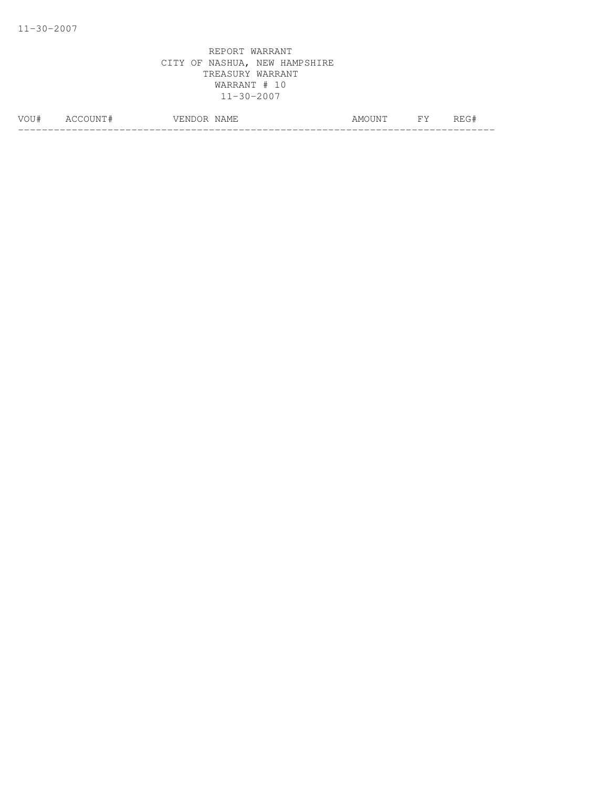| - 14 | ∸ | . MF<br>$\sim$<br>------<br>---<br>. | A MOT<br>TN. | ∽<br>∟∪∟∪ |
|------|---|--------------------------------------|--------------|-----------|
|      |   |                                      |              |           |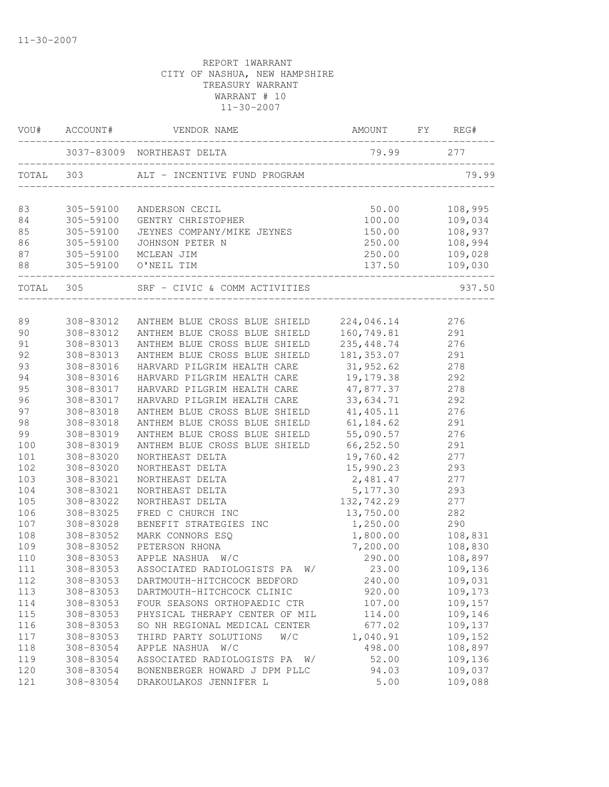|           | VOU# ACCOUNT#                                       | VENDOR NAME                                  | AMOUNT FY REG#   |         |
|-----------|-----------------------------------------------------|----------------------------------------------|------------------|---------|
|           |                                                     | 3037-83009 NORTHEAST DELTA                   | 79.99 277        |         |
|           |                                                     |                                              |                  | 79.99   |
| 83        | 305-59100                                           | ANDERSON CECIL                               | 50.00            | 108,995 |
| 84        | 305-59100                                           | GENTRY CHRISTOPHER                           |                  | 109,034 |
| 85        | 305-59100                                           | JEYNES COMPANY/MIKE JEYNES                   | 100.00<br>150.00 | 108,937 |
| 86        | 305-59100                                           | JOHNSON PETER N                              | 250.00           | 108,994 |
| 87        | 305-59100 MCLEAN JIM                                |                                              | 250.00           | 109,028 |
| 88        | 305-59100 O'NEIL TIM<br>--------------------------- |                                              | 137.50           | 109,030 |
| TOTAL 305 |                                                     | SRF - CIVIC & COMM ACTIVITIES                |                  | 937.50  |
|           |                                                     |                                              |                  |         |
| 89        | 308-83012                                           | ANTHEM BLUE CROSS BLUE SHIELD 224,046.14 276 | 160, 749.81      |         |
| 90        | 308-83012                                           | ANTHEM BLUE CROSS BLUE SHIELD                |                  | 291     |
| 91        | 308-83013                                           | ANTHEM BLUE CROSS BLUE SHIELD                | 235, 448.74      | 276     |
| 92        | 308-83013                                           | ANTHEM BLUE CROSS BLUE SHIELD                | 181, 353.07 291  |         |
| 93        | 308-83016                                           | HARVARD PILGRIM HEALTH CARE                  | 31,952.62        | 278     |
| 94        | 308-83016                                           | HARVARD PILGRIM HEALTH CARE 19,179.38        |                  | 292     |
| 95        | 308-83017                                           | HARVARD PILGRIM HEALTH CARE 47,877.37        |                  | 278     |
| 96        | 308-83017                                           | HARVARD PILGRIM HEALTH CARE                  | 33,634.71        | 292     |
| 97        | 308-83018                                           | ANTHEM BLUE CROSS BLUE SHIELD                | 41,405.11        | 276     |
| 98        | 308-83018                                           | ANTHEM BLUE CROSS BLUE SHIELD                | 61, 184.62       | 291     |
| 99        | 308-83019                                           | ANTHEM BLUE CROSS BLUE SHIELD                | 55,090.57        | 276     |
| 100       | 308-83019                                           | ANTHEM BLUE CROSS BLUE SHIELD                | 66, 252.50       | 291     |
| 101       | 308-83020                                           | NORTHEAST DELTA                              | 19,760.42        | 277     |
| 102       | 308-83020                                           | NORTHEAST DELTA                              | 15,990.23        | 293     |
| 103       | 308-83021                                           | NORTHEAST DELTA                              | 2,481.47         | 277     |
| 104       | 308-83021                                           | NORTHEAST DELTA                              | 5, 177.30        | 293     |
| 105       | 308-83022                                           | NORTHEAST DELTA                              | 132,742.29       | 277     |
| 106       | 308-83025                                           | FRED C CHURCH INC                            | 13,750.00        | 282     |
| 107       | 308-83028                                           | BENEFIT STRATEGIES INC                       | 1,250.00         | 290     |
| 108       | 308-83052                                           | MARK CONNORS ESQ                             | 1,800.00         | 108,831 |
| 109       | 308-83052                                           | PETERSON RHONA                               | 7,200.00         | 108,830 |
| 110       | 308-83053                                           | APPLE NASHUA W/C                             | 290.00           | 108,897 |
| 111       |                                                     | 308-83053 ASSOCIATED RADIOLOGISTS PA W/      | 23.00            | 109,136 |
| 112       | 308-83053                                           | DARTMOUTH-HITCHCOCK BEDFORD                  | 240.00           | 109,031 |
| 113       | 308-83053                                           | DARTMOUTH-HITCHCOCK CLINIC                   | 920.00           | 109,173 |
| 114       | 308-83053                                           | FOUR SEASONS ORTHOPAEDIC CTR                 | 107.00           | 109,157 |
| 115       | 308-83053                                           | PHYSICAL THERAPY CENTER OF MIL               | 114.00           | 109,146 |
| 116       | 308-83053                                           | SO NH REGIONAL MEDICAL CENTER                | 677.02           | 109,137 |
| 117       | 308-83053                                           | THIRD PARTY SOLUTIONS<br>W/C                 | 1,040.91         | 109,152 |
| 118       | 308-83054                                           | APPLE NASHUA W/C                             | 498.00           | 108,897 |
| 119       | 308-83054                                           | ASSOCIATED RADIOLOGISTS PA W/                | 52.00            | 109,136 |
| 120       | 308-83054                                           | BONENBERGER HOWARD J DPM PLLC                | 94.03            | 109,037 |
| 121       | 308-83054                                           | DRAKOULAKOS JENNIFER L                       | 5.00             | 109,088 |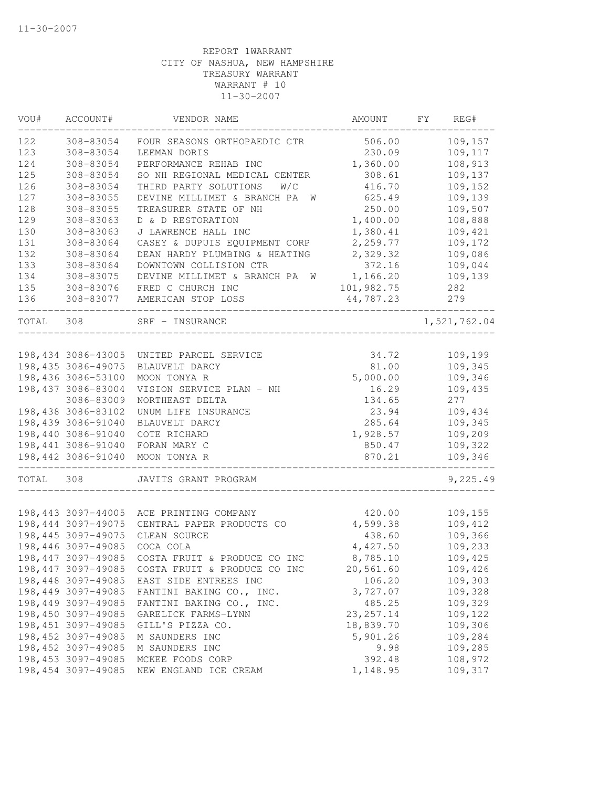| VOU#  | ACCOUNT#           | VENDOR NAME                      | AMOUNT     | FΥ | REG#         |
|-------|--------------------|----------------------------------|------------|----|--------------|
| 122   | 308-83054          | FOUR SEASONS ORTHOPAEDIC CTR     | 506.00     |    | 109,157      |
| 123   | 308-83054          | LEEMAN DORIS                     | 230.09     |    | 109,117      |
| 124   | 308-83054          | PERFORMANCE REHAB INC            | 1,360.00   |    | 108,913      |
| 125   | 308-83054          | SO NH REGIONAL MEDICAL CENTER    | 308.61     |    | 109,137      |
| 126   | 308-83054          | THIRD PARTY SOLUTIONS<br>W/C     | 416.70     |    | 109,152      |
| 127   | 308-83055          | DEVINE MILLIMET & BRANCH PA<br>W | 625.49     |    | 109,139      |
| 128   | 308-83055          | TREASURER STATE OF NH            | 250.00     |    | 109,507      |
| 129   | 308-83063          | D & D RESTORATION                | 1,400.00   |    | 108,888      |
| 130   | 308-83063          | J LAWRENCE HALL INC              | 1,380.41   |    | 109,421      |
| 131   | 308-83064          | CASEY & DUPUIS EQUIPMENT CORP    | 2,259.77   |    | 109,172      |
| 132   | 308-83064          | DEAN HARDY PLUMBING & HEATING    | 2,329.32   |    | 109,086      |
| 133   | 308-83064          | DOWNTOWN COLLISION CTR           | 372.16     |    | 109,044      |
| 134   | 308-83075          | DEVINE MILLIMET & BRANCH PA W    | 1,166.20   |    | 109,139      |
| 135   | 308-83076          | FRED C CHURCH INC                | 101,982.75 |    | 282          |
| 136   | 308-83077          | AMERICAN STOP LOSS               | 44,787.23  |    | 279          |
| TOTAL | 308                | SRF - INSURANCE                  |            |    | 1,521,762.04 |
|       |                    |                                  |            |    |              |
|       | 198,434 3086-43005 | UNITED PARCEL SERVICE            | 34.72      |    | 109,199      |
|       | 198,435 3086-49075 | BLAUVELT DARCY                   | 81.00      |    | 109,345      |
|       | 198,436 3086-53100 | MOON TONYA R                     | 5,000.00   |    | 109,346      |
|       | 198,437 3086-83004 | VISION SERVICE PLAN - NH         | 16.29      |    | 109,435      |
|       | 3086-83009         | NORTHEAST DELTA                  | 134.65     |    | 277          |
|       | 198,438 3086-83102 | UNUM LIFE INSURANCE              | 23.94      |    | 109,434      |
|       | 198,439 3086-91040 | BLAUVELT DARCY                   | 285.64     |    | 109,345      |
|       | 198,440 3086-91040 | COTE RICHARD                     | 1,928.57   |    | 109,209      |
|       | 198,441 3086-91040 | FORAN MARY C                     | 850.47     |    | 109,322      |
|       | 198,442 3086-91040 | MOON TONYA R                     | 870.21     |    | 109,346      |
| TOTAL | 308                | JAVITS GRANT PROGRAM             |            |    | 9,225.49     |
|       |                    |                                  |            |    |              |
|       | 198,443 3097-44005 | ACE PRINTING COMPANY             | 420.00     |    | 109,155      |
|       | 198,444 3097-49075 | CENTRAL PAPER PRODUCTS CO        | 4,599.38   |    | 109,412      |
|       | 198,445 3097-49075 | CLEAN SOURCE                     | 438.60     |    | 109,366      |
|       | 198,446 3097-49085 | COCA COLA                        | 4,427.50   |    | 109,233      |
|       | 198,447 3097-49085 | COSTA FRUIT & PRODUCE CO INC     | 8,785.10   |    | 109,425      |
|       | 198,447 3097-49085 | COSTA FRUIT & PRODUCE CO INC     | 20,561.60  |    | 109,426      |
|       | 198,448 3097-49085 | EAST SIDE ENTREES INC            | 106.20     |    | 109,303      |
|       | 198,449 3097-49085 | FANTINI BAKING CO., INC.         | 3,727.07   |    | 109,328      |
|       | 198,449 3097-49085 | FANTINI BAKING CO., INC.         | 485.25     |    | 109,329      |
|       | 198,450 3097-49085 | GARELICK FARMS-LYNN              | 23, 257.14 |    | 109,122      |
|       | 198,451 3097-49085 | GILL'S PIZZA CO.                 | 18,839.70  |    | 109,306      |
|       | 198,452 3097-49085 | M SAUNDERS INC                   | 5,901.26   |    | 109,284      |
|       | 198,452 3097-49085 | M SAUNDERS INC                   | 9.98       |    | 109,285      |
|       | 198,453 3097-49085 | MCKEE FOODS CORP                 | 392.48     |    | 108,972      |
|       | 198,454 3097-49085 | NEW ENGLAND ICE CREAM            | 1,148.95   |    | 109,317      |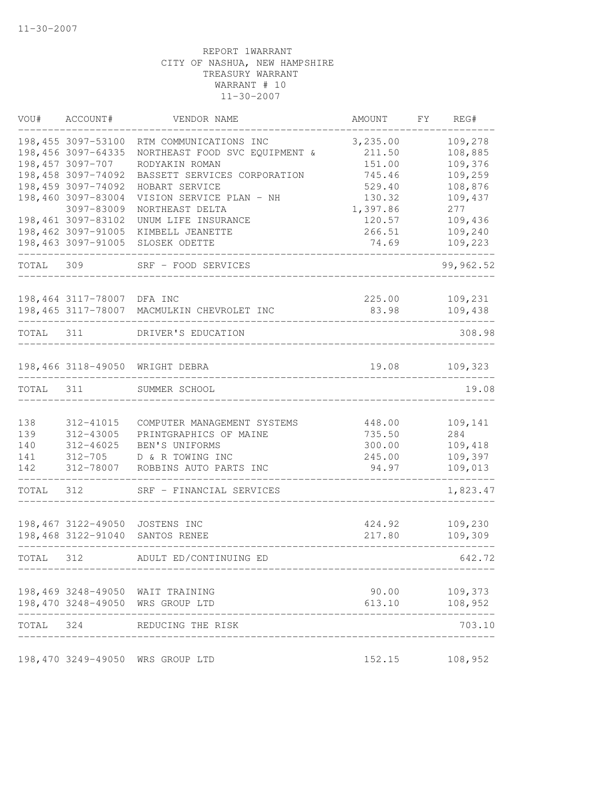|           | VOU# ACCOUNT#                                                | VENDOR NAME                                                                | AMOUNT                       | FY | REG#                          |
|-----------|--------------------------------------------------------------|----------------------------------------------------------------------------|------------------------------|----|-------------------------------|
|           | 198,455 3097-53100<br>198,456 3097-64335<br>198,457 3097-707 | RTM COMMUNICATIONS INC<br>NORTHEAST FOOD SVC EQUIPMENT &<br>RODYAKIN ROMAN | 3,235.00<br>211.50<br>151.00 |    | 109,278<br>108,885<br>109,376 |
|           | 198,458 3097-74092                                           | BASSETT SERVICES CORPORATION                                               | 745.46                       |    | 109,259                       |
|           | 198,459 3097-74092                                           | HOBART SERVICE                                                             | 529.40                       |    | 108,876                       |
|           | 198,460 3097-83004                                           | VISION SERVICE PLAN - NH                                                   | 130.32                       |    | 109,437                       |
|           | 3097-83009                                                   | NORTHEAST DELTA                                                            | 1,397.86                     |    | 277                           |
|           | 198,461 3097-83102                                           | UNUM LIFE INSURANCE                                                        | 120.57                       |    | 109,436                       |
|           | 198,462 3097-91005<br>198,463 3097-91005                     | KIMBELL JEANETTE                                                           | 266.51                       |    | 109,240                       |
|           |                                                              | SLOSEK ODETTE                                                              | 74.69                        |    | 109,223                       |
| TOTAL     | 309                                                          | SRF - FOOD SERVICES                                                        |                              |    | 99,962.52                     |
|           | 198,464 3117-78007 DFA INC                                   |                                                                            | 225.00                       |    | 109,231                       |
|           |                                                              | 198,465 3117-78007 MACMULKIN CHEVROLET INC                                 | 83.98                        |    | 109,438                       |
| TOTAL 311 |                                                              | DRIVER'S EDUCATION                                                         |                              |    | 308.98                        |
|           |                                                              | 198,466 3118-49050 WRIGHT DEBRA                                            | 19.08                        |    | 109,323                       |
| TOTAL     | 311                                                          | SUMMER SCHOOL                                                              |                              |    | 19.08                         |
|           |                                                              |                                                                            |                              |    |                               |
| 138       | 312-41015                                                    | COMPUTER MANAGEMENT SYSTEMS                                                | 448.00                       |    | 109,141                       |
| 139       | 312-43005                                                    | PRINTGRAPHICS OF MAINE                                                     | 735.50                       |    | 284                           |
| 140       | 312-46025                                                    | BEN'S UNIFORMS                                                             | 300.00                       |    | 109,418                       |
| 141       | $312 - 705$                                                  | D & R TOWING INC                                                           | 245.00                       |    | 109,397                       |
| 142       | 312-78007                                                    | ROBBINS AUTO PARTS INC                                                     | 94.97                        |    | 109,013                       |
| TOTAL     | 312                                                          | SRF - FINANCIAL SERVICES                                                   |                              |    | 1,823.47                      |
|           | 198,467 3122-49050                                           | JOSTENS INC                                                                | 424.92                       |    | 109,230                       |
|           | 198,468 3122-91040                                           | SANTOS RENEE                                                               | 217.80                       |    | 109,309                       |
| TOTAL 312 |                                                              | ADULT ED/CONTINUING ED                                                     |                              |    | 642.72                        |
|           |                                                              | 198,469 3248-49050 WAIT TRAINING                                           | 90.00                        |    | 109,373                       |
|           |                                                              | 198,470 3248-49050 WRS GROUP LTD                                           | 613.10                       |    | 108,952                       |
| TOTAL 324 |                                                              | REDUCING THE RISK                                                          |                              |    | 703.10                        |
|           |                                                              | 198,470 3249-49050 WRS GROUP LTD                                           | 152.15                       |    | 108,952                       |
|           |                                                              |                                                                            |                              |    |                               |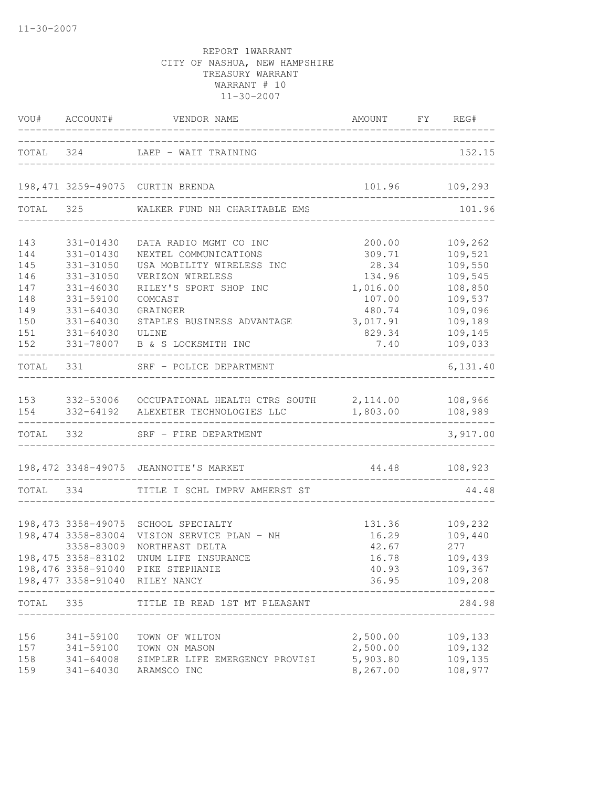|                                                             |                                                                                                                         | VOU# ACCOUNT# VENDOR NAME ANNOUNT FY REQUIRE                                                                                                                                                                           | AMOUNT FY REG#                                                                            |                                                                                                 |
|-------------------------------------------------------------|-------------------------------------------------------------------------------------------------------------------------|------------------------------------------------------------------------------------------------------------------------------------------------------------------------------------------------------------------------|-------------------------------------------------------------------------------------------|-------------------------------------------------------------------------------------------------|
|                                                             |                                                                                                                         | TOTAL 324 LAEP - WAIT TRAINING                                                                                                                                                                                         |                                                                                           | 152.15                                                                                          |
|                                                             |                                                                                                                         | 198,471 3259-49075 CURTIN BRENDA                                                                                                                                                                                       |                                                                                           | 101.96 109,293                                                                                  |
|                                                             |                                                                                                                         | TOTAL 325 WALKER FUND NH CHARITABLE EMS                                                                                                                                                                                |                                                                                           | 101.96                                                                                          |
| 143<br>144<br>145<br>146<br>147<br>148<br>149<br>150<br>151 | 331-01430<br>331-01430<br>331-31050<br>331-31050<br>331-46030<br>331-59100<br>331-64030<br>331-64030<br>331-64030 ULINE | DATA RADIO MGMT CO INC<br>NEXTEL COMMUNICATIONS<br>USA MOBILITY WIRELESS INC<br>VERIZON WIRELESS<br>RILEY'S SPORT SHOP INC<br>COMCAST<br>GRAINGER<br>STAPLES BUSINESS ADVANTAGE                                        | 200.00<br>309.71<br>28.34<br>134.96<br>1,016.00<br>107.00<br>480.74<br>3,017.91<br>829.34 | 109,262<br>109,521<br>109,550<br>109,545<br>108,850<br>109,537<br>109,096<br>109,189<br>109,145 |
| 152                                                         |                                                                                                                         | 331-78007 B & S LOCKSMITH INC                                                                                                                                                                                          | 7.40                                                                                      | 109,033<br>________                                                                             |
|                                                             |                                                                                                                         | TOTAL 331 SRF - POLICE DEPARTMENT                                                                                                                                                                                      | ----------------------------------                                                        | 6,131.40                                                                                        |
|                                                             |                                                                                                                         | 153 332-53006 OCCUPATIONAL HEALTH CTRS SOUTH 2, 114.00 108, 966<br>154 332-64192 ALEXETER TECHNOLOGIES LLC 1,803.00                                                                                                    |                                                                                           | 108,989                                                                                         |
|                                                             |                                                                                                                         | TOTAL 332 SRF - FIRE DEPARTMENT                                                                                                                                                                                        |                                                                                           | 3,917.00                                                                                        |
|                                                             |                                                                                                                         | 198, 472 3348-49075 JEANNOTTE'S MARKET                                                                                                                                                                                 | 44.48 108,923<br>-------------------------------                                          |                                                                                                 |
|                                                             |                                                                                                                         | TOTAL 334 TITLE I SCHL IMPRV AMHERST ST                                                                                                                                                                                |                                                                                           | 44.48                                                                                           |
|                                                             | 3358-83009                                                                                                              | 198,473 3358-49075 SCHOOL SPECIALTY<br>198,474 3358-83004 VISION SERVICE PLAN - NH<br>NORTHEAST DELTA<br>198,475 3358-83102 UNUM LIFE INSURANCE<br>198,476 3358-91040 PIKE STEPHANIE<br>198,477 3358-91040 RILEY NANCY | 42.67<br>40.93<br>36.95                                                                   | 131.36 109,232<br>16.29 109,440<br>277<br>16.78 109,439<br>109,367<br>109,208                   |
| TOTAL                                                       | 335                                                                                                                     | TITLE IB READ 1ST MT PLEASANT                                                                                                                                                                                          |                                                                                           | 284.98                                                                                          |
| 156<br>157<br>158<br>159                                    | 341-59100<br>341-59100<br>341-64008<br>341-64030                                                                        | TOWN OF WILTON<br>TOWN ON MASON<br>SIMPLER LIFE EMERGENCY PROVISI<br>ARAMSCO INC                                                                                                                                       | 2,500.00<br>2,500.00<br>5,903.80<br>8,267.00                                              | 109,133<br>109,132<br>109,135<br>108,977                                                        |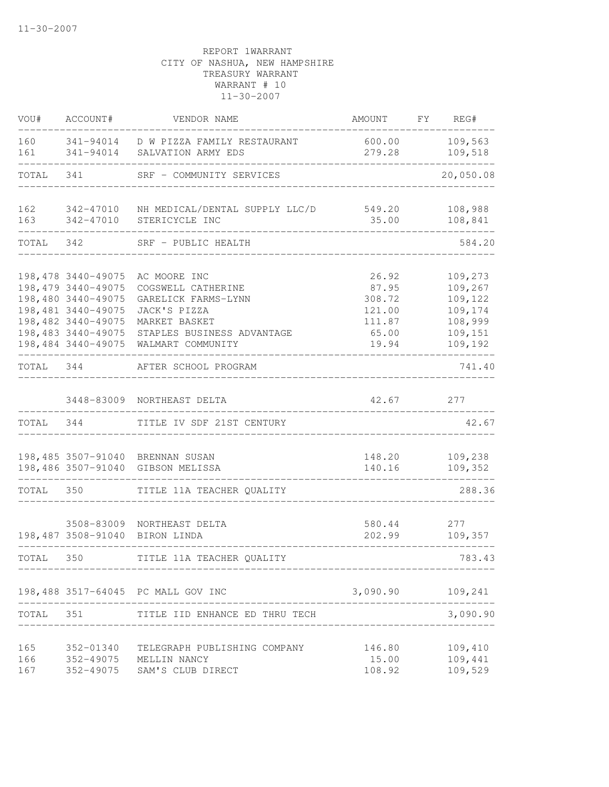| VOU#       | ACCOUNT#                                  | VENDOR NAME                                                           | AMOUNT           | FY | REG#               |
|------------|-------------------------------------------|-----------------------------------------------------------------------|------------------|----|--------------------|
| 160<br>161 | 341-94014<br>341-94014                    | D W PIZZA FAMILY RESTAURANT<br>SALVATION ARMY EDS                     | 600.00<br>279.28 |    | 109,563<br>109,518 |
| TOTAL      | 341                                       | SRF - COMMUNITY SERVICES                                              |                  |    | 20,050.08          |
| 162        | 342-47010                                 | NH MEDICAL/DENTAL SUPPLY LLC/D                                        | 549.20           |    | 108,988            |
| 163        | 342-47010                                 | STERICYCLE INC                                                        | 35.00            |    | 108,841            |
| TOTAL      | 342                                       | SRF - PUBLIC HEALTH                                                   |                  |    | 584.20             |
|            | 198,478 3440-49075                        | AC MOORE INC                                                          | 26.92            |    | 109,273            |
|            | 198, 479 3440-49075<br>198,480 3440-49075 | COGSWELL CATHERINE<br>GARELICK FARMS-LYNN                             | 87.95<br>308.72  |    | 109,267<br>109,122 |
|            | 198,481 3440-49075                        | JACK'S PIZZA                                                          | 121.00           |    | 109,174            |
|            | 198,482 3440-49075                        | MARKET BASKET                                                         | 111.87           |    | 108,999            |
|            | 198,483 3440-49075                        | STAPLES BUSINESS ADVANTAGE                                            | 65.00            |    | 109,151            |
|            | 198,484 3440-49075                        | WALMART COMMUNITY                                                     | 19.94            |    | 109,192            |
| TOTAL      | 344                                       | AFTER SCHOOL PROGRAM                                                  |                  |    | 741.40             |
|            |                                           | 3448-83009 NORTHEAST DELTA                                            | 42.67            |    | 277                |
| TOTAL 344  |                                           | TITLE IV SDF 21ST CENTURY                                             |                  |    | 42.67              |
|            |                                           | 198,485 3507-91040 BRENNAN SUSAN<br>198,486 3507-91040 GIBSON MELISSA | 148.20<br>140.16 |    | 109,238<br>109,352 |
| TOTAL      | 350                                       | TITLE 11A TEACHER QUALITY                                             |                  |    | 288.36             |
|            |                                           |                                                                       |                  |    |                    |
|            | 3508-83009                                | NORTHEAST DELTA                                                       | 580.44           |    | 277                |
|            | 198,487 3508-91040                        | BIRON LINDA                                                           | 202.99           |    | 109,357            |
| TOTAL      | 350                                       | TITLE 11A TEACHER QUALITY                                             |                  |    | 783.43             |
|            |                                           | 198,488 3517-64045 PC MALL GOV INC                                    | 3,090.90         |    | 109,241            |
| TOTAL 351  |                                           | TITLE IID ENHANCE ED THRU TECH                                        |                  |    | 3,090.90           |
| 165        | 352-01340                                 | TELEGRAPH PUBLISHING COMPANY                                          | 146.80           |    | 109,410            |
| 166        |                                           | 352-49075 MELLIN NANCY                                                | 15.00            |    | 109,441            |
| 167        | 352-49075                                 | SAM'S CLUB DIRECT                                                     | 108.92           |    | 109,529            |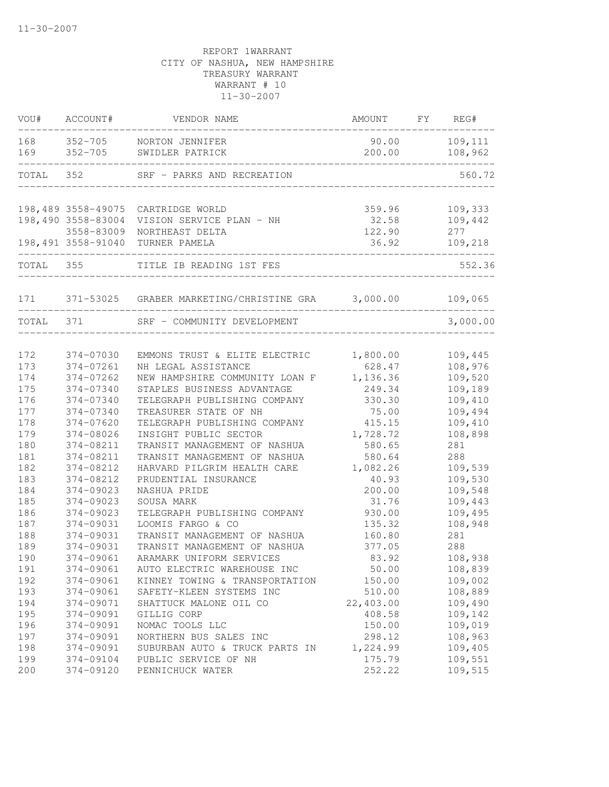| VOU#       | ACCOUNT#                         | VENDOR NAME                                                                       | AMOUNT                    | FY | REG#                      |
|------------|----------------------------------|-----------------------------------------------------------------------------------|---------------------------|----|---------------------------|
| 168<br>169 | $352 - 705$<br>$352 - 705$       | NORTON JENNIFER<br>SWIDLER PATRICK                                                | 90.00<br>200.00           |    | 109,111<br>108,962        |
| TOTAL      | 352                              | SRF - PARKS AND RECREATION                                                        |                           |    | 560.72                    |
|            |                                  |                                                                                   |                           |    |                           |
|            | 198,489 3558-49075<br>3558-83009 | CARTRIDGE WORLD<br>198,490 3558-83004 VISION SERVICE PLAN - NH<br>NORTHEAST DELTA | 359.96<br>32.58<br>122.90 |    | 109,333<br>109,442<br>277 |
|            | 198,491 3558-91040               | TURNER PAMELA                                                                     | 36.92                     |    | 109,218                   |
| TOTAL      | 355                              | TITLE IB READING 1ST FES                                                          |                           |    | 552.36                    |
| 171        |                                  | 371-53025 GRABER MARKETING/CHRISTINE GRA 3,000.00                                 |                           |    | 109,065                   |
| TOTAL      | 371                              | SRF - COMMUNITY DEVELOPMENT                                                       |                           |    | 3,000.00                  |
|            |                                  |                                                                                   |                           |    |                           |
| 172        | 374-07030                        | EMMONS TRUST & ELITE ELECTRIC                                                     | 1,800.00                  |    | 109,445                   |
| 173        | 374-07261                        | NH LEGAL ASSISTANCE                                                               | 628.47                    |    | 108,976                   |
| 174        | 374-07262                        | NEW HAMPSHIRE COMMUNITY LOAN F                                                    | 1,136.36                  |    | 109,520                   |
| 175        | 374-07340                        | STAPLES BUSINESS ADVANTAGE                                                        | 249.34                    |    | 109,189                   |
| 176        | 374-07340                        | TELEGRAPH PUBLISHING COMPANY                                                      | 330.30                    |    | 109,410                   |
| 177        | 374-07340                        | TREASURER STATE OF NH                                                             | 75.00                     |    | 109,494                   |
| 178        | 374-07620                        | TELEGRAPH PUBLISHING COMPANY                                                      | 415.15                    |    | 109,410                   |
| 179        | 374-08026                        | INSIGHT PUBLIC SECTOR                                                             | 1,728.72                  |    | 108,898                   |
| 180        | 374-08211                        | TRANSIT MANAGEMENT OF NASHUA                                                      | 580.65                    |    | 281                       |
| 181        | 374-08211                        | TRANSIT MANAGEMENT OF NASHUA                                                      | 580.64                    |    | 288                       |
| 182        | 374-08212                        | HARVARD PILGRIM HEALTH CARE                                                       | 1,082.26                  |    | 109,539                   |
| 183        | 374-08212                        | PRUDENTIAL INSURANCE                                                              | 40.93                     |    | 109,530                   |
| 184        | 374-09023                        | NASHUA PRIDE                                                                      | 200.00                    |    | 109,548                   |
| 185        | 374-09023                        | SOUSA MARK                                                                        | 31.76                     |    | 109,443                   |
| 186        | 374-09023                        | TELEGRAPH PUBLISHING COMPANY                                                      | 930.00                    |    | 109,495                   |
| 187        | 374-09031                        | LOOMIS FARGO & CO                                                                 | 135.32                    |    | 108,948                   |
| 188        | 374-09031                        | TRANSIT MANAGEMENT OF NASHUA                                                      | 160.80                    |    | 281                       |
| 189        | 374-09031                        | TRANSIT MANAGEMENT OF NASHUA                                                      | 377.05                    |    | 288                       |
| 190        | 374-09061                        | ARAMARK UNIFORM SERVICES                                                          | 83.92                     |    | 108,938                   |
| 191        | 374-09061                        | AUTO ELECTRIC WAREHOUSE INC                                                       | 50.00                     |    | 108,839                   |
| 192        | 374-09061                        | KINNEY TOWING & TRANSPORTATION                                                    | 150.00                    |    | 109,002                   |
| 193        | 374-09061                        | SAFETY-KLEEN SYSTEMS INC                                                          | 510.00                    |    | 108,889                   |
| 194        | 374-09071                        | SHATTUCK MALONE OIL CO                                                            | 22,403.00                 |    | 109,490                   |
| 195        | 374-09091                        | GILLIG CORP                                                                       | 408.58                    |    | 109,142                   |
| 196        | 374-09091                        | NOMAC TOOLS LLC                                                                   | 150.00                    |    | 109,019                   |
| 197        | 374-09091                        | NORTHERN BUS SALES INC                                                            | 298.12                    |    | 108,963                   |
| 198        | 374-09091                        | SUBURBAN AUTO & TRUCK PARTS IN                                                    | 1,224.99                  |    | 109,405                   |
| 199        | 374-09104                        | PUBLIC SERVICE OF NH                                                              | 175.79                    |    | 109,551                   |
| 200        | 374-09120                        | PENNICHUCK WATER                                                                  | 252.22                    |    | 109,515                   |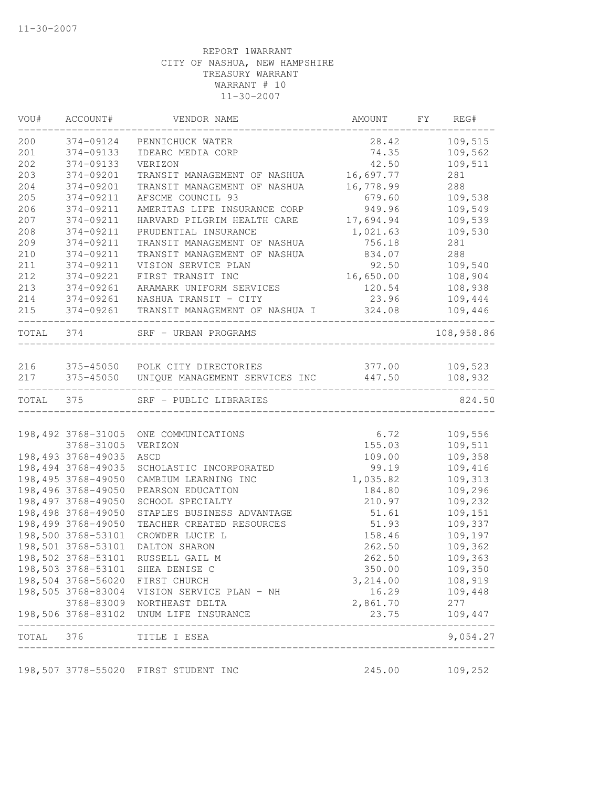| VOU#      | ACCOUNT#                                 | VENDOR NAME                                               | AMOUNT           | FY | REG#                          |
|-----------|------------------------------------------|-----------------------------------------------------------|------------------|----|-------------------------------|
| 200       | 374-09124                                | PENNICHUCK WATER                                          | 28.42            |    | 109,515                       |
| 201       | 374-09133                                | IDEARC MEDIA CORP                                         | 74.35            |    | 109,562                       |
| 202       | 374-09133                                | VERIZON                                                   | 42.50            |    | 109,511                       |
| 203       | 374-09201                                | TRANSIT MANAGEMENT OF NASHUA                              | 16,697.77        |    | 281                           |
| 204       | 374-09201                                | TRANSIT MANAGEMENT OF NASHUA                              | 16,778.99        |    | 288                           |
| 205       | 374-09211                                | AFSCME COUNCIL 93                                         | 679.60           |    | 109,538                       |
| 206       | 374-09211                                | AMERITAS LIFE INSURANCE CORP                              | 949.96           |    | 109,549                       |
| 207       | 374-09211                                | HARVARD PILGRIM HEALTH CARE                               | 17,694.94        |    | 109,539                       |
| 208       | 374-09211                                | PRUDENTIAL INSURANCE                                      | 1,021.63         |    | 109,530                       |
| 209       | 374-09211                                | TRANSIT MANAGEMENT OF NASHUA                              | 756.18           |    | 281                           |
| 210       | 374-09211                                | TRANSIT MANAGEMENT OF NASHUA                              | 834.07           |    | 288                           |
| 211       | 374-09211                                | VISION SERVICE PLAN                                       | 92.50            |    | 109,540                       |
| 212       | 374-09221                                | FIRST TRANSIT INC                                         | 16,650.00        |    | 108,904                       |
| 213       | 374-09261                                | ARAMARK UNIFORM SERVICES                                  | 120.54           |    | 108,938                       |
| 214       | 374-09261                                | NASHUA TRANSIT - CITY                                     | 23.96            |    | 109,444                       |
| 215       | 374-09261                                | TRANSIT MANAGEMENT OF NASHUA I                            | 324.08           |    | 109,446                       |
| TOTAL 374 |                                          | SRF - URBAN PROGRAMS                                      |                  |    | 108,958.86                    |
|           |                                          |                                                           |                  |    |                               |
| 216       |                                          | 375-45050 POLK CITY DIRECTORIES                           |                  |    | 377.00 109,523                |
| 217       |                                          | 375-45050 UNIQUE MANAGEMENT SERVICES INC 447.50           |                  |    | 108,932                       |
| TOTAL 375 |                                          | SRF - PUBLIC LIBRARIES                                    |                  |    | 824.50                        |
|           |                                          |                                                           |                  |    |                               |
|           | 198,492 3768-31005                       | ONE COMMUNICATIONS                                        | 6.72             |    | 109,556                       |
|           | 3768-31005                               | VERIZON                                                   | 155.03           |    | 109,511                       |
|           | 198,493 3768-49035                       | ASCD                                                      | 109.00           |    | 109,358                       |
|           | 198,494 3768-49035<br>198,495 3768-49050 | SCHOLASTIC INCORPORATED                                   | 99.19            |    | 109,416                       |
|           |                                          | CAMBIUM LEARNING INC                                      | 1,035.82         |    | 109,313                       |
|           | 198,496 3768-49050<br>198,497 3768-49050 | PEARSON EDUCATION<br>SCHOOL SPECIALTY                     | 184.80<br>210.97 |    | 109,296<br>109,232            |
|           | 198,498 3768-49050                       | STAPLES BUSINESS ADVANTAGE                                | 51.61            |    | 109,151                       |
|           | 198,499 3768-49050                       | TEACHER CREATED RESOURCES                                 | 51.93            |    | 109,337                       |
|           | 198,500 3768-53101                       | CROWDER LUCIE L                                           | 158.46           |    | 109,197                       |
|           | 198,501 3768-53101                       | DALTON SHARON                                             | 262.50           |    | 109,362                       |
|           | 198,502 3768-53101                       | RUSSELL GAIL M                                            | 262.50           |    | 109,363                       |
|           |                                          | 198,503 3768-53101 SHEA DENISE C                          | 350.00           |    | 109,350                       |
|           |                                          | 198,504 3768-56020 FIRST CHURCH                           | 3,214.00         |    | 108,919                       |
|           |                                          | 198,505 3768-83004 VISION SERVICE PLAN - NH               | 16.29            |    | 109,448                       |
|           |                                          | 3768-83009 NORTHEAST DELTA                                | 2,861.70         |    | 277                           |
|           |                                          | 198,506 3768-83102 UNUM LIFE INSURANCE                    | 23.75            |    | 109,447                       |
| TOTAL 376 |                                          | _____________________<br>________________<br>TITLE I ESEA |                  |    | _________________<br>9,054.27 |
|           |                                          | ---------------------                                     |                  |    |                               |
|           |                                          | 198,507 3778-55020 FIRST STUDENT INC                      | 245.00           |    | 109,252                       |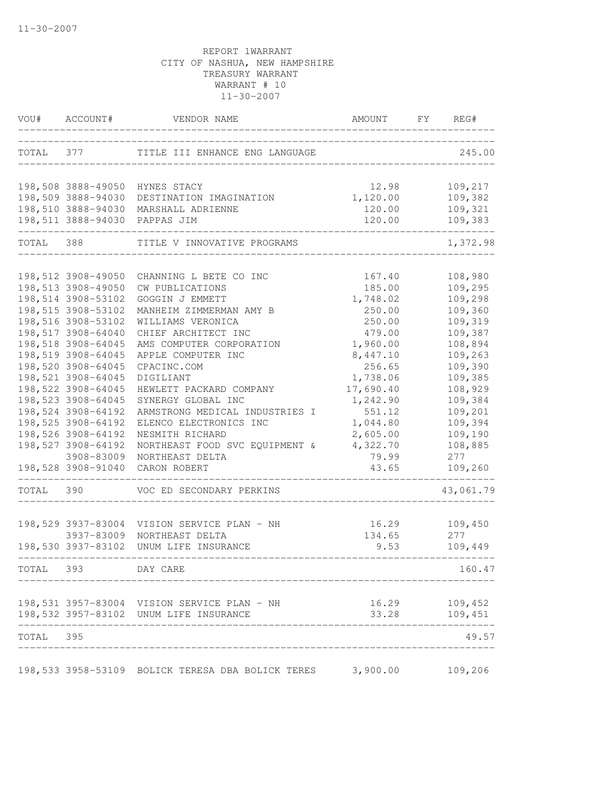| VOU#      | ACCOUNT#                                 | VENDOR NAME                                                | AMOUNT                | FY | REG#               |
|-----------|------------------------------------------|------------------------------------------------------------|-----------------------|----|--------------------|
|           | TOTAL 377                                | TITLE III ENHANCE ENG LANGUAGE                             |                       |    | 245.00             |
|           | 198,508 3888-49050                       | HYNES STACY                                                | 12.98                 |    | 109,217            |
|           | 198,509 3888-94030                       | DESTINATION IMAGINATION                                    | 1,120.00              |    | 109,382            |
|           |                                          | 198,510 3888-94030 MARSHALL ADRIENNE                       | 120.00                |    | 109,321            |
|           |                                          | 198,511 3888-94030 PAPPAS JIM                              | 120.00<br>----------- |    | 109,383            |
| TOTAL 388 |                                          | TITLE V INNOVATIVE PROGRAMS                                |                       |    | 1,372.98           |
|           |                                          |                                                            |                       |    |                    |
|           | 198,512 3908-49050<br>198,513 3908-49050 | CHANNING L BETE CO INC<br>CW PUBLICATIONS                  | 167.40<br>185.00      |    | 108,980<br>109,295 |
|           | 198,514 3908-53102                       | GOGGIN J EMMETT                                            | 1,748.02              |    | 109,298            |
|           | 198,515 3908-53102                       | MANHEIM ZIMMERMAN AMY B                                    | 250.00                |    | 109,360            |
|           | 198,516 3908-53102                       | WILLIAMS VERONICA                                          | 250.00                |    | 109,319            |
|           | 198,517 3908-64040                       | CHIEF ARCHITECT INC                                        | 479.00                |    | 109,387            |
|           | 198,518 3908-64045                       | AMS COMPUTER CORPORATION                                   | 1,960.00              |    | 108,894            |
|           | 198,519 3908-64045                       | APPLE COMPUTER INC                                         | 8,447.10              |    | 109,263            |
|           | 198,520 3908-64045                       | CPACINC.COM                                                | 256.65                |    | 109,390            |
|           | 198,521 3908-64045                       | DIGILIANT                                                  | 1,738.06              |    | 109,385            |
|           | 198,522 3908-64045                       | HEWLETT PACKARD COMPANY                                    | 17,690.40             |    | 108,929            |
|           | 198,523 3908-64045                       | SYNERGY GLOBAL INC                                         | 1,242.90              |    | 109,384            |
|           | 198,524 3908-64192                       | ARMSTRONG MEDICAL INDUSTRIES I                             | 551.12                |    | 109,201            |
|           | 198,525 3908-64192                       | ELENCO ELECTRONICS INC                                     | 1,044.80              |    | 109,394            |
|           | 198,526 3908-64192                       | NESMITH RICHARD                                            | 2,605.00              |    | 109,190            |
|           | 198,527 3908-64192                       | NORTHEAST FOOD SVC EQUIPMENT &                             | 4,322.70              |    | 108,885            |
|           | 3908-83009                               | NORTHEAST DELTA                                            | 79.99                 |    | 277                |
|           | 198,528 3908-91040                       | CARON ROBERT                                               | 43.65                 |    | 109,260            |
| TOTAL     | 390                                      | VOC ED SECONDARY PERKINS                                   |                       |    | 43,061.79          |
|           |                                          | 198,529 3937-83004 VISION SERVICE PLAN - NH                | 16.29                 |    | 109,450            |
|           | 3937-83009                               | NORTHEAST DELTA                                            | 134.65                |    | 277                |
|           | 198,530 3937-83102                       | UNUM LIFE INSURANCE<br>---------------------------         | 9.53                  |    | 109,449            |
|           | TOTAL 393 DAY CARE                       |                                                            |                       |    | 160.47             |
|           |                                          | 198,531 3957-83004 VISION SERVICE PLAN - NH                |                       |    | 16.29 109,452      |
|           |                                          | 198,532 3957-83102 UNUM LIFE INSURANCE                     | 33.28                 |    | 109,451            |
| TOTAL 395 |                                          |                                                            |                       |    | 49.57              |
|           |                                          | 198,533 3958-53109 BOLICK TERESA DBA BOLICK TERES 3,900.00 |                       |    | 109,206            |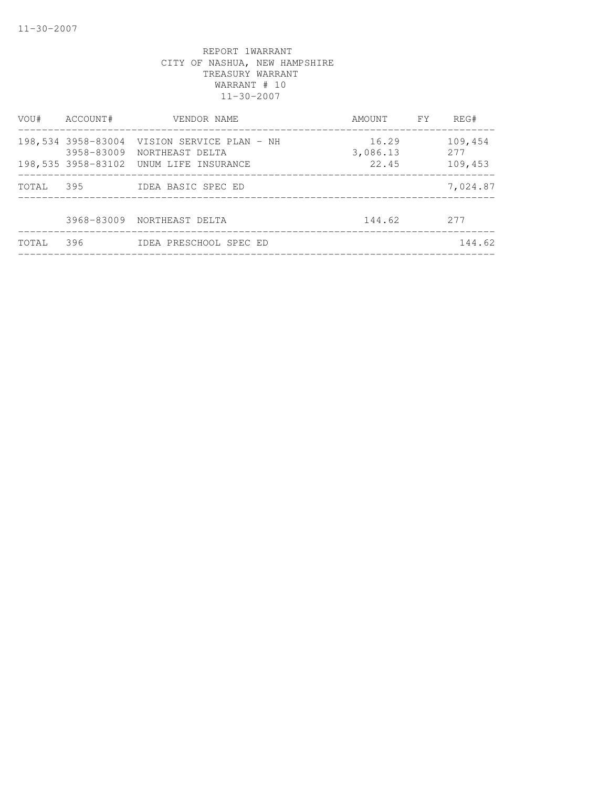| VOU#  | ACCOUNT#           | VENDOR NAME                                            | AMOUNT FY         | REG#           |
|-------|--------------------|--------------------------------------------------------|-------------------|----------------|
|       | 198,534 3958-83004 | VISION SERVICE PLAN - NH<br>3958-83009 NORTHEAST DELTA | 16.29<br>3,086.13 | 109,454<br>277 |
|       |                    | 198,535 3958-83102 UNUM LIFE INSURANCE                 | 22.45             | 109,453        |
| TOTAL | 395                | IDEA BASIC SPEC ED                                     |                   | 7,024.87       |
|       |                    | 3968-83009 NORTHEAST DELTA                             | 144.62            | 2.77           |
| TOTAL | 396                | IDEA PRESCHOOL SPEC ED                                 |                   | 144.62         |
|       |                    |                                                        |                   |                |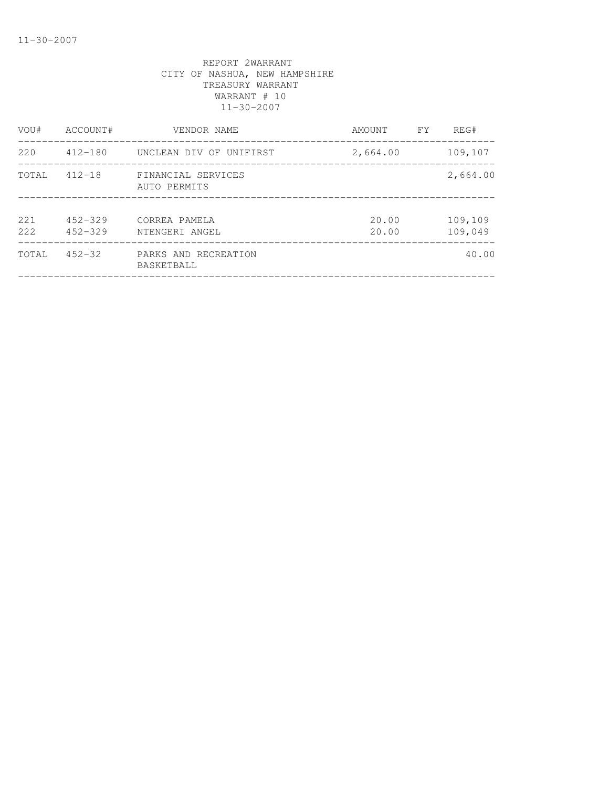| VOU#           | ACCOUNT#                   | VENDOR NAME                        | FY.<br>AMOUNT  | REG#               |
|----------------|----------------------------|------------------------------------|----------------|--------------------|
| 220            | $412 - 180$                | UNCLEAN DIV OF UNIFIRST            | 2,664.00       | 109,107            |
| TOTAL          | $412 - 18$                 | FINANCIAL SERVICES<br>AUTO PERMITS |                | 2,664.00           |
| 2.2.1<br>2.2.2 | $452 - 329$<br>$452 - 329$ | CORREA PAMELA<br>NTENGERI ANGEL    | 20.00<br>20.00 | 109,109<br>109,049 |
| TOTAL          | $452 - 32$                 | PARKS AND RECREATION<br>BASKETBALL |                | 40.00              |
|                |                            |                                    |                |                    |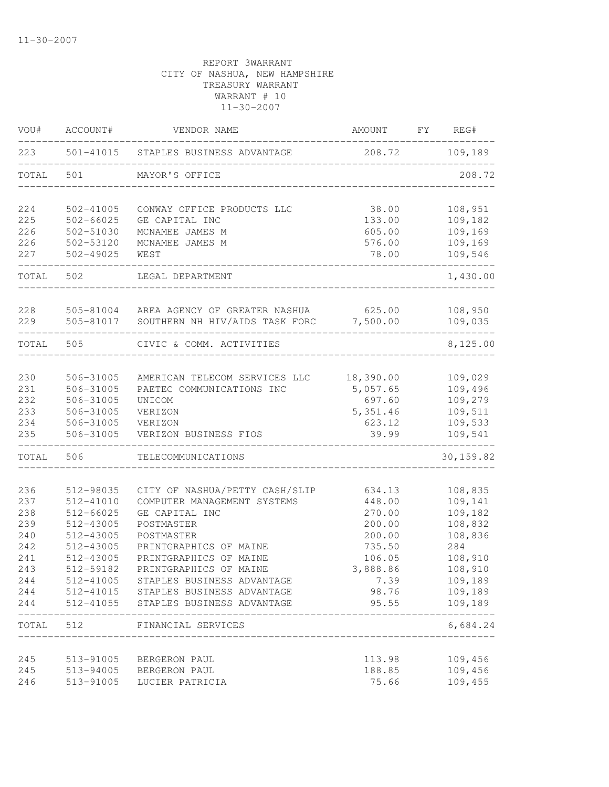| VOU#       | ACCOUNT#               | VENDOR NAME                                                | AMOUNT                | FY REG#            |
|------------|------------------------|------------------------------------------------------------|-----------------------|--------------------|
| 223        |                        | 501-41015 STAPLES BUSINESS ADVANTAGE                       | 208.72 109,189        |                    |
| TOTAL      | 501                    | MAYOR'S OFFICE                                             |                       | 208.72             |
| 224        | 502-41005              | CONWAY OFFICE PRODUCTS LLC                                 | 38.00                 | 108,951            |
| 225        | $502 - 66025$          | GE CAPITAL INC                                             | 133.00                | 109,182            |
| 226        | 502-51030              | MCNAMEE JAMES M                                            | 605.00                | 109,169            |
| 226        | 502-53120              | MCNAMEE JAMES M                                            | 576.00                | 109,169            |
| 227        | $502 - 49025$          | WEST                                                       | 78.00                 | 109,546            |
| TOTAL      | 502                    | LEGAL DEPARTMENT                                           |                       | 1,430.00           |
| 228        | 505-81004              | AREA AGENCY OF GREATER NASHUA                              | 625.00                | 108,950            |
| 229        | 505-81017              | SOUTHERN NH HIV/AIDS TASK FORC 7,500.00                    |                       | 109,035            |
| TOTAL 505  |                        | CIVIC & COMM. ACTIVITIES                                   |                       | 8,125.00           |
|            |                        |                                                            |                       |                    |
| 230<br>231 | 506-31005<br>506-31005 | AMERICAN TELECOM SERVICES LLC<br>PAETEC COMMUNICATIONS INC | 18,390.00<br>5,057.65 | 109,029<br>109,496 |
| 232        | 506-31005              | UNICOM                                                     | 697.60                | 109,279            |
| 233        | 506-31005              | VERIZON                                                    | 5, 351.46             | 109,511            |
| 234        | 506-31005              | VERIZON                                                    | 623.12                | 109,533            |
| 235        | 506-31005              | VERIZON BUSINESS FIOS                                      | 39.99                 | 109,541            |
| TOTAL      | 506                    | TELECOMMUNICATIONS                                         |                       | 30, 159.82         |
|            |                        |                                                            |                       |                    |
| 236        | 512-98035              | CITY OF NASHUA/PETTY CASH/SLIP                             | 634.13                | 108,835            |
| 237        | $512 - 41010$          | COMPUTER MANAGEMENT SYSTEMS                                | 448.00<br>270.00      | 109,141            |
| 238<br>239 | 512-66025<br>512-43005 | GE CAPITAL INC<br>POSTMASTER                               | 200.00                | 109,182<br>108,832 |
| 240        | 512-43005              | POSTMASTER                                                 | 200.00                | 108,836            |
| 242        | 512-43005              | PRINTGRAPHICS OF MAINE                                     | 735.50                | 284                |
| 241        | 512-43005              | PRINTGRAPHICS OF MAINE                                     | 106.05                | 108,910            |
| 243        | 512-59182              | PRINTGRAPHICS OF MAINE                                     | 3,888.86              | 108,910            |
| 244        |                        | 512-41005 STAPLES BUSINESS ADVANTAGE                       | 7.39                  | 109,189            |
| 244        |                        | 512-41015 STAPLES BUSINESS ADVANTAGE                       | 98.76                 | 109,189            |
| 244        | 512-41055              | STAPLES BUSINESS ADVANTAGE                                 | 95.55                 | 109,189            |
| TOTAL 512  |                        | FINANCIAL SERVICES                                         |                       | 6,684.24           |
|            |                        |                                                            |                       |                    |
| 245        | 513-91005              | BERGERON PAUL                                              | 113.98                | 109,456            |
| 245        |                        | 513-94005 BERGERON PAUL                                    | 188.85                | 109,456            |
| 246        |                        | 513-91005 LUCIER PATRICIA                                  | 75.66                 | 109,455            |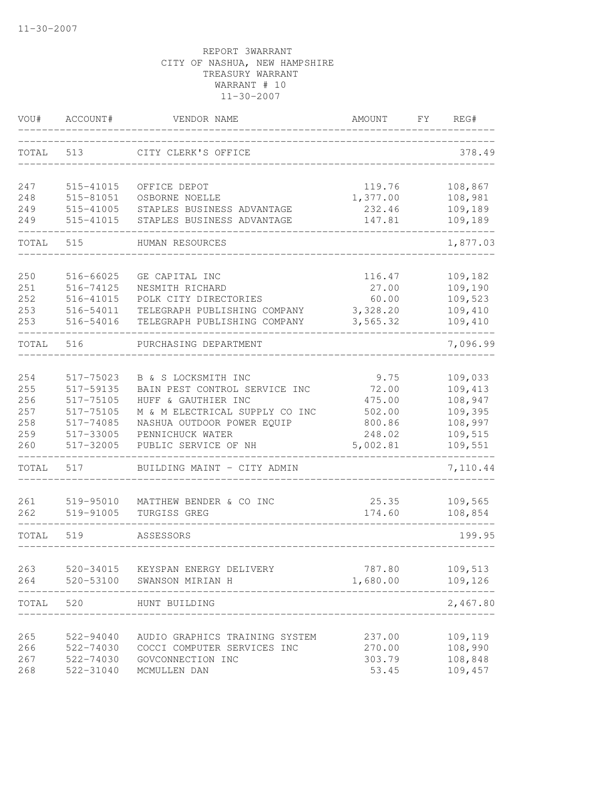| VOU#       | ACCOUNT#               | VENDOR NAME                             | AMOUNT          | FY | REG#               |
|------------|------------------------|-----------------------------------------|-----------------|----|--------------------|
| TOTAL      | 513                    | CITY CLERK'S OFFICE                     |                 |    | 378.49             |
| 247        | 515-41015              | OFFICE DEPOT                            | 119.76          |    | 108,867            |
| 248        | 515-81051              | OSBORNE NOELLE                          | 1,377.00        |    | 108,981            |
| 249        | 515-41005              | STAPLES BUSINESS ADVANTAGE              | 232.46          |    | 109,189            |
| 249        | 515-41015              | STAPLES BUSINESS ADVANTAGE              | 147.81          |    | 109,189            |
| TOTAL      | 515                    | HUMAN RESOURCES                         |                 |    | 1,877.03           |
| 250        | 516-66025              | GE CAPITAL INC                          | 116.47          |    | 109,182            |
| 251        | 516-74125              | NESMITH RICHARD                         | 27.00           |    | 109,190            |
| 252        | 516-41015              | POLK CITY DIRECTORIES                   | 60.00           |    | 109,523            |
| 253        | 516-54011              | TELEGRAPH PUBLISHING COMPANY            | 3,328.20        |    | 109,410            |
| 253        | 516-54016              | TELEGRAPH PUBLISHING COMPANY            | 3,565.32        |    | 109,410            |
| TOTAL      | 516                    | PURCHASING DEPARTMENT                   |                 |    | 7,096.99           |
|            |                        | B & S LOCKSMITH INC                     |                 |    |                    |
| 254<br>255 | 517-75023<br>517-59135 | BAIN PEST CONTROL SERVICE INC           | 9.75<br>72.00   |    | 109,033<br>109,413 |
| 256        | 517-75105              | HUFF & GAUTHIER INC                     | 475.00          |    | 108,947            |
| 257        | 517-75105              | M & M ELECTRICAL SUPPLY CO INC          | 502.00          |    | 109,395            |
| 258        | 517-74085              | NASHUA OUTDOOR POWER EQUIP              | 800.86          |    | 108,997            |
| 259        | 517-33005              | PENNICHUCK WATER                        | 248.02          |    | 109,515            |
| 260        | 517-32005              | PUBLIC SERVICE OF NH                    | 5,002.81        |    | 109,551            |
| TOTAL      | 517                    | BUILDING MAINT - CITY ADMIN             |                 |    | 7,110.44           |
|            |                        |                                         |                 |    |                    |
| 261<br>262 | 519-95010<br>519-91005 | MATTHEW BENDER & CO INC<br>TURGISS GREG | 25.35<br>174.60 |    | 109,565<br>108,854 |
|            |                        |                                         |                 |    |                    |
| TOTAL      | 519                    | ASSESSORS                               |                 |    | 199.95             |
|            |                        | KEYSPAN ENERGY DELIVERY                 | 787.80          |    |                    |
| 263<br>264 | 520-34015<br>520-53100 | SWANSON MIRIAN H                        | 1,680.00        |    | 109,513<br>109,126 |
|            |                        |                                         |                 |    |                    |
| TOTAL      | 520                    | HUNT BUILDING                           |                 |    | 2,467.80           |
| 265        | 522-94040              | AUDIO GRAPHICS TRAINING SYSTEM          | 237.00          |    | 109,119            |
| 266        | 522-74030              | COCCI COMPUTER SERVICES INC             | 270.00          |    | 108,990            |
| 267        | 522-74030              | GOVCONNECTION INC                       | 303.79          |    | 108,848            |
| 268        | 522-31040              | MCMULLEN DAN                            | 53.45           |    | 109,457            |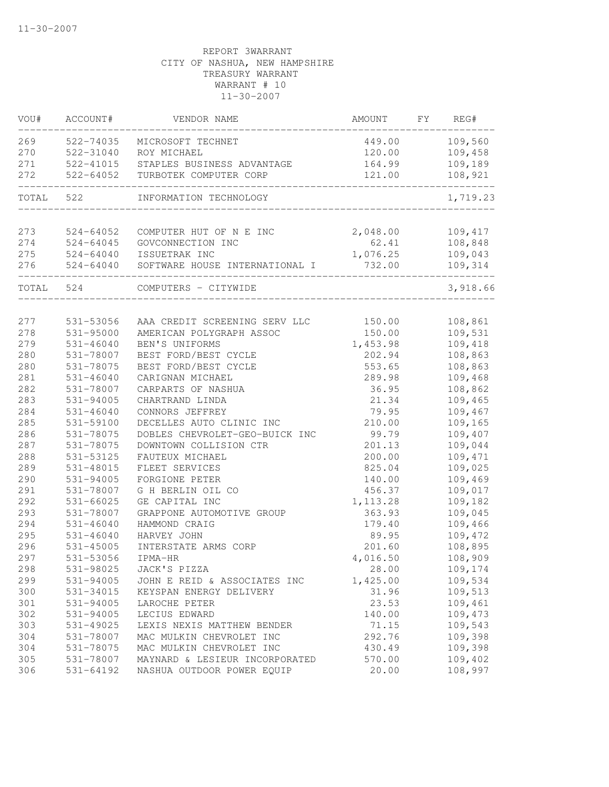| VOU#       | ACCOUNT#                       | VENDOR NAME                                     | AMOUNT                     | FY | REG#               |
|------------|--------------------------------|-------------------------------------------------|----------------------------|----|--------------------|
| 269        | 522-74035                      | MICROSOFT TECHNET                               | 449.00                     |    | 109,560            |
| 270        | 522-31040                      | ROY MICHAEL                                     | 120.00                     |    | 109,458            |
| 271        | 522-41015                      | STAPLES BUSINESS ADVANTAGE                      | 164.99                     |    | 109,189            |
| 272        | 522-64052                      | TURBOTEK COMPUTER CORP                          | 121.00<br>---------------- |    | 108,921            |
| TOTAL      | 522                            | INFORMATION TECHNOLOGY                          |                            |    | 1,719.23           |
|            |                                |                                                 |                            |    |                    |
| 273        | $524 - 64052$                  | COMPUTER HUT OF N E INC                         | 2,048.00                   |    | 109,417            |
| 274        | $524 - 64045$                  | GOVCONNECTION INC                               | 62.41                      |    | 108,848            |
| 275<br>276 | $524 - 64040$<br>$524 - 64040$ | ISSUETRAK INC<br>SOFTWARE HOUSE INTERNATIONAL I | 1,076.25<br>732.00         |    | 109,043<br>109,314 |
| TOTAL      | 524                            | COMPUTERS - CITYWIDE                            |                            |    | 3,918.66           |
|            |                                |                                                 |                            |    |                    |
| 277        | 531-53056                      | AAA CREDIT SCREENING SERV LLC                   | 150.00                     |    | 108,861            |
| 278        | 531-95000                      | AMERICAN POLYGRAPH ASSOC                        | 150.00                     |    | 109,531            |
| 279        | $531 - 46040$                  | BEN'S UNIFORMS                                  | 1,453.98                   |    | 109,418            |
| 280        | 531-78007                      | BEST FORD/BEST CYCLE                            | 202.94                     |    | 108,863            |
| 280        | 531-78075                      | BEST FORD/BEST CYCLE                            | 553.65                     |    | 108,863            |
| 281        | $531 - 46040$                  | CARIGNAN MICHAEL                                | 289.98                     |    | 109,468            |
| 282        | 531-78007                      | CARPARTS OF NASHUA                              | 36.95                      |    | 108,862            |
| 283        | 531-94005                      | CHARTRAND LINDA                                 | 21.34                      |    | 109,465            |
| 284        | $531 - 46040$                  | CONNORS JEFFREY                                 | 79.95                      |    | 109,467            |
| 285        | 531-59100                      | DECELLES AUTO CLINIC INC                        | 210.00                     |    | 109,165            |
| 286        | 531-78075                      | DOBLES CHEVROLET-GEO-BUICK INC                  | 99.79                      |    | 109,407            |
| 287        | 531-78075                      | DOWNTOWN COLLISION CTR                          | 201.13                     |    | 109,044            |
| 288        | 531-53125                      | FAUTEUX MICHAEL                                 | 200.00                     |    | 109,471            |
| 289        | 531-48015                      | FLEET SERVICES                                  | 825.04                     |    | 109,025            |
| 290        | 531-94005                      | FORGIONE PETER                                  | 140.00                     |    | 109,469            |
| 291        | 531-78007                      | G H BERLIN OIL CO                               | 456.37                     |    | 109,017            |
| 292        | 531-66025                      | GE CAPITAL INC                                  | 1, 113.28                  |    | 109,182            |
| 293        | 531-78007                      | GRAPPONE AUTOMOTIVE GROUP                       | 363.93                     |    | 109,045            |
| 294        | $531 - 46040$                  | HAMMOND CRAIG                                   | 179.40                     |    | 109,466            |
| 295        | $531 - 46040$                  | HARVEY JOHN                                     | 89.95                      |    | 109,472            |
| 296        | $531 - 45005$                  | INTERSTATE ARMS CORP                            | 201.60                     |    | 108,895            |
| 297        | 531-53056                      | IPMA-HR                                         | 4,016.50                   |    | 108,909            |
| 298        | 531-98025                      | JACK'S PIZZA                                    | 28.00                      |    | 109,174            |
| 299        | 531-94005                      | JOHN E REID & ASSOCIATES INC                    | 1,425.00                   |    | 109,534            |
| 300        | 531-34015                      | KEYSPAN ENERGY DELIVERY                         | 31.96                      |    | 109,513            |
| 301        | 531-94005                      | LAROCHE PETER                                   | 23.53                      |    | 109,461            |
| 302        | 531-94005                      | LECIUS EDWARD                                   | 140.00                     |    | 109,473            |
| 303        | 531-49025                      | LEXIS NEXIS MATTHEW BENDER                      | 71.15                      |    | 109,543            |
| 304        | 531-78007                      | MAC MULKIN CHEVROLET INC                        | 292.76                     |    | 109,398            |
| 304        | 531-78075                      | MAC MULKIN CHEVROLET INC                        | 430.49                     |    | 109,398            |
| 305        | 531-78007                      | MAYNARD & LESIEUR INCORPORATED                  | 570.00                     |    | 109,402            |
| 306        | 531-64192                      | NASHUA OUTDOOR POWER EQUIP                      | 20.00                      |    | 108,997            |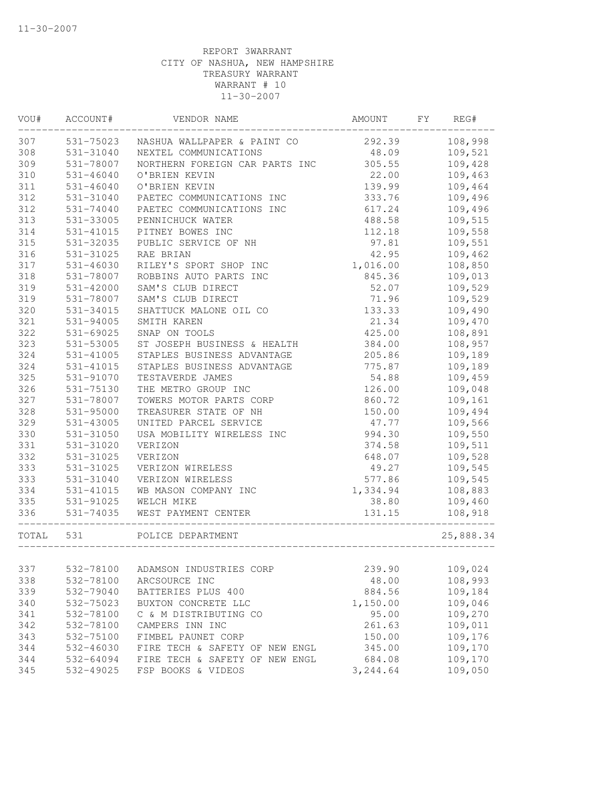| VOU#  | ACCOUNT#      | VENDOR NAME                    | AMOUNT   | FΥ | REG#      |
|-------|---------------|--------------------------------|----------|----|-----------|
| 307   | 531-75023     | NASHUA WALLPAPER & PAINT CO    | 292.39   |    | 108,998   |
| 308   | 531-31040     | NEXTEL COMMUNICATIONS          | 48.09    |    | 109,521   |
| 309   | 531-78007     | NORTHERN FOREIGN CAR PARTS INC | 305.55   |    | 109,428   |
| 310   | $531 - 46040$ | O'BRIEN KEVIN                  | 22.00    |    | 109,463   |
| 311   | $531 - 46040$ | O'BRIEN KEVIN                  | 139.99   |    | 109,464   |
| 312   | 531-31040     | PAETEC COMMUNICATIONS INC      | 333.76   |    | 109,496   |
| 312   | 531-74040     | PAETEC COMMUNICATIONS INC      | 617.24   |    | 109,496   |
| 313   | 531-33005     | PENNICHUCK WATER               | 488.58   |    | 109,515   |
| 314   | 531-41015     | PITNEY BOWES INC               | 112.18   |    | 109,558   |
| 315   | 531-32035     | PUBLIC SERVICE OF NH           | 97.81    |    | 109,551   |
| 316   | 531-31025     | RAE BRIAN                      | 42.95    |    | 109,462   |
| 317   | 531-46030     | RILEY'S SPORT SHOP INC         | 1,016.00 |    | 108,850   |
| 318   | 531-78007     | ROBBINS AUTO PARTS INC         | 845.36   |    | 109,013   |
| 319   | 531-42000     | SAM'S CLUB DIRECT              | 52.07    |    | 109,529   |
| 319   | 531-78007     | SAM'S CLUB DIRECT              | 71.96    |    | 109,529   |
| 320   | 531-34015     | SHATTUCK MALONE OIL CO         | 133.33   |    | 109,490   |
| 321   | 531-94005     | SMITH KAREN                    | 21.34    |    | 109,470   |
| 322   | $531 - 69025$ | SNAP ON TOOLS                  | 425.00   |    | 108,891   |
| 323   | 531-53005     | ST JOSEPH BUSINESS & HEALTH    | 384.00   |    | 108,957   |
| 324   | 531-41005     | STAPLES BUSINESS ADVANTAGE     | 205.86   |    | 109,189   |
| 324   | 531-41015     | STAPLES BUSINESS ADVANTAGE     | 775.87   |    | 109,189   |
| 325   | 531-91070     | TESTAVERDE JAMES               | 54.88    |    | 109,459   |
| 326   | 531-75130     | THE METRO GROUP INC            | 126.00   |    | 109,048   |
| 327   | 531-78007     | TOWERS MOTOR PARTS CORP        | 860.72   |    | 109,161   |
| 328   | 531-95000     | TREASURER STATE OF NH          | 150.00   |    | 109,494   |
| 329   | 531-43005     | UNITED PARCEL SERVICE          | 47.77    |    | 109,566   |
| 330   | 531-31050     | USA MOBILITY WIRELESS INC      | 994.30   |    | 109,550   |
| 331   | 531-31020     | VERIZON                        | 374.58   |    | 109,511   |
| 332   | 531-31025     | VERIZON                        | 648.07   |    | 109,528   |
| 333   | 531-31025     | VERIZON WIRELESS               | 49.27    |    | 109,545   |
| 333   | 531-31040     | VERIZON WIRELESS               | 577.86   |    | 109,545   |
| 334   | 531-41015     | WB MASON COMPANY INC           | 1,334.94 |    | 108,883   |
| 335   | 531-91025     | WELCH MIKE                     | 38.80    |    | 109,460   |
| 336   | 531-74035     | WEST PAYMENT CENTER            | 131.15   |    | 108,918   |
| TOTAL | 531           | POLICE DEPARTMENT              |          |    | 25,888.34 |
|       |               |                                |          |    |           |
| 337   | 532-78100     | ADAMSON INDUSTRIES CORP        | 239.90   |    | 109,024   |
| 338   | 532-78100     | ARCSOURCE INC                  | 48.00    |    | 108,993   |
| 339   | 532-79040     | BATTERIES PLUS 400             | 884.56   |    | 109,184   |
| 340   | 532-75023     | BUXTON CONCRETE LLC            | 1,150.00 |    | 109,046   |
| 341   | 532-78100     | C & M DISTRIBUTING CO          | 95.00    |    | 109,270   |
| 342   | 532-78100     | CAMPERS INN INC                | 261.63   |    | 109,011   |
| 343   | 532-75100     | FIMBEL PAUNET CORP             | 150.00   |    | 109,176   |
| 344   | 532-46030     | FIRE TECH & SAFETY OF NEW ENGL | 345.00   |    | 109,170   |
| 344   | 532-64094     | FIRE TECH & SAFETY OF NEW ENGL | 684.08   |    | 109,170   |
| 345   | 532-49025     | FSP BOOKS & VIDEOS             | 3,244.64 |    | 109,050   |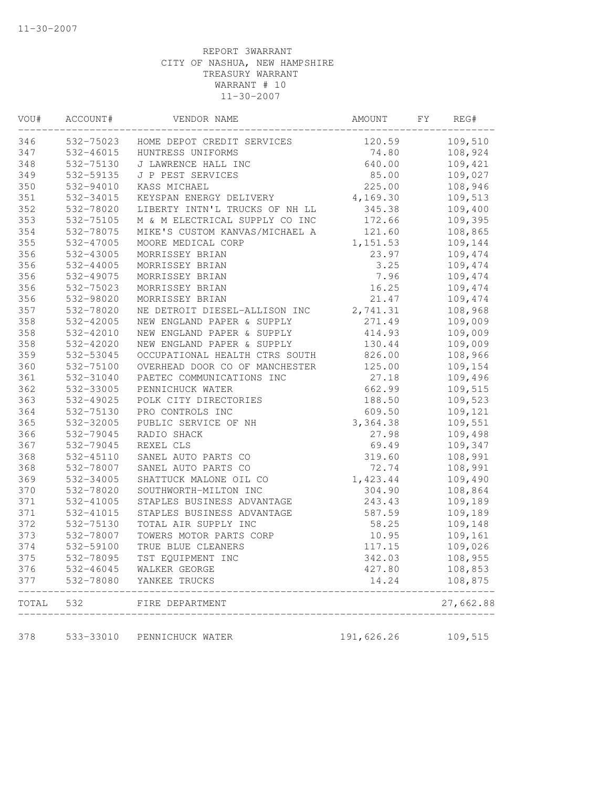| VOU#  | ACCOUNT#  | VENDOR NAME                    | AMOUNT     | FY | REG#      |
|-------|-----------|--------------------------------|------------|----|-----------|
| 346   | 532-75023 | HOME DEPOT CREDIT SERVICES     | 120.59     |    | 109,510   |
| 347   | 532-46015 | HUNTRESS UNIFORMS              | 74.80      |    | 108,924   |
| 348   | 532-75130 | J LAWRENCE HALL INC            | 640.00     |    | 109,421   |
| 349   | 532-59135 | J P PEST SERVICES              | 85.00      |    | 109,027   |
| 350   | 532-94010 | KASS MICHAEL                   | 225.00     |    | 108,946   |
| 351   | 532-34015 | KEYSPAN ENERGY DELIVERY        | 4,169.30   |    | 109,513   |
| 352   | 532-78020 | LIBERTY INTN'L TRUCKS OF NH LL | 345.38     |    | 109,400   |
| 353   | 532-75105 | M & M ELECTRICAL SUPPLY CO INC | 172.66     |    | 109,395   |
| 354   | 532-78075 | MIKE'S CUSTOM KANVAS/MICHAEL A | 121.60     |    | 108,865   |
| 355   | 532-47005 | MOORE MEDICAL CORP             | 1,151.53   |    | 109,144   |
| 356   | 532-43005 | MORRISSEY BRIAN                | 23.97      |    | 109,474   |
| 356   | 532-44005 | MORRISSEY BRIAN                | 3.25       |    | 109,474   |
| 356   | 532-49075 | MORRISSEY BRIAN                | 7.96       |    | 109,474   |
| 356   | 532-75023 | MORRISSEY BRIAN                | 16.25      |    | 109,474   |
| 356   | 532-98020 | MORRISSEY BRIAN                | 21.47      |    | 109,474   |
| 357   | 532-78020 | NE DETROIT DIESEL-ALLISON INC  | 2,741.31   |    | 108,968   |
| 358   | 532-42005 | NEW ENGLAND PAPER & SUPPLY     | 271.49     |    | 109,009   |
| 358   | 532-42010 | NEW ENGLAND PAPER & SUPPLY     | 414.93     |    | 109,009   |
| 358   | 532-42020 | NEW ENGLAND PAPER & SUPPLY     | 130.44     |    | 109,009   |
| 359   | 532-53045 | OCCUPATIONAL HEALTH CTRS SOUTH | 826.00     |    | 108,966   |
| 360   | 532-75100 | OVERHEAD DOOR CO OF MANCHESTER | 125.00     |    | 109,154   |
| 361   | 532-31040 | PAETEC COMMUNICATIONS INC      | 27.18      |    | 109,496   |
| 362   | 532-33005 | PENNICHUCK WATER               | 662.99     |    | 109,515   |
| 363   | 532-49025 | POLK CITY DIRECTORIES          | 188.50     |    | 109,523   |
| 364   | 532-75130 | PRO CONTROLS INC               | 609.50     |    | 109,121   |
| 365   | 532-32005 | PUBLIC SERVICE OF NH           | 3,364.38   |    | 109,551   |
| 366   | 532-79045 | RADIO SHACK                    | 27.98      |    | 109,498   |
| 367   | 532-79045 | REXEL CLS                      | 69.49      |    | 109,347   |
| 368   | 532-45110 | SANEL AUTO PARTS CO            | 319.60     |    | 108,991   |
| 368   | 532-78007 | SANEL AUTO PARTS CO            | 72.74      |    | 108,991   |
| 369   | 532-34005 | SHATTUCK MALONE OIL CO         | 1,423.44   |    | 109,490   |
| 370   | 532-78020 | SOUTHWORTH-MILTON INC          | 304.90     |    | 108,864   |
| 371   | 532-41005 | STAPLES BUSINESS ADVANTAGE     | 243.43     |    | 109,189   |
| 371   | 532-41015 | STAPLES BUSINESS ADVANTAGE     | 587.59     |    | 109,189   |
| 372   | 532-75130 | TOTAL AIR SUPPLY INC           | 58.25      |    | 109,148   |
| 373   | 532-78007 | TOWERS MOTOR PARTS CORP        | 10.95      |    | 109,161   |
| 374   | 532-59100 | TRUE BLUE CLEANERS             | 117.15     |    | 109,026   |
| 375   | 532-78095 | TST EQUIPMENT INC              | 342.03     |    | 108,955   |
| 376   | 532-46045 | WALKER GEORGE                  | 427.80     |    | 108,853   |
| 377   | 532-78080 | YANKEE TRUCKS                  | 14.24      |    | 108,875   |
| TOTAL | 532       | FIRE DEPARTMENT                |            |    | 27,662.88 |
| 378   | 533-33010 | PENNICHUCK WATER               | 191,626.26 |    | 109,515   |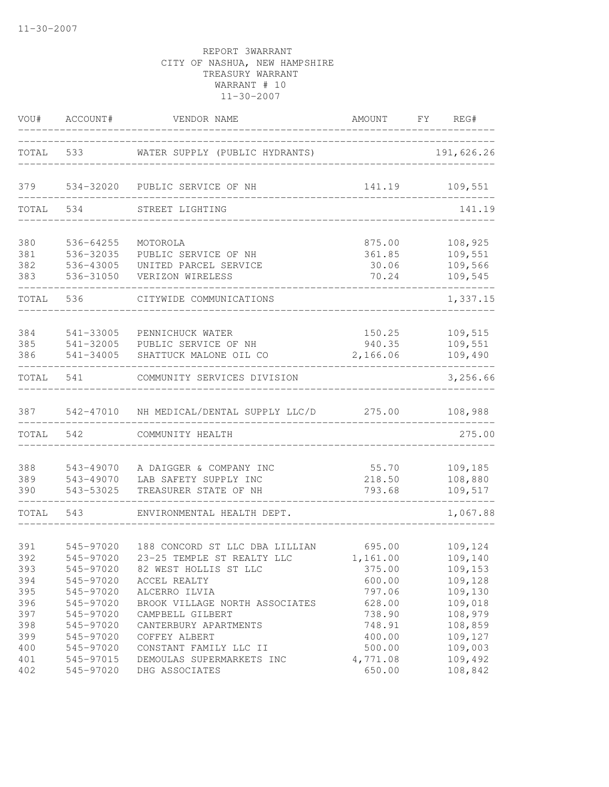|                                                      | VOU# ACCOUNT#                                                                                        | VENDOR NAME                                                                                                                                                                                                    | AMOUNT FY REG#                                                     |                                                                                      |
|------------------------------------------------------|------------------------------------------------------------------------------------------------------|----------------------------------------------------------------------------------------------------------------------------------------------------------------------------------------------------------------|--------------------------------------------------------------------|--------------------------------------------------------------------------------------|
|                                                      |                                                                                                      | TOTAL 533 WATER SUPPLY (PUBLIC HYDRANTS)                                                                                                                                                                       |                                                                    | 191,626.26                                                                           |
| 379                                                  |                                                                                                      | 534-32020 PUBLIC SERVICE OF NH                                                                                                                                                                                 |                                                                    |                                                                                      |
| TOTAL                                                | 534                                                                                                  | STREET LIGHTING                                                                                                                                                                                                |                                                                    | 141.19                                                                               |
| 380<br>381<br>382<br>383                             | 536-64255<br>536-32035<br>536-43005<br>536-31050                                                     | MOTOROLA<br>PUBLIC SERVICE OF NH<br>UNITED PARCEL SERVICE<br>VERIZON WIRELESS                                                                                                                                  | 875.00<br>361.85<br>30.06<br>70.24                                 | 108,925<br>109,551<br>109,566<br>109,545                                             |
| TOTAL                                                | 536                                                                                                  | CITYWIDE COMMUNICATIONS                                                                                                                                                                                        |                                                                    | 1,337.15                                                                             |
| 384<br>385<br>386                                    | 541-33005<br>541-32005<br>541-34005                                                                  | PENNICHUCK WATER<br>PUBLIC SERVICE OF NH<br>SHATTUCK MALONE OIL CO                                                                                                                                             | 150.25<br>940.35<br>2,166.06                                       | 109,515<br>109,551<br>109,490                                                        |
| TOTAL 541                                            |                                                                                                      | COMMUNITY SERVICES DIVISION                                                                                                                                                                                    |                                                                    | 3,256.66                                                                             |
|                                                      |                                                                                                      | 387 542-47010 NH MEDICAL/DENTAL SUPPLY LLC/D 275.00 108,988                                                                                                                                                    |                                                                    |                                                                                      |
| TOTAL 542                                            |                                                                                                      | COMMUNITY HEALTH                                                                                                                                                                                               |                                                                    | 275.00                                                                               |
| 388<br>389<br>390                                    | 543-49070<br>543-49070<br>543-53025                                                                  | A DAIGGER & COMPANY INC<br>LAB SAFETY SUPPLY INC<br>TREASURER STATE OF NH                                                                                                                                      | 55.70<br>218.50<br>793.68                                          | 109,185<br>108,880<br>109,517                                                        |
| TOTAL 543                                            |                                                                                                      | ENVIRONMENTAL HEALTH DEPT.                                                                                                                                                                                     |                                                                    | 1,067.88                                                                             |
| 391<br>392<br>393<br>394<br>395<br>396<br>397<br>398 | 545-97020<br>545-97020<br>545-97020<br>545-97020<br>545-97020<br>545-97020<br>545-97020<br>545-97020 | 188 CONCORD ST LLC DBA LILLIAN<br>23-25 TEMPLE ST REALTY LLC 1,161.00<br>82 WEST HOLLIS ST LLC<br>ACCEL REALTY<br>ALCERRO ILVIA<br>BROOK VILLAGE NORTH ASSOCIATES<br>CAMPBELL GILBERT<br>CANTERBURY APARTMENTS | 695.00<br>375.00<br>600.00<br>797.06<br>628.00<br>738.90<br>748.91 | 109,124<br>109,140<br>109,153<br>109,128<br>109,130<br>109,018<br>108,979<br>108,859 |
| 399<br>400<br>401<br>402                             | 545-97020<br>545-97020<br>545-97015<br>545-97020                                                     | COFFEY ALBERT<br>CONSTANT FAMILY LLC II<br>DEMOULAS SUPERMARKETS INC<br>DHG ASSOCIATES                                                                                                                         | 400.00<br>500.00<br>4,771.08<br>650.00                             | 109,127<br>109,003<br>109,492<br>108,842                                             |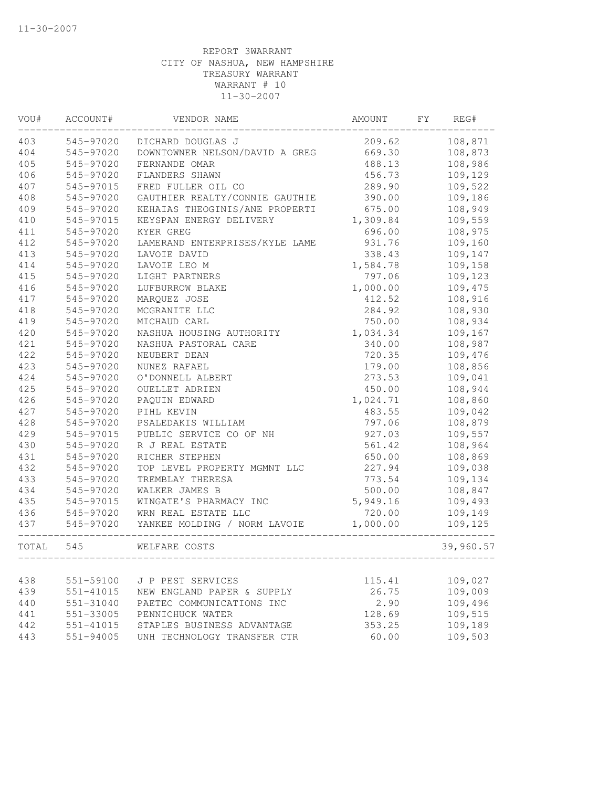| VOU#  | ACCOUNT#  | VENDOR NAME                            | AMOUNT   | FY | REG#      |
|-------|-----------|----------------------------------------|----------|----|-----------|
| 403   | 545-97020 | DICHARD DOUGLAS J                      | 209.62   |    | 108,871   |
| 404   | 545-97020 | DOWNTOWNER NELSON/DAVID A GREG         | 669.30   |    | 108,873   |
| 405   | 545-97020 | FERNANDE OMAR                          | 488.13   |    | 108,986   |
| 406   | 545-97020 | FLANDERS SHAWN                         | 456.73   |    | 109,129   |
| 407   | 545-97015 | FRED FULLER OIL CO                     | 289.90   |    | 109,522   |
| 408   | 545-97020 | GAUTHIER REALTY/CONNIE GAUTHIE         | 390.00   |    | 109,186   |
| 409   | 545-97020 | KEHAIAS THEOGINIS/ANE PROPERTI         | 675.00   |    | 108,949   |
| 410   | 545-97015 | KEYSPAN ENERGY DELIVERY                | 1,309.84 |    | 109,559   |
| 411   | 545-97020 | KYER GREG                              | 696.00   |    | 108,975   |
| 412   | 545-97020 | LAMERAND ENTERPRISES/KYLE LAME         | 931.76   |    | 109,160   |
| 413   | 545-97020 | LAVOIE DAVID                           | 338.43   |    | 109,147   |
| 414   | 545-97020 | LAVOIE LEO M                           | 1,584.78 |    | 109,158   |
| 415   | 545-97020 | LIGHT PARTNERS                         | 797.06   |    | 109,123   |
| 416   | 545-97020 | LUFBURROW BLAKE                        | 1,000.00 |    | 109,475   |
| 417   | 545-97020 | MARQUEZ JOSE                           | 412.52   |    | 108,916   |
| 418   | 545-97020 | MCGRANITE LLC                          | 284.92   |    | 108,930   |
| 419   | 545-97020 | MICHAUD CARL                           | 750.00   |    | 108,934   |
| 420   | 545-97020 | NASHUA HOUSING AUTHORITY               | 1,034.34 |    | 109,167   |
| 421   | 545-97020 | NASHUA PASTORAL CARE                   | 340.00   |    | 108,987   |
| 422   | 545-97020 | NEUBERT DEAN                           | 720.35   |    | 109,476   |
| 423   | 545-97020 | NUNEZ RAFAEL                           | 179.00   |    | 108,856   |
| 424   | 545-97020 | O'DONNELL ALBERT                       | 273.53   |    | 109,041   |
| 425   | 545-97020 | OUELLET ADRIEN                         | 450.00   |    | 108,944   |
| 426   | 545-97020 | PAQUIN EDWARD                          | 1,024.71 |    | 108,860   |
| 427   | 545-97020 | PIHL KEVIN                             | 483.55   |    | 109,042   |
| 428   | 545-97020 | PSALEDAKIS WILLIAM                     | 797.06   |    | 108,879   |
| 429   | 545-97015 | PUBLIC SERVICE CO OF NH                | 927.03   |    | 109,557   |
| 430   | 545-97020 | R J REAL ESTATE                        | 561.42   |    | 108,964   |
| 431   | 545-97020 | RICHER STEPHEN                         | 650.00   |    | 108,869   |
| 432   | 545-97020 | TOP LEVEL PROPERTY MGMNT LLC           | 227.94   |    | 109,038   |
| 433   | 545-97020 | TREMBLAY THERESA                       | 773.54   |    | 109,134   |
| 434   | 545-97020 | WALKER JAMES B                         | 500.00   |    | 108,847   |
| 435   | 545-97015 | WINGATE'S PHARMACY INC                 | 5,949.16 |    | 109,493   |
| 436   | 545-97020 | WRN REAL ESTATE LLC                    | 720.00   |    | 109,149   |
| 437   |           | 545-97020 YANKEE MOLDING / NORM LAVOIE | 1,000.00 |    | 109,125   |
| TOTAL | 545       | WELFARE COSTS                          |          |    | 39,960.57 |
|       |           |                                        |          |    |           |
| 438   | 551-59100 | J P PEST SERVICES                      | 115.41   |    | 109,027   |
| 439   | 551-41015 | NEW ENGLAND PAPER & SUPPLY             | 26.75    |    | 109,009   |
| 440   | 551-31040 | PAETEC COMMUNICATIONS INC              | 2.90     |    | 109,496   |
| 441   | 551-33005 | PENNICHUCK WATER                       | 128.69   |    | 109,515   |
| 442   | 551-41015 | STAPLES BUSINESS ADVANTAGE             | 353.25   |    | 109,189   |
| 443   | 551-94005 | UNH TECHNOLOGY TRANSFER CTR            | 60.00    |    | 109,503   |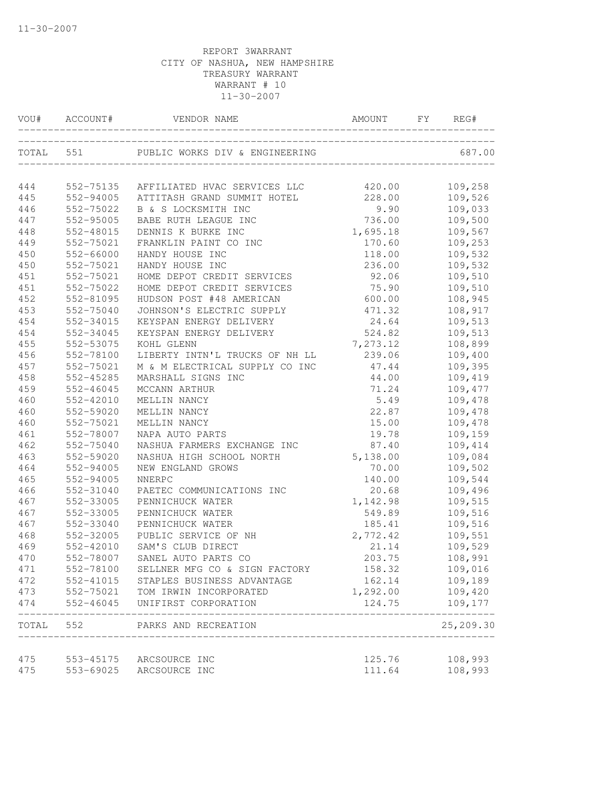| VOU#       | ACCOUNT#  | VENDOR NAME                                        | AMOUNT   | FY | REG#                    |
|------------|-----------|----------------------------------------------------|----------|----|-------------------------|
| TOTAL      | 551       | PUBLIC WORKS DIV & ENGINEERING                     |          |    | 687.00                  |
| 444        | 552-75135 | AFFILIATED HVAC SERVICES LLC                       | 420.00   |    | 109,258                 |
| 445        | 552-94005 | ATTITASH GRAND SUMMIT HOTEL                        | 228.00   |    | 109,526                 |
| 446        | 552-75022 | B & S LOCKSMITH INC                                | 9.90     |    | 109,033                 |
| 447        | 552-95005 | BABE RUTH LEAGUE INC                               | 736.00   |    | 109,500                 |
| 448        | 552-48015 | DENNIS K BURKE INC                                 | 1,695.18 |    | 109,567                 |
| 449        | 552-75021 | FRANKLIN PAINT CO INC                              | 170.60   |    | 109,253                 |
| 450        | 552-66000 | HANDY HOUSE INC                                    | 118.00   |    | 109,532                 |
| 450        | 552-75021 | HANDY HOUSE INC                                    | 236.00   |    | 109,532                 |
| 451        | 552-75021 | HOME DEPOT CREDIT SERVICES                         | 92.06    |    | 109,510                 |
| 451        | 552-75022 | HOME DEPOT CREDIT SERVICES                         | 75.90    |    | 109,510                 |
| 452        | 552-81095 | HUDSON POST #48 AMERICAN                           | 600.00   |    | 108,945                 |
| 453        | 552-75040 | JOHNSON'S ELECTRIC SUPPLY                          | 471.32   |    | 108,917                 |
| 454        | 552-34015 | KEYSPAN ENERGY DELIVERY                            | 24.64    |    | 109,513                 |
| 454        | 552-34045 | KEYSPAN ENERGY DELIVERY                            | 524.82   |    | 109,513                 |
| 455        | 552-53075 | KOHL GLENN                                         | 7,273.12 |    | 108,899                 |
| 456        | 552-78100 | LIBERTY INTN'L TRUCKS OF NH LL                     | 239.06   |    | 109,400                 |
| 457        | 552-75021 | M & M ELECTRICAL SUPPLY CO INC                     | 47.44    |    | 109,395                 |
| 458        | 552-45285 | MARSHALL SIGNS INC                                 | 44.00    |    | 109,419                 |
| 459        | 552-46045 | MCCANN ARTHUR                                      | 71.24    |    | 109,477                 |
| 460        | 552-42010 | MELLIN NANCY                                       | 5.49     |    | 109,478                 |
| 460        | 552-59020 | MELLIN NANCY                                       | 22.87    |    | 109,478                 |
| 460        | 552-75021 | MELLIN NANCY                                       | 15.00    |    | 109,478                 |
| 461        | 552-78007 | NAPA AUTO PARTS                                    | 19.78    |    | 109,159                 |
| 462        | 552-75040 | NASHUA FARMERS EXCHANGE INC                        | 87.40    |    | 109,414                 |
| 463        | 552-59020 | NASHUA HIGH SCHOOL NORTH                           | 5,138.00 |    | 109,084                 |
| 464        | 552-94005 | NEW ENGLAND GROWS                                  | 70.00    |    | 109,502                 |
| 465        | 552-94005 | NNERPC                                             | 140.00   |    | 109,544                 |
| 466        | 552-31040 | PAETEC COMMUNICATIONS INC                          | 20.68    |    | 109,496                 |
| 467        | 552-33005 | PENNICHUCK WATER                                   | 1,142.98 |    | 109,515                 |
| 467        | 552-33005 | PENNICHUCK WATER                                   | 549.89   |    | 109,516                 |
| 467        | 552-33040 | PENNICHUCK WATER                                   | 185.41   |    | 109,516                 |
| 468        | 552-32005 | PUBLIC SERVICE OF NH                               | 2,772.42 |    | 109,551                 |
| 469        | 552-42010 | SAM'S CLUB DIRECT                                  | 21.14    |    | 109,529                 |
| 470        | 552-78007 | SANEL AUTO PARTS CO                                | 203.75   |    | 108,991                 |
| 471        |           | 552-78100 SELLNER MFG CO & SIGN FACTORY            | 158.32   |    | 109,016                 |
| 472        |           | 552-41015 STAPLES BUSINESS ADVANTAGE               | 162.14   |    | 109,189                 |
| 473        |           | 552-75021 TOM IRWIN INCORPORATED                   | 1,292.00 |    | 109,420                 |
| 474        |           | 552-46045 UNIFIRST CORPORATION                     | 124.75   |    | 109,177                 |
|            |           | TOTAL 552 PARKS AND RECREATION                     |          |    | ----------<br>25,209.30 |
|            |           |                                                    | 125.76   |    | 108,993                 |
| 475<br>475 |           | 553-45175 ARCSOURCE INC<br>553-69025 ARCSOURCE INC | 111.64   |    | 108,993                 |
|            |           |                                                    |          |    |                         |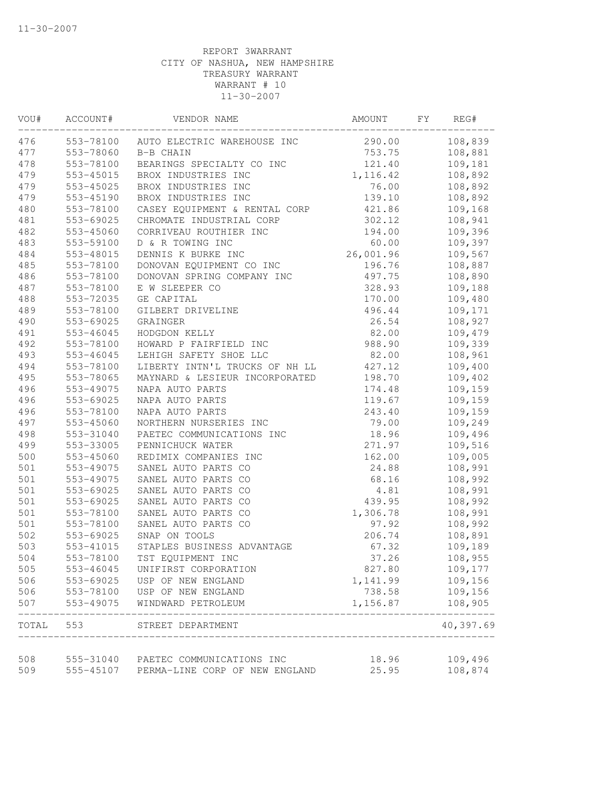| VOU#       | ACCOUNT#  | VENDOR NAME                                                                     | AMOUNT         | FY | REG#                |
|------------|-----------|---------------------------------------------------------------------------------|----------------|----|---------------------|
| 476        | 553-78100 | AUTO ELECTRIC WAREHOUSE INC                                                     | 290.00         |    | 108,839             |
| 477        | 553-78060 | B-B CHAIN                                                                       | 753.75         |    | 108,881             |
| 478        | 553-78100 | BEARINGS SPECIALTY CO INC                                                       | 121.40         |    | 109,181             |
| 479        | 553-45015 | BROX INDUSTRIES INC                                                             | 1,116.42       |    | 108,892             |
| 479        | 553-45025 | BROX INDUSTRIES INC                                                             | 76.00          |    | 108,892             |
| 479        | 553-45190 | BROX INDUSTRIES INC                                                             | 139.10         |    | 108,892             |
| 480        | 553-78100 | CASEY EQUIPMENT & RENTAL CORP                                                   | 421.86         |    | 109,168             |
| 481        | 553-69025 | CHROMATE INDUSTRIAL CORP                                                        | 302.12         |    | 108,941             |
| 482        | 553-45060 | CORRIVEAU ROUTHIER INC                                                          | 194.00         |    | 109,396             |
| 483        | 553-59100 | D & R TOWING INC                                                                | 60.00          |    | 109,397             |
| 484        | 553-48015 | DENNIS K BURKE INC                                                              | 26,001.96      |    | 109,567             |
| 485        | 553-78100 | DONOVAN EQUIPMENT CO INC                                                        | 196.76         |    | 108,887             |
| 486        | 553-78100 | DONOVAN SPRING COMPANY INC                                                      | 497.75         |    | 108,890             |
| 487        | 553-78100 | E W SLEEPER CO                                                                  | 328.93         |    | 109,188             |
| 488        | 553-72035 | GE CAPITAL                                                                      | 170.00         |    | 109,480             |
| 489        | 553-78100 | GILBERT DRIVELINE                                                               | 496.44         |    | 109,171             |
| 490        | 553-69025 | GRAINGER                                                                        | 26.54          |    | 108,927             |
| 491        | 553-46045 | HODGDON KELLY                                                                   | 82.00          |    | 109,479             |
| 492        | 553-78100 | HOWARD P FAIRFIELD INC                                                          | 988.90         |    | 109,339             |
| 493        | 553-46045 | LEHIGH SAFETY SHOE LLC                                                          | 82.00          |    | 108,961             |
| 494        | 553-78100 | LIBERTY INTN'L TRUCKS OF NH LL                                                  | 427.12         |    | 109,400             |
| 495        | 553-78065 | MAYNARD & LESIEUR INCORPORATED                                                  | 198.70         |    | 109,402             |
| 496        | 553-49075 | NAPA AUTO PARTS                                                                 | 174.48         |    | 109,159             |
| 496        | 553-69025 | NAPA AUTO PARTS                                                                 | 119.67         |    | 109,159             |
| 496        | 553-78100 | NAPA AUTO PARTS                                                                 | 243.40         |    | 109,159             |
| 497        | 553-45060 | NORTHERN NURSERIES INC                                                          | 79.00          |    | 109,249             |
| 498        | 553-31040 | PAETEC COMMUNICATIONS INC                                                       | 18.96          |    | 109,496             |
| 499        | 553-33005 | PENNICHUCK WATER                                                                | 271.97         |    | 109,516             |
| 500        | 553-45060 | REDIMIX COMPANIES INC                                                           | 162.00         |    | 109,005             |
| 501        | 553-49075 | SANEL AUTO PARTS CO                                                             | 24.88          |    | 108,991             |
| 501        | 553-49075 | SANEL AUTO PARTS CO                                                             | 68.16          |    | 108,992             |
| 501        | 553-69025 | SANEL AUTO PARTS CO                                                             | 4.81           |    | 108,991             |
| 501        | 553-69025 | SANEL AUTO PARTS CO                                                             | 439.95         |    | 108,992             |
| 501        | 553-78100 | SANEL AUTO PARTS CO                                                             | 1,306.78       |    | 108,991             |
| 501        | 553-78100 | SANEL AUTO PARTS CO                                                             | 97.92          |    | 108,992             |
| 502        | 553-69025 | SNAP ON TOOLS                                                                   | 206.74         |    | 108,891             |
| 503        | 553-41015 | STAPLES BUSINESS ADVANTAGE                                                      | 67.32          |    | 109,189             |
| 504        | 553-78100 | TST EQUIPMENT INC                                                               | 37.26          |    | 108,955             |
| 505        | 553-46045 | UNIFIRST CORPORATION                                                            | 827.80         |    | 109,177             |
| 506        | 553-69025 | USP OF NEW ENGLAND                                                              | 1,141.99       |    | 109,156             |
| 506        | 553-78100 | USP OF NEW ENGLAND                                                              | 738.58         |    | 109,156             |
| 507        | 553-49075 | WINDWARD PETROLEUM                                                              | 1,156.87       |    | 108,905<br>-------- |
| TOTAL      | 553       | STREET DEPARTMENT<br>__________________________________                         |                |    | 40,397.69           |
|            |           |                                                                                 |                |    |                     |
| 508<br>509 |           | 555-31040 PAETEC COMMUNICATIONS INC<br>555-45107 PERMA-LINE CORP OF NEW ENGLAND | 18.96<br>25.95 |    | 109,496<br>108,874  |
|            |           |                                                                                 |                |    |                     |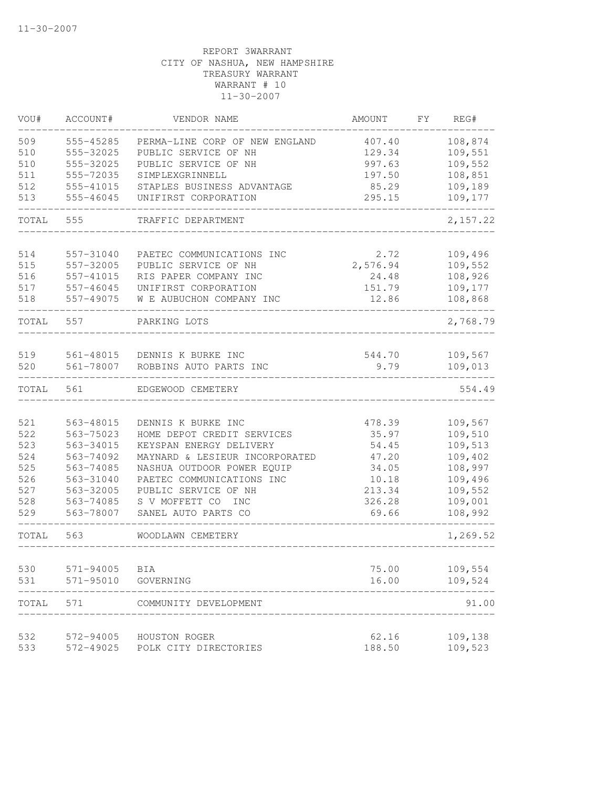| VOU#       | ACCOUNT#                   | VENDOR NAME                                      | <b>AMOUNT</b>   | FY. | REG#               |
|------------|----------------------------|--------------------------------------------------|-----------------|-----|--------------------|
| 509        | 555-45285                  | PERMA-LINE CORP OF NEW ENGLAND                   | 407.40          |     | 108,874            |
| 510        | 555-32025                  | PUBLIC SERVICE OF NH                             | 129.34          |     | 109,551            |
| 510        | 555-32025                  | PUBLIC SERVICE OF NH                             | 997.63          |     | 109,552            |
| 511        | 555-72035                  | SIMPLEXGRINNELL                                  | 197.50          |     | 108,851            |
| 512        | 555-41015                  | STAPLES BUSINESS ADVANTAGE                       | 85.29           |     | 109,189            |
| 513        | 555-46045                  | UNIFIRST CORPORATION                             | 295.15          |     | 109,177            |
| TOTAL      | 555                        | TRAFFIC DEPARTMENT                               |                 |     | 2,157.22           |
|            |                            |                                                  |                 |     |                    |
| 514        | 557-31040                  | PAETEC COMMUNICATIONS INC                        | 2.72            |     | 109,496            |
| 515        | 557-32005                  | PUBLIC SERVICE OF NH                             | 2,576.94        |     | 109,552            |
| 516        | 557-41015                  | RIS PAPER COMPANY INC                            | 24.48           |     | 108,926            |
| 517<br>518 | $557 - 46045$<br>557-49075 | UNIFIRST CORPORATION<br>W E AUBUCHON COMPANY INC | 151.79<br>12.86 |     | 109,177<br>108,868 |
|            |                            |                                                  |                 |     |                    |
| TOTAL      | 557                        | PARKING LOTS                                     |                 |     | 2,768.79           |
| 519        | 561-48015                  | DENNIS K BURKE INC                               | 544.70          |     | 109,567            |
| 520        | 561-78007                  | ROBBINS AUTO PARTS INC                           | 9.79            |     | 109,013            |
| TOTAL      | 561                        | EDGEWOOD CEMETERY                                |                 |     | 554.49             |
|            |                            |                                                  |                 |     |                    |
| 521        | 563-48015                  | DENNIS K BURKE INC                               | 478.39          |     | 109,567            |
| 522        | 563-75023                  | HOME DEPOT CREDIT SERVICES                       | 35.97           |     | 109,510            |
| 523        | 563-34015                  | KEYSPAN ENERGY DELIVERY                          | 54.45           |     | 109,513            |
| 524        | 563-74092                  | MAYNARD & LESIEUR INCORPORATED                   | 47.20           |     | 109,402            |
| 525        | 563-74085                  | NASHUA OUTDOOR POWER EQUIP                       | 34.05           |     | 108,997            |
| 526        | 563-31040                  | PAETEC COMMUNICATIONS INC                        | 10.18           |     | 109,496            |
| 527        | 563-32005                  | PUBLIC SERVICE OF NH                             | 213.34          |     | 109,552            |
| 528        | 563-74085                  | S V MOFFETT CO<br>INC                            | 326.28          |     | 109,001            |
| 529        | 563-78007                  | SANEL AUTO PARTS CO                              | 69.66           |     | 108,992            |
| TOTAL      | 563                        | WOODLAWN CEMETERY                                |                 |     | 1,269.52           |
| 530        | 571-94005                  | BIA                                              | 75.00           |     | 109,554            |
| 531        | $571 - 95010$              | GOVERNING                                        | 16.00           |     | 109,524            |
| TOTAL      | 571                        | COMMUNITY DEVELOPMENT                            |                 |     | 91.00              |
| 532        | 572-94005                  | HOUSTON ROGER                                    | 62.16           |     | 109,138            |
| 533        | 572-49025                  | POLK CITY DIRECTORIES                            | 188.50          |     | 109,523            |
|            |                            |                                                  |                 |     |                    |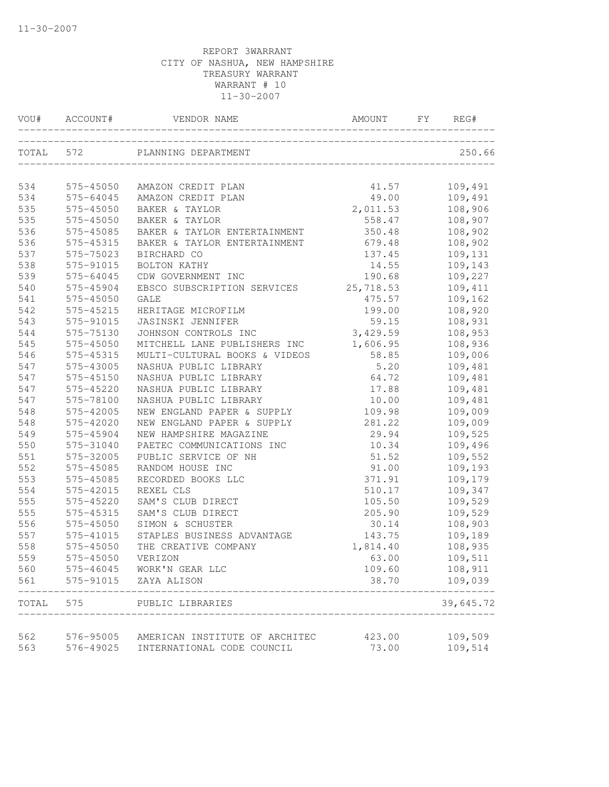| VOU#  | ACCOUNT#  | VENDOR NAME                                                  | AMOUNT    | FY. | REG#              |
|-------|-----------|--------------------------------------------------------------|-----------|-----|-------------------|
| TOTAL | 572       | PLANNING DEPARTMENT                                          |           |     | 250.66            |
| 534   | 575-45050 | AMAZON CREDIT PLAN                                           | 41.57     |     | 109,491           |
| 534   | 575-64045 | AMAZON CREDIT PLAN                                           | 49.00     |     | 109,491           |
| 535   | 575-45050 | BAKER & TAYLOR                                               | 2,011.53  |     | 108,906           |
| 535   | 575-45050 | BAKER & TAYLOR                                               | 558.47    |     | 108,907           |
| 536   | 575-45085 | BAKER & TAYLOR ENTERTAINMENT                                 | 350.48    |     | 108,902           |
| 536   | 575-45315 | BAKER & TAYLOR ENTERTAINMENT                                 | 679.48    |     | 108,902           |
| 537   | 575-75023 | BIRCHARD CO                                                  | 137.45    |     | 109,131           |
| 538   | 575-91015 | BOLTON KATHY                                                 | 14.55     |     | 109,143           |
| 539   | 575-64045 | CDW GOVERNMENT INC                                           | 190.68    |     | 109,227           |
| 540   | 575-45904 | EBSCO SUBSCRIPTION SERVICES                                  | 25,718.53 |     | 109,411           |
| 541   | 575-45050 | <b>GALE</b>                                                  | 475.57    |     | 109,162           |
| 542   | 575-45215 | HERITAGE MICROFILM                                           | 199.00    |     | 108,920           |
| 543   | 575-91015 | JASINSKI JENNIFER                                            | 59.15     |     | 108,931           |
| 544   | 575-75130 | JOHNSON CONTROLS INC                                         | 3,429.59  |     | 108,953           |
| 545   | 575-45050 | MITCHELL LANE PUBLISHERS INC                                 | 1,606.95  |     | 108,936           |
| 546   | 575-45315 | MULTI-CULTURAL BOOKS & VIDEOS                                | 58.85     |     | 109,006           |
| 547   | 575-43005 | NASHUA PUBLIC LIBRARY                                        | 5.20      |     | 109,481           |
| 547   | 575-45150 | NASHUA PUBLIC LIBRARY                                        | 64.72     |     | 109,481           |
| 547   | 575-45220 | NASHUA PUBLIC LIBRARY                                        | 17.88     |     | 109,481           |
| 547   | 575-78100 | NASHUA PUBLIC LIBRARY                                        | 10.00     |     | 109,481           |
| 548   | 575-42005 | NEW ENGLAND PAPER & SUPPLY                                   | 109.98    |     | 109,009           |
| 548   | 575-42020 | NEW ENGLAND PAPER & SUPPLY                                   | 281.22    |     | 109,009           |
| 549   | 575-45904 | NEW HAMPSHIRE MAGAZINE                                       | 29.94     |     | 109,525           |
| 550   | 575-31040 | PAETEC COMMUNICATIONS INC                                    | 10.34     |     | 109,496           |
| 551   | 575-32005 | PUBLIC SERVICE OF NH                                         | 51.52     |     | 109,552           |
| 552   | 575-45085 | RANDOM HOUSE INC                                             | 91.00     |     | 109,193           |
| 553   | 575-45085 | RECORDED BOOKS LLC                                           | 371.91    |     | 109,179           |
| 554   | 575-42015 | REXEL CLS                                                    | 510.17    |     | 109,347           |
| 555   | 575-45220 | SAM'S CLUB DIRECT                                            | 105.50    |     | 109,529           |
| 555   | 575-45315 | SAM'S CLUB DIRECT                                            | 205.90    |     | 109,529           |
| 556   | 575-45050 | SIMON & SCHUSTER                                             | 30.14     |     | 108,903           |
| 557   | 575-41015 | STAPLES BUSINESS ADVANTAGE                                   | 143.75    |     | 109,189           |
| 558   | 575-45050 | THE CREATIVE COMPANY                                         | 1,814.40  |     | 108,935           |
| 559   | 575-45050 | VERIZON                                                      | 63.00     |     | 109,511           |
| 560   |           | 575-46045 WORK'N GEAR LLC                                    | 109.60    |     | 108,911           |
| 561   |           | 575-91015 ZAYA ALISON                                        | 38.70     |     | 109,039<br>------ |
| TOTAL | 575       | PUBLIC LIBRARIES                                             |           |     | 39,645.72         |
| 562   | 576-95005 |                                                              | 423.00    |     | 109,509           |
| 563   | 576-49025 | AMERICAN INSTITUTE OF ARCHITEC<br>INTERNATIONAL CODE COUNCIL | 73.00     |     | 109,514           |
|       |           |                                                              |           |     |                   |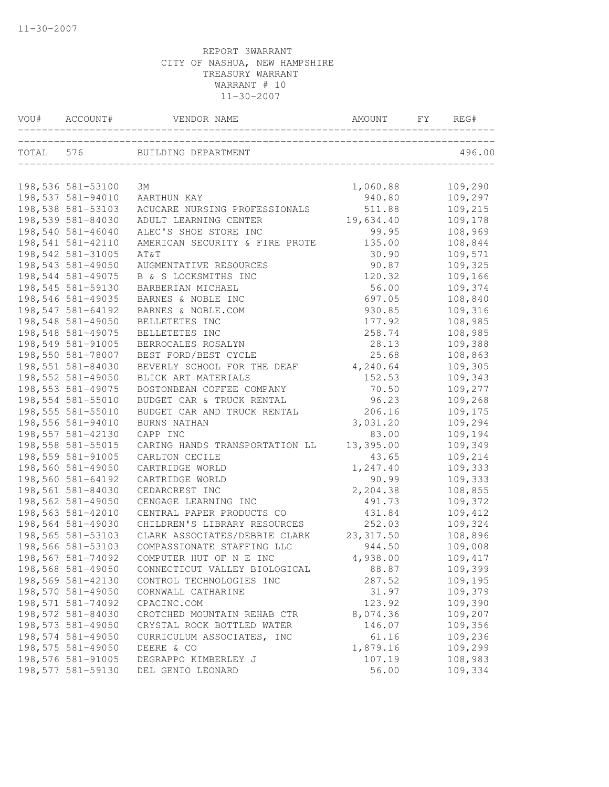| VOU# ACCOUNT#     | VENDOR NAME                                                           | AMOUNT FY  | REG#    |
|-------------------|-----------------------------------------------------------------------|------------|---------|
|                   | TOTAL 576 BUILDING DEPARTMENT<br>____________________________________ |            | 496.00  |
| 198,536 581-53100 | ЗМ                                                                    | 1,060.88   | 109,290 |
| 198,537 581-94010 | AARTHUN KAY                                                           | 940.80     | 109,297 |
| 198,538 581-53103 | ACUCARE NURSING PROFESSIONALS                                         | 511.88     | 109,215 |
| 198,539 581-84030 | ADULT LEARNING CENTER                                                 | 19,634.40  | 109,178 |
| 198,540 581-46040 | ALEC'S SHOE STORE INC                                                 | 99.95      | 108,969 |
| 198,541 581-42110 | AMERICAN SECURITY & FIRE PROTE                                        | 135.00     | 108,844 |
| 198,542 581-31005 | AT&T                                                                  | 30.90      | 109,571 |
| 198,543 581-49050 | AUGMENTATIVE RESOURCES                                                | 90.87      | 109,325 |
| 198,544 581-49075 | B & S LOCKSMITHS INC                                                  | 120.32     | 109,166 |
| 198,545 581-59130 | BARBERIAN MICHAEL                                                     | 56.00      | 109,374 |
| 198,546 581-49035 | BARNES & NOBLE INC                                                    | 697.05     | 108,840 |
| 198,547 581-64192 | BARNES & NOBLE.COM                                                    | 930.85     | 109,316 |
| 198,548 581-49050 | BELLETETES INC                                                        | 177.92     | 108,985 |
| 198,548 581-49075 | BELLETETES INC                                                        | 258.74     | 108,985 |
| 198,549 581-91005 | BERROCALES ROSALYN                                                    | 28.13      | 109,388 |
| 198,550 581-78007 | BEST FORD/BEST CYCLE                                                  | 25.68      | 108,863 |
| 198,551 581-84030 | BEVERLY SCHOOL FOR THE DEAF                                           | 4,240.64   | 109,305 |
| 198,552 581-49050 | BLICK ART MATERIALS                                                   | 152.53     | 109,343 |
| 198,553 581-49075 | BOSTONBEAN COFFEE COMPANY                                             | 70.50      | 109,277 |
| 198,554 581-55010 | BUDGET CAR & TRUCK RENTAL                                             | 96.23      | 109,268 |
| 198,555 581-55010 | BUDGET CAR AND TRUCK RENTAL                                           | 206.16     | 109,175 |
| 198,556 581-94010 | BURNS NATHAN                                                          | 3,031.20   | 109,294 |
| 198,557 581-42130 | CAPP INC                                                              | 83.00      | 109,194 |
| 198,558 581-55015 | CARING HANDS TRANSPORTATION LL                                        | 13,395.00  | 109,349 |
| 198,559 581-91005 | CARLTON CECILE                                                        | 43.65      | 109,214 |
| 198,560 581-49050 | CARTRIDGE WORLD                                                       | 1,247.40   | 109,333 |
| 198,560 581-64192 | CARTRIDGE WORLD                                                       | 90.99      | 109,333 |
| 198,561 581-84030 | CEDARCREST INC                                                        | 2,204.38   | 108,855 |
| 198,562 581-49050 | CENGAGE LEARNING INC                                                  | 491.73     | 109,372 |
| 198,563 581-42010 | CENTRAL PAPER PRODUCTS CO                                             | 431.84     | 109,412 |
| 198,564 581-49030 | CHILDREN'S LIBRARY RESOURCES                                          | 252.03     | 109,324 |
| 198,565 581-53103 | CLARK ASSOCIATES/DEBBIE CLARK                                         | 23, 317.50 | 108,896 |
| 198,566 581-53103 | COMPASSIONATE STAFFING LLC                                            | 944.50     | 109,008 |
| 198,567 581-74092 | COMPUTER HUT OF N E INC                                               | 4,938.00   | 109,417 |
| 198,568 581-49050 | CONNECTICUT VALLEY BIOLOGICAL                                         | 88.87      | 109,399 |
| 198,569 581-42130 | CONTROL TECHNOLOGIES INC                                              | 287.52     | 109,195 |
| 198,570 581-49050 | CORNWALL CATHARINE                                                    | 31.97      | 109,379 |
| 198,571 581-74092 | CPACINC.COM                                                           | 123.92     | 109,390 |
| 198,572 581-84030 | CROTCHED MOUNTAIN REHAB CTR                                           | 8,074.36   | 109,207 |
| 198,573 581-49050 | CRYSTAL ROCK BOTTLED WATER                                            | 146.07     | 109,356 |
| 198,574 581-49050 | CURRICULUM ASSOCIATES, INC                                            | 61.16      | 109,236 |
| 198,575 581-49050 | DEERE & CO                                                            | 1,879.16   | 109,299 |
| 198,576 581-91005 | DEGRAPPO KIMBERLEY J                                                  | 107.19     | 108,983 |
| 198,577 581-59130 | DEL GENIO LEONARD                                                     | 56.00      | 109,334 |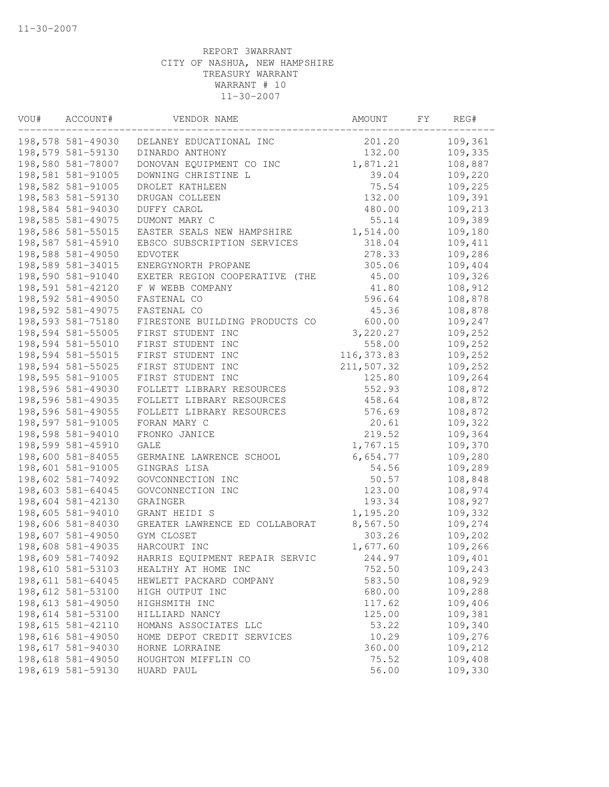| VOU# | ACCOUNT#          | VENDOR NAME                    | AMOUNT      | FΥ | REG#    |
|------|-------------------|--------------------------------|-------------|----|---------|
|      | 198,578 581-49030 | DELANEY EDUCATIONAL INC        | 201.20      |    | 109,361 |
|      | 198,579 581-59130 | DINARDO ANTHONY                | 132.00      |    | 109,335 |
|      | 198,580 581-78007 | DONOVAN EQUIPMENT CO INC       | 1,871.21    |    | 108,887 |
|      | 198,581 581-91005 | DOWNING CHRISTINE L            | 39.04       |    | 109,220 |
|      | 198,582 581-91005 | DROLET KATHLEEN                | 75.54       |    | 109,225 |
|      | 198,583 581-59130 | DRUGAN COLLEEN                 | 132.00      |    | 109,391 |
|      | 198,584 581-94030 | DUFFY CAROL                    | 480.00      |    | 109,213 |
|      | 198,585 581-49075 | DUMONT MARY C                  | 55.14       |    | 109,389 |
|      | 198,586 581-55015 | EASTER SEALS NEW HAMPSHIRE     | 1,514.00    |    | 109,180 |
|      | 198,587 581-45910 | EBSCO SUBSCRIPTION SERVICES    | 318.04      |    | 109,411 |
|      | 198,588 581-49050 | <b>EDVOTEK</b>                 | 278.33      |    | 109,286 |
|      | 198,589 581-34015 | ENERGYNORTH PROPANE            | 305.06      |    | 109,404 |
|      | 198,590 581-91040 | EXETER REGION COOPERATIVE (THE | 45.00       |    | 109,326 |
|      | 198,591 581-42120 | F W WEBB COMPANY               | 41.80       |    | 108,912 |
|      | 198,592 581-49050 | FASTENAL CO                    | 596.64      |    | 108,878 |
|      | 198,592 581-49075 | FASTENAL CO                    | 45.36       |    | 108,878 |
|      | 198,593 581-75180 | FIRESTONE BUILDING PRODUCTS CO | 600.00      |    | 109,247 |
|      | 198,594 581-55005 | FIRST STUDENT INC              | 3,220.27    |    | 109,252 |
|      | 198,594 581-55010 | FIRST STUDENT INC              | 558.00      |    | 109,252 |
|      | 198,594 581-55015 | FIRST STUDENT INC              | 116, 373.83 |    | 109,252 |
|      | 198,594 581-55025 | FIRST STUDENT INC              | 211,507.32  |    | 109,252 |
|      | 198,595 581-91005 | FIRST STUDENT INC              | 125.80      |    | 109,264 |
|      | 198,596 581-49030 | FOLLETT LIBRARY RESOURCES      | 552.93      |    | 108,872 |
|      | 198,596 581-49035 | FOLLETT LIBRARY RESOURCES      | 458.64      |    | 108,872 |
|      | 198,596 581-49055 | FOLLETT LIBRARY RESOURCES      | 576.69      |    | 108,872 |
|      | 198,597 581-91005 | FORAN MARY C                   | 20.61       |    | 109,322 |
|      | 198,598 581-94010 | FRONKO JANICE                  | 219.52      |    | 109,364 |
|      | 198,599 581-45910 | GALE                           | 1,767.15    |    | 109,370 |
|      | 198,600 581-84055 | GERMAINE LAWRENCE SCHOOL       | 6,654.77    |    | 109,280 |
|      | 198,601 581-91005 | GINGRAS LISA                   | 54.56       |    | 109,289 |
|      | 198,602 581-74092 | GOVCONNECTION INC              | 50.57       |    | 108,848 |
|      | 198,603 581-64045 | GOVCONNECTION INC              | 123.00      |    | 108,974 |
|      | 198,604 581-42130 | GRAINGER                       | 193.34      |    | 108,927 |
|      | 198,605 581-94010 | GRANT HEIDI S                  | 1,195.20    |    | 109,332 |
|      | 198,606 581-84030 | GREATER LAWRENCE ED COLLABORAT | 8,567.50    |    | 109,274 |
|      | 198,607 581-49050 | GYM CLOSET                     | 303.26      |    | 109,202 |
|      | 198,608 581-49035 | HARCOURT INC                   | 1,677.60    |    | 109,266 |
|      | 198,609 581-74092 | HARRIS EQUIPMENT REPAIR SERVIC | 244.97      |    | 109,401 |
|      | 198,610 581-53103 | HEALTHY AT HOME INC            | 752.50      |    | 109,243 |
|      | 198,611 581-64045 | HEWLETT PACKARD COMPANY        | 583.50      |    | 108,929 |
|      | 198,612 581-53100 | HIGH OUTPUT INC                | 680.00      |    | 109,288 |
|      | 198,613 581-49050 | HIGHSMITH INC                  | 117.62      |    | 109,406 |
|      | 198,614 581-53100 | HILLIARD NANCY                 | 125.00      |    | 109,381 |
|      | 198,615 581-42110 | HOMANS ASSOCIATES LLC          | 53.22       |    | 109,340 |
|      | 198,616 581-49050 | HOME DEPOT CREDIT SERVICES     | 10.29       |    | 109,276 |
|      | 198,617 581-94030 | HORNE LORRAINE                 | 360.00      |    | 109,212 |
|      | 198,618 581-49050 | HOUGHTON MIFFLIN CO            | 75.52       |    | 109,408 |
|      | 198,619 581-59130 | HUARD PAUL                     | 56.00       |    | 109,330 |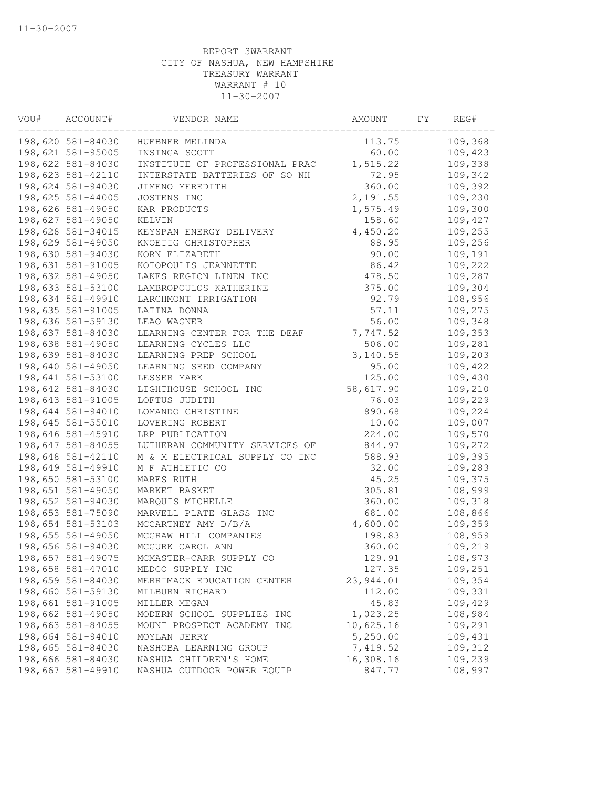| VOU# | ACCOUNT#          | VENDOR NAME                    | AMOUNT    | FY. | REG#    |
|------|-------------------|--------------------------------|-----------|-----|---------|
|      | 198,620 581-84030 | HUEBNER MELINDA                | 113.75    |     | 109,368 |
|      | 198,621 581-95005 | INSINGA SCOTT                  | 60.00     |     | 109,423 |
|      | 198,622 581-84030 | INSTITUTE OF PROFESSIONAL PRAC | 1,515.22  |     | 109,338 |
|      | 198,623 581-42110 | INTERSTATE BATTERIES OF SO NH  | 72.95     |     | 109,342 |
|      | 198,624 581-94030 | JIMENO MEREDITH                | 360.00    |     | 109,392 |
|      | 198,625 581-44005 | JOSTENS INC                    | 2,191.55  |     | 109,230 |
|      | 198,626 581-49050 | KAR PRODUCTS                   | 1,575.49  |     | 109,300 |
|      | 198,627 581-49050 | KELVIN                         | 158.60    |     | 109,427 |
|      | 198,628 581-34015 | KEYSPAN ENERGY DELIVERY        | 4,450.20  |     | 109,255 |
|      | 198,629 581-49050 | KNOETIG CHRISTOPHER            | 88.95     |     | 109,256 |
|      | 198,630 581-94030 | KORN ELIZABETH                 | 90.00     |     | 109,191 |
|      | 198,631 581-91005 | KOTOPOULIS JEANNETTE           | 86.42     |     | 109,222 |
|      | 198,632 581-49050 | LAKES REGION LINEN INC         | 478.50    |     | 109,287 |
|      | 198,633 581-53100 | LAMBROPOULOS KATHERINE         | 375.00    |     | 109,304 |
|      | 198,634 581-49910 | LARCHMONT IRRIGATION           | 92.79     |     | 108,956 |
|      | 198,635 581-91005 | LATINA DONNA                   | 57.11     |     | 109,275 |
|      | 198,636 581-59130 | LEAO WAGNER                    | 56.00     |     | 109,348 |
|      | 198,637 581-84030 | LEARNING CENTER FOR THE DEAF   | 7,747.52  |     | 109,353 |
|      | 198,638 581-49050 | LEARNING CYCLES LLC            | 506.00    |     | 109,281 |
|      | 198,639 581-84030 | LEARNING PREP SCHOOL           | 3,140.55  |     | 109,203 |
|      | 198,640 581-49050 | LEARNING SEED COMPANY          | 95.00     |     | 109,422 |
|      | 198,641 581-53100 | LESSER MARK                    | 125.00    |     | 109,430 |
|      | 198,642 581-84030 | LIGHTHOUSE SCHOOL INC          | 58,617.90 |     | 109,210 |
|      | 198,643 581-91005 | LOFTUS JUDITH                  | 76.03     |     | 109,229 |
|      | 198,644 581-94010 | LOMANDO CHRISTINE              | 890.68    |     | 109,224 |
|      | 198,645 581-55010 | LOVERING ROBERT                | 10.00     |     | 109,007 |
|      | 198,646 581-45910 | LRP PUBLICATION                | 224.00    |     | 109,570 |
|      | 198,647 581-84055 | LUTHERAN COMMUNITY SERVICES OF | 844.97    |     | 109,272 |
|      | 198,648 581-42110 | M & M ELECTRICAL SUPPLY CO INC | 588.93    |     | 109,395 |
|      | 198,649 581-49910 | M F ATHLETIC CO                | 32.00     |     | 109,283 |
|      | 198,650 581-53100 | MARES RUTH                     | 45.25     |     | 109,375 |
|      | 198,651 581-49050 | MARKET BASKET                  | 305.81    |     | 108,999 |
|      | 198,652 581-94030 | MARQUIS MICHELLE               | 360.00    |     | 109,318 |
|      | 198,653 581-75090 | MARVELL PLATE GLASS INC        | 681.00    |     | 108,866 |
|      | 198,654 581-53103 | MCCARTNEY AMY D/B/A            | 4,600.00  |     | 109,359 |
|      | 198,655 581-49050 | MCGRAW HILL COMPANIES          | 198.83    |     | 108,959 |
|      | 198,656 581-94030 | MCGURK CAROL ANN               | 360.00    |     | 109,219 |
|      | 198,657 581-49075 | MCMASTER-CARR SUPPLY CO        | 129.91    |     | 108,973 |
|      | 198,658 581-47010 | MEDCO SUPPLY INC               | 127.35    |     | 109,251 |
|      | 198,659 581-84030 | MERRIMACK EDUCATION CENTER     | 23,944.01 |     | 109,354 |
|      | 198,660 581-59130 | MILBURN RICHARD                | 112.00    |     | 109,331 |
|      | 198,661 581-91005 | MILLER MEGAN                   | 45.83     |     | 109,429 |
|      | 198,662 581-49050 | MODERN SCHOOL SUPPLIES INC     | 1,023.25  |     | 108,984 |
|      | 198,663 581-84055 | MOUNT PROSPECT ACADEMY INC     | 10,625.16 |     | 109,291 |
|      | 198,664 581-94010 | MOYLAN JERRY                   | 5,250.00  |     | 109,431 |
|      | 198,665 581-84030 | NASHOBA LEARNING GROUP         | 7,419.52  |     | 109,312 |
|      | 198,666 581-84030 | NASHUA CHILDREN'S HOME         | 16,308.16 |     | 109,239 |
|      | 198,667 581-49910 | NASHUA OUTDOOR POWER EQUIP     | 847.77    |     | 108,997 |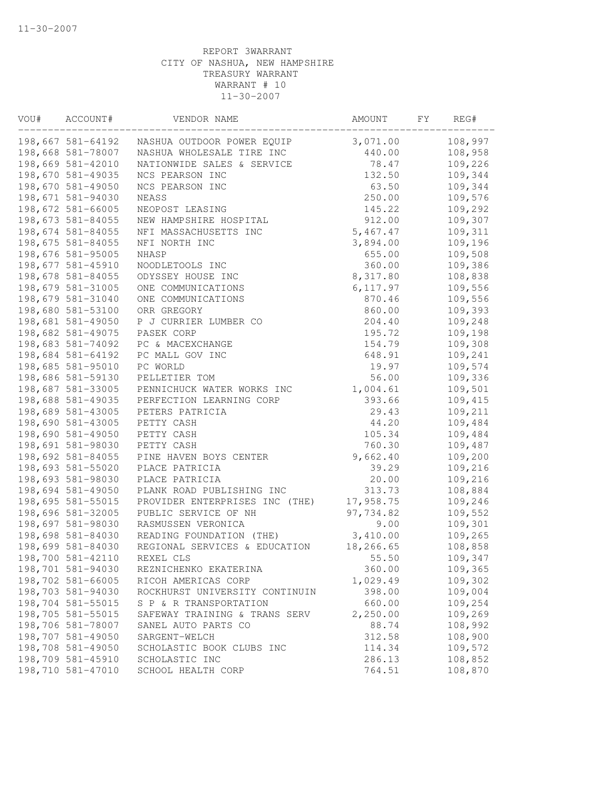| VOU# | ACCOUNT#          | VENDOR NAME                    | AMOUNT    | FY | REG#    |
|------|-------------------|--------------------------------|-----------|----|---------|
|      | 198,667 581-64192 | NASHUA OUTDOOR POWER EQUIP     | 3,071.00  |    | 108,997 |
|      | 198,668 581-78007 | NASHUA WHOLESALE TIRE INC      | 440.00    |    | 108,958 |
|      | 198,669 581-42010 | NATIONWIDE SALES & SERVICE     | 78.47     |    | 109,226 |
|      | 198,670 581-49035 | NCS PEARSON INC                | 132.50    |    | 109,344 |
|      | 198,670 581-49050 | NCS PEARSON INC                | 63.50     |    | 109,344 |
|      | 198,671 581-94030 | <b>NEASS</b>                   | 250.00    |    | 109,576 |
|      | 198,672 581-66005 | NEOPOST LEASING                | 145.22    |    | 109,292 |
|      | 198,673 581-84055 | NEW HAMPSHIRE HOSPITAL         | 912.00    |    | 109,307 |
|      | 198,674 581-84055 | NFI MASSACHUSETTS INC          | 5,467.47  |    | 109,311 |
|      | 198,675 581-84055 | NFI NORTH INC                  | 3,894.00  |    | 109,196 |
|      | 198,676 581-95005 | NHASP                          | 655.00    |    | 109,508 |
|      | 198,677 581-45910 | NOODLETOOLS INC                | 360.00    |    | 109,386 |
|      | 198,678 581-84055 | ODYSSEY HOUSE INC              | 8,317.80  |    | 108,838 |
|      | 198,679 581-31005 | ONE COMMUNICATIONS             | 6, 117.97 |    | 109,556 |
|      | 198,679 581-31040 | ONE COMMUNICATIONS             | 870.46    |    | 109,556 |
|      | 198,680 581-53100 | ORR GREGORY                    | 860.00    |    | 109,393 |
|      | 198,681 581-49050 | P J CURRIER LUMBER CO          | 204.40    |    | 109,248 |
|      | 198,682 581-49075 | PASEK CORP                     | 195.72    |    | 109,198 |
|      | 198,683 581-74092 | PC & MACEXCHANGE               | 154.79    |    | 109,308 |
|      | 198,684 581-64192 | PC MALL GOV INC                | 648.91    |    | 109,241 |
|      | 198,685 581-95010 | PC WORLD                       | 19.97     |    | 109,574 |
|      | 198,686 581-59130 | PELLETIER TOM                  | 56.00     |    | 109,336 |
|      | 198,687 581-33005 | PENNICHUCK WATER WORKS INC     | 1,004.61  |    | 109,501 |
|      | 198,688 581-49035 | PERFECTION LEARNING CORP       | 393.66    |    | 109,415 |
|      | 198,689 581-43005 | PETERS PATRICIA                | 29.43     |    | 109,211 |
|      | 198,690 581-43005 | PETTY CASH                     | 44.20     |    | 109,484 |
|      | 198,690 581-49050 | PETTY CASH                     | 105.34    |    | 109,484 |
|      | 198,691 581-98030 | PETTY CASH                     | 760.30    |    | 109,487 |
|      | 198,692 581-84055 | PINE HAVEN BOYS CENTER         | 9,662.40  |    | 109,200 |
|      | 198,693 581-55020 | PLACE PATRICIA                 | 39.29     |    | 109,216 |
|      | 198,693 581-98030 | PLACE PATRICIA                 | 20.00     |    | 109,216 |
|      | 198,694 581-49050 | PLANK ROAD PUBLISHING INC      | 313.73    |    | 108,884 |
|      | 198,695 581-55015 | PROVIDER ENTERPRISES INC (THE) | 17,958.75 |    | 109,246 |
|      | 198,696 581-32005 | PUBLIC SERVICE OF NH           | 97,734.82 |    | 109,552 |
|      | 198,697 581-98030 | RASMUSSEN VERONICA             | 9.00      |    | 109,301 |
|      | 198,698 581-84030 | READING FOUNDATION (THE)       | 3,410.00  |    | 109,265 |
|      | 198,699 581-84030 | REGIONAL SERVICES & EDUCATION  | 18,266.65 |    | 108,858 |
|      | 198,700 581-42110 | REXEL CLS                      | 55.50     |    | 109,347 |
|      | 198,701 581-94030 | REZNICHENKO EKATERINA          | 360.00    |    | 109,365 |
|      | 198,702 581-66005 | RICOH AMERICAS CORP            | 1,029.49  |    | 109,302 |
|      | 198,703 581-94030 | ROCKHURST UNIVERSITY CONTINUIN | 398.00    |    | 109,004 |
|      | 198,704 581-55015 | S P & R TRANSPORTATION         | 660.00    |    | 109,254 |
|      | 198,705 581-55015 | SAFEWAY TRAINING & TRANS SERV  | 2,250.00  |    | 109,269 |
|      | 198,706 581-78007 | SANEL AUTO PARTS CO            | 88.74     |    | 108,992 |
|      | 198,707 581-49050 | SARGENT-WELCH                  | 312.58    |    | 108,900 |
|      | 198,708 581-49050 | SCHOLASTIC BOOK CLUBS INC      | 114.34    |    | 109,572 |
|      | 198,709 581-45910 | SCHOLASTIC INC                 | 286.13    |    | 108,852 |
|      | 198,710 581-47010 | SCHOOL HEALTH CORP             | 764.51    |    | 108,870 |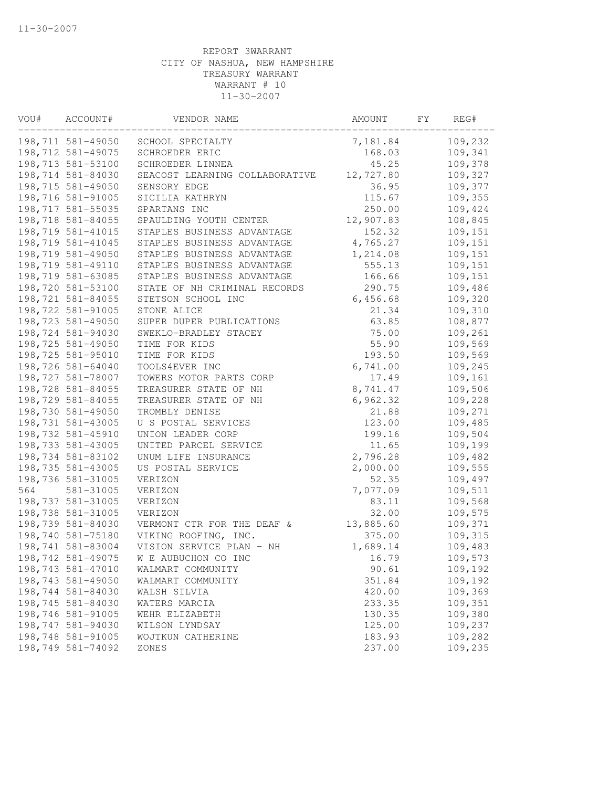| VOU# | ACCOUNT#          | VENDOR NAME                    | AMOUNT    | FY. | REG#    |
|------|-------------------|--------------------------------|-----------|-----|---------|
|      | 198,711 581-49050 | SCHOOL SPECIALTY               | 7,181.84  |     | 109,232 |
|      | 198,712 581-49075 | SCHROEDER ERIC                 | 168.03    |     | 109,341 |
|      | 198,713 581-53100 | SCHROEDER LINNEA               | 45.25     |     | 109,378 |
|      | 198,714 581-84030 | SEACOST LEARNING COLLABORATIVE | 12,727.80 |     | 109,327 |
|      | 198,715 581-49050 | SENSORY EDGE                   | 36.95     |     | 109,377 |
|      | 198,716 581-91005 | SICILIA KATHRYN                | 115.67    |     | 109,355 |
|      | 198,717 581-55035 | SPARTANS INC                   | 250.00    |     | 109,424 |
|      | 198,718 581-84055 | SPAULDING YOUTH CENTER         | 12,907.83 |     | 108,845 |
|      | 198,719 581-41015 | STAPLES BUSINESS ADVANTAGE     | 152.32    |     | 109,151 |
|      | 198,719 581-41045 | STAPLES BUSINESS ADVANTAGE     | 4,765.27  |     | 109,151 |
|      | 198,719 581-49050 | STAPLES BUSINESS ADVANTAGE     | 1,214.08  |     | 109,151 |
|      | 198,719 581-49110 | STAPLES BUSINESS ADVANTAGE     | 555.13    |     | 109,151 |
|      | 198,719 581-63085 | STAPLES BUSINESS ADVANTAGE     | 166.66    |     | 109,151 |
|      | 198,720 581-53100 | STATE OF NH CRIMINAL RECORDS   | 290.75    |     | 109,486 |
|      | 198,721 581-84055 | STETSON SCHOOL INC             | 6,456.68  |     | 109,320 |
|      | 198,722 581-91005 | STONE ALICE                    | 21.34     |     | 109,310 |
|      | 198,723 581-49050 | SUPER DUPER PUBLICATIONS       | 63.85     |     | 108,877 |
|      | 198,724 581-94030 | SWEKLO-BRADLEY STACEY          | 75.00     |     | 109,261 |
|      | 198,725 581-49050 | TIME FOR KIDS                  | 55.90     |     | 109,569 |
|      | 198,725 581-95010 | TIME FOR KIDS                  | 193.50    |     | 109,569 |
|      | 198,726 581-64040 | TOOLS4EVER INC                 | 6,741.00  |     | 109,245 |
|      | 198,727 581-78007 | TOWERS MOTOR PARTS CORP        | 17.49     |     | 109,161 |
|      | 198,728 581-84055 | TREASURER STATE OF NH          | 8,741.47  |     | 109,506 |
|      | 198,729 581-84055 | TREASURER STATE OF NH          | 6,962.32  |     | 109,228 |
|      | 198,730 581-49050 | TROMBLY DENISE                 | 21.88     |     | 109,271 |
|      | 198,731 581-43005 | U S POSTAL SERVICES            | 123.00    |     | 109,485 |
|      | 198,732 581-45910 | UNION LEADER CORP              | 199.16    |     | 109,504 |
|      | 198,733 581-43005 | UNITED PARCEL SERVICE          | 11.65     |     | 109,199 |
|      | 198,734 581-83102 | UNUM LIFE INSURANCE            | 2,796.28  |     | 109,482 |
|      | 198,735 581-43005 | US POSTAL SERVICE              | 2,000.00  |     | 109,555 |
|      | 198,736 581-31005 | VERIZON                        | 52.35     |     | 109,497 |
| 564  | 581-31005         | VERIZON                        | 7,077.09  |     | 109,511 |
|      | 198,737 581-31005 | VERIZON                        | 83.11     |     | 109,568 |
|      | 198,738 581-31005 | VERIZON                        | 32.00     |     | 109,575 |
|      | 198,739 581-84030 | VERMONT CTR FOR THE DEAF &     | 13,885.60 |     | 109,371 |
|      | 198,740 581-75180 | VIKING ROOFING, INC.           | 375.00    |     | 109,315 |
|      | 198,741 581-83004 | VISION SERVICE PLAN - NH       | 1,689.14  |     | 109,483 |
|      | 198,742 581-49075 | W E AUBUCHON CO INC            | 16.79     |     | 109,573 |
|      | 198,743 581-47010 | WALMART COMMUNITY              | 90.61     |     | 109,192 |
|      | 198,743 581-49050 | WALMART COMMUNITY              | 351.84    |     | 109,192 |
|      | 198,744 581-84030 | WALSH SILVIA                   | 420.00    |     | 109,369 |
|      | 198,745 581-84030 | WATERS MARCIA                  | 233.35    |     | 109,351 |
|      | 198,746 581-91005 | WEHR ELIZABETH                 | 130.35    |     | 109,380 |
|      | 198,747 581-94030 | WILSON LYNDSAY                 | 125.00    |     | 109,237 |
|      | 198,748 581-91005 | WOJTKUN CATHERINE              | 183.93    |     | 109,282 |
|      | 198,749 581-74092 | ZONES                          | 237.00    |     | 109,235 |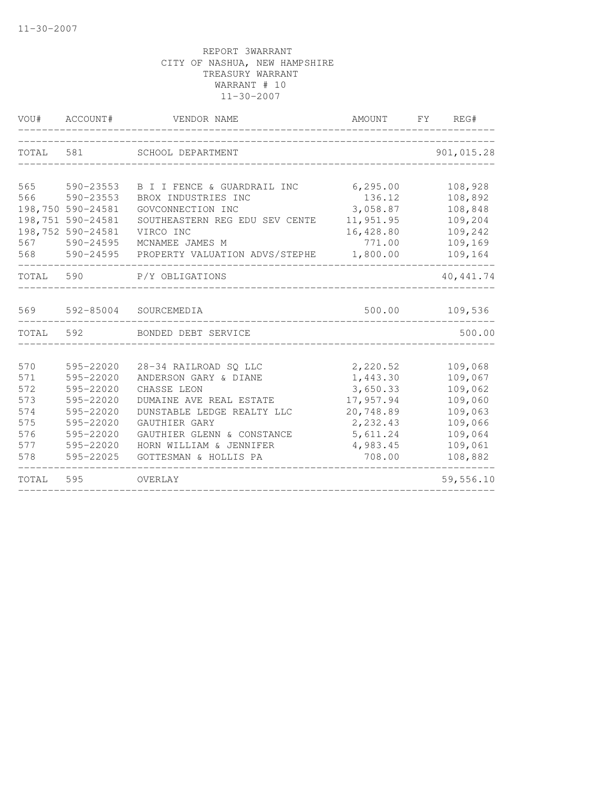| VOU#  | ACCOUNT#          | VENDOR NAME                    | AMOUNT    | FY REG#    |
|-------|-------------------|--------------------------------|-----------|------------|
| TOTAL | 581               | SCHOOL DEPARTMENT              |           | 901,015.28 |
| 565   | 590-23553         | B I I FENCE & GUARDRAIL INC    | 6, 295.00 | 108,928    |
| 566   | 590-23553         | BROX INDUSTRIES INC            | 136.12    | 108,892    |
|       | 198,750 590-24581 | GOVCONNECTION INC              | 3,058.87  | 108,848    |
|       | 198,751 590-24581 | SOUTHEASTERN REG EDU SEV CENTE | 11,951.95 | 109,204    |
|       | 198,752 590-24581 | VIRCO INC                      | 16,428.80 | 109,242    |
| 567   | 590-24595         | MCNAMEE JAMES M                | 771.00    | 109,169    |
| 568   | 590-24595         | PROPERTY VALUATION ADVS/STEPHE | 1,800.00  | 109,164    |
| TOTAL | 590               | P/Y OBLIGATIONS                |           | 40, 441.74 |
| 569   | 592-85004         | SOURCEMEDIA                    | 500.00    | 109,536    |
| TOTAL | 592               | BONDED DEBT SERVICE            |           | 500.00     |
|       |                   |                                |           |            |
| 570   | 595-22020         | 28-34 RAILROAD SQ LLC          | 2,220.52  | 109,068    |
| 571   | 595-22020         | ANDERSON GARY & DIANE          | 1,443.30  | 109,067    |
| 572   | 595-22020         | CHASSE LEON                    | 3,650.33  | 109,062    |
| 573   | 595-22020         | DUMAINE AVE REAL ESTATE        | 17,957.94 | 109,060    |
| 574   | 595-22020         | DUNSTABLE LEDGE REALTY LLC     | 20,748.89 | 109,063    |
| 575   | 595-22020         | GAUTHIER GARY                  | 2,232.43  | 109,066    |
| 576   | 595-22020         | GAUTHIER GLENN & CONSTANCE     | 5,611.24  | 109,064    |
| 577   | 595-22020         | HORN WILLIAM & JENNIFER        | 4,983.45  | 109,061    |
| 578   | 595-22025         | GOTTESMAN & HOLLIS PA          | 708.00    | 108,882    |
| TOTAL | 595               | OVERLAY                        |           | 59,556.10  |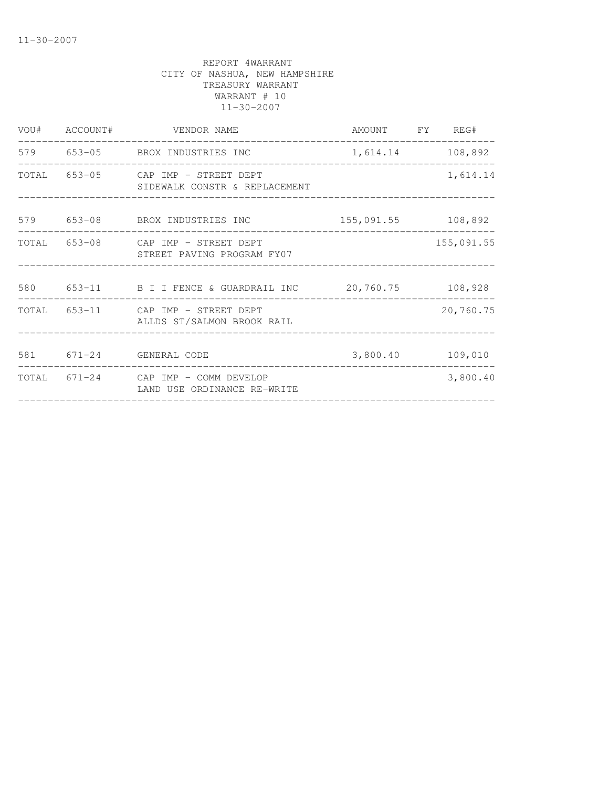|  | VOU# ACCOUNT# VENDOR NAME                                           | AMOUNT FY REG#                      |                  |
|--|---------------------------------------------------------------------|-------------------------------------|------------------|
|  | 579 653-05 BROX INDUSTRIES INC                                      | 1,614.14 108,892                    |                  |
|  | TOTAL 653-05 CAP IMP - STREET DEPT<br>SIDEWALK CONSTR & REPLACEMENT |                                     | 1,614.14         |
|  | 579 653-08 BROX INDUSTRIES INC 155,091.55 108,892                   |                                     |                  |
|  | TOTAL 653-08 CAP IMP - STREET DEPT<br>STREET PAVING PROGRAM FY07    |                                     | 155,091.55       |
|  | 580 653-11 B I I FENCE & GUARDRAIL INC 20,760.75 108,928            |                                     |                  |
|  | TOTAL 653-11 CAP IMP - STREET DEPT<br>ALLDS ST/SALMON BROOK RAIL    |                                     | 20,760.75        |
|  | 581 671-24 GENERAL CODE                                             |                                     | 3,800.40 109,010 |
|  | TOTAL 671-24 CAP IMP - COMM DEVELOP<br>LAND USE ORDINANCE RE-WRITE  | ___________________________________ | 3,800.40         |
|  |                                                                     |                                     |                  |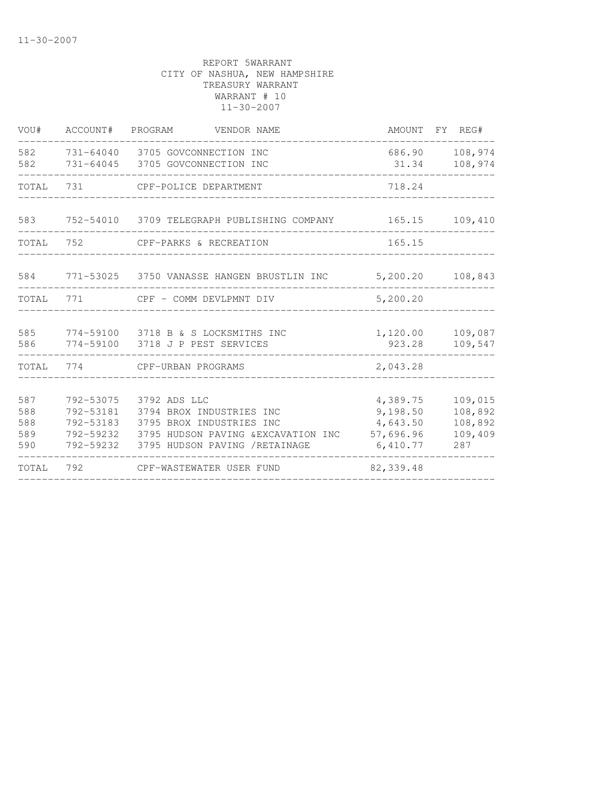| VOU#                            |                                                  | ACCOUNT# PROGRAM VENDOR NAME                                                                                                                            | AMOUNT FY REG#                                            |                                                 |
|---------------------------------|--------------------------------------------------|---------------------------------------------------------------------------------------------------------------------------------------------------------|-----------------------------------------------------------|-------------------------------------------------|
| 582<br>582                      |                                                  | 731-64040 3705 GOVCONNECTION INC<br>731-64045 3705 GOVCONNECTION INC                                                                                    | 686.90<br>31.34                                           | 108,974<br>108,974                              |
| TOTAL 731                       |                                                  | CPF-POLICE DEPARTMENT                                                                                                                                   | 718.24                                                    |                                                 |
|                                 |                                                  | 583 752-54010 3709 TELEGRAPH PUBLISHING COMPANY                                                                                                         | 165.15                                                    | 109,410                                         |
| TOTAL                           | 752                                              | CPF-PARKS & RECREATION                                                                                                                                  | 165.15                                                    |                                                 |
|                                 |                                                  | 584 771-53025 3750 VANASSE HANGEN BRUSTLIN INC                                                                                                          | 5,200.20                                                  | 108,843                                         |
| TOTAL                           | 771                                              | CPF - COMM DEVLPMNT DIV                                                                                                                                 | 5,200.20                                                  |                                                 |
| 585<br>586                      |                                                  | 774-59100 3718 B & S LOCKSMITHS INC<br>774-59100 3718 J P PEST SERVICES                                                                                 | 1,120.00<br>923.28                                        | 109,087<br>109,547                              |
| TOTAL                           | 774                                              | CPF-URBAN PROGRAMS                                                                                                                                      | 2,043.28                                                  |                                                 |
| 587<br>588<br>588<br>589<br>590 | 792-53075<br>792-53183<br>792-59232<br>792-59232 | 3792 ADS LLC<br>792-53181 3794 BROX INDUSTRIES INC<br>3795 BROX INDUSTRIES INC<br>3795 HUDSON PAVING & EXCAVATION INC<br>3795 HUDSON PAVING / RETAINAGE | 4,389.75<br>9,198.50<br>4,643.50<br>57,696.96<br>6,410.77 | 109,015<br>108,892<br>108,892<br>109,409<br>287 |
| TOTAL                           | 792                                              | CPF-WASTEWATER USER FUND                                                                                                                                | 82, 339.48                                                |                                                 |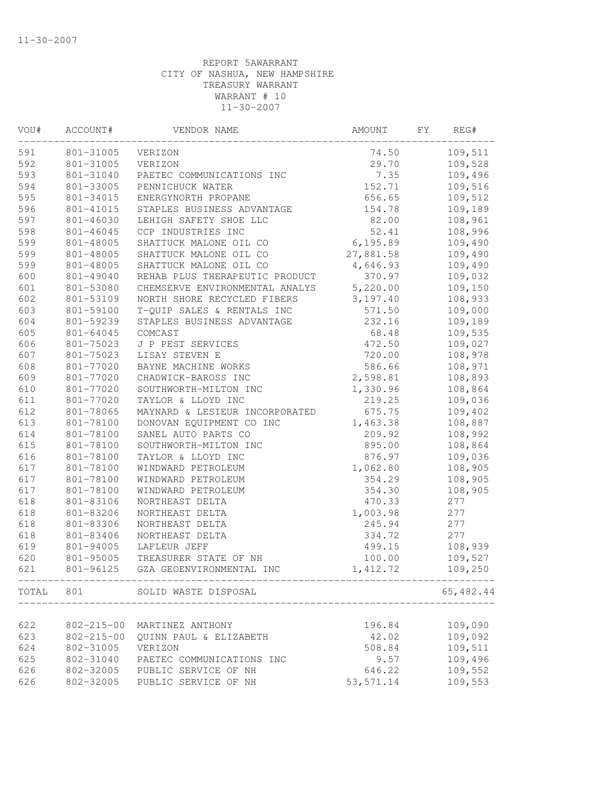| VOU# | ACCOUNT#         | VENDOR NAME                                            | AMOUNT     | FΥ | REG#      |
|------|------------------|--------------------------------------------------------|------------|----|-----------|
| 591  | 801-31005        | VERIZON                                                | 74.50      |    | 109,511   |
| 592  | 801-31005        | VERIZON                                                | 29.70      |    | 109,528   |
| 593  | 801-31040        | PAETEC COMMUNICATIONS INC                              | 7.35       |    | 109,496   |
| 594  | 801-33005        | PENNICHUCK WATER                                       | 152.71     |    | 109,516   |
| 595  | 801-34015        | ENERGYNORTH PROPANE                                    | 656.65     |    | 109,512   |
| 596  | 801-41015        | STAPLES BUSINESS ADVANTAGE                             | 154.78     |    | 109,189   |
| 597  | 801-46030        | LEHIGH SAFETY SHOE LLC                                 | 82.00      |    | 108,961   |
| 598  | 801-46045        | CCP INDUSTRIES INC                                     | 52.41      |    | 108,996   |
| 599  | 801-48005        | SHATTUCK MALONE OIL CO                                 | 6, 195.89  |    | 109,490   |
| 599  | 801-48005        | SHATTUCK MALONE OIL CO                                 | 27,881.58  |    | 109,490   |
| 599  | 801-48005        | SHATTUCK MALONE OIL CO                                 | 4,646.93   |    | 109,490   |
| 600  | 801-49040        | REHAB PLUS THERAPEUTIC PRODUCT                         | 370.97     |    | 109,032   |
| 601  | 801-53080        | CHEMSERVE ENVIRONMENTAL ANALYS                         | 5,220.00   |    | 109,150   |
| 602  | 801-53109        | NORTH SHORE RECYCLED FIBERS                            | 3,197.40   |    | 108,933   |
| 603  | 801-59100        | T-QUIP SALES & RENTALS INC                             | 571.50     |    | 109,000   |
| 604  | 801-59239        | STAPLES BUSINESS ADVANTAGE                             | 232.16     |    | 109,189   |
| 605  | 801-64045        | COMCAST                                                | 68.48      |    | 109,535   |
| 606  | 801-75023        | J P PEST SERVICES                                      | 472.50     |    | 109,027   |
| 607  | 801-75023        | LISAY STEVEN E                                         | 720.00     |    | 108,978   |
| 608  | 801-77020        | BAYNE MACHINE WORKS                                    | 586.66     |    | 108,971   |
| 609  | 801-77020        | CHADWICK-BAROSS INC                                    | 2,598.81   |    | 108,893   |
| 610  | 801-77020        | SOUTHWORTH-MILTON INC                                  | 1,330.96   |    | 108,864   |
| 611  | 801-77020        | TAYLOR & LLOYD INC                                     | 219.25     |    | 109,036   |
| 612  | 801-78065        | MAYNARD & LESIEUR INCORPORATED                         | 675.75     |    | 109,402   |
| 613  | 801-78100        | DONOVAN EQUIPMENT CO INC                               | 1,463.38   |    | 108,887   |
| 614  | 801-78100        | SANEL AUTO PARTS CO                                    | 209.92     |    | 108,992   |
| 615  | 801-78100        | SOUTHWORTH-MILTON INC                                  | 895.00     |    | 108,864   |
| 616  | 801-78100        | TAYLOR & LLOYD INC                                     | 876.97     |    | 109,036   |
| 617  | 801-78100        | WINDWARD PETROLEUM                                     | 1,062.80   |    | 108,905   |
| 617  | 801-78100        | WINDWARD PETROLEUM                                     | 354.29     |    | 108,905   |
| 617  | 801-78100        | WINDWARD PETROLEUM                                     | 354.30     |    | 108,905   |
| 618  | 801-83106        | NORTHEAST DELTA                                        | 470.33     |    | 277       |
| 618  | 801-83206        | NORTHEAST DELTA                                        | 1,003.98   |    | 277       |
| 618  | 801-83306        | NORTHEAST DELTA                                        | 245.94     |    | 277       |
| 618  | 801-83406        | NORTHEAST DELTA                                        | 334.72     |    | 277       |
| 619  | 801-94005        | LAFLEUR JEFF                                           | 499.15     |    | 108,939   |
| 620  | 801-95005        | TREASURER STATE OF NH                                  | 100.00     |    | 109,527   |
| 621  | 801-96125        | GZA GEOENVIRONMENTAL INC                               | 1,412.72   |    | 109,250   |
|      |                  | TOTAL 801 SOLID WASTE DISPOSAL<br>____________________ |            |    | 65,482.44 |
|      |                  |                                                        |            |    |           |
| 622  | $802 - 215 - 00$ | MARTINEZ ANTHONY                                       | 196.84     |    | 109,090   |
| 623  | $802 - 215 - 00$ | QUINN PAUL & ELIZABETH                                 | 42.02      |    | 109,092   |
| 624  | 802-31005        | VERIZON                                                | 508.84     |    | 109,511   |
| 625  | 802-31040        | PAETEC COMMUNICATIONS INC                              | 9.57       |    | 109,496   |
| 626  |                  | 802-32005 PUBLIC SERVICE OF NH                         | 646.22     |    | 109,552   |
| 626  |                  | 802-32005 PUBLIC SERVICE OF NH                         | 53, 571.14 |    | 109,553   |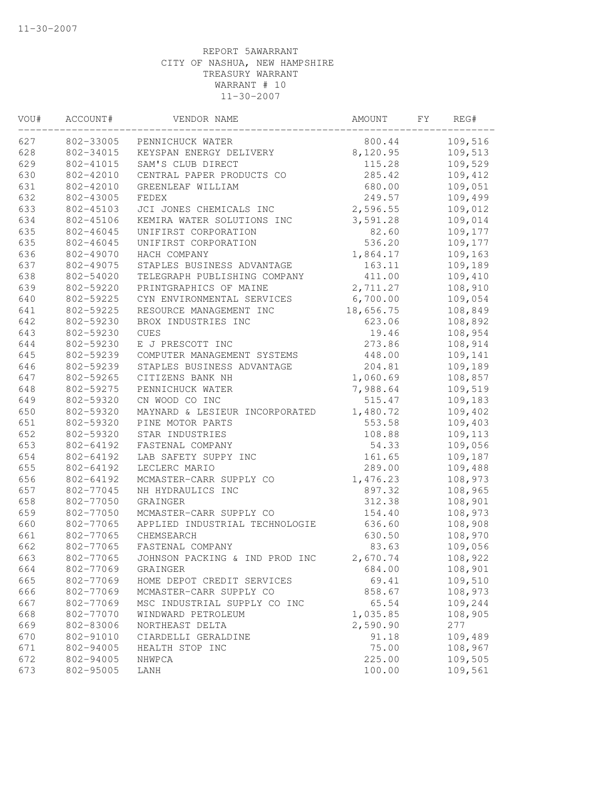| VOU# | ACCOUNT#  | VENDOR NAME                    | AMOUNT    | FΥ | REG#    |
|------|-----------|--------------------------------|-----------|----|---------|
| 627  | 802-33005 | PENNICHUCK WATER               | 800.44    |    | 109,516 |
| 628  | 802-34015 | KEYSPAN ENERGY DELIVERY        | 8,120.95  |    | 109,513 |
| 629  | 802-41015 | SAM'S CLUB DIRECT              | 115.28    |    | 109,529 |
| 630  | 802-42010 | CENTRAL PAPER PRODUCTS CO      | 285.42    |    | 109,412 |
| 631  | 802-42010 | GREENLEAF WILLIAM              | 680.00    |    | 109,051 |
| 632  | 802-43005 | FEDEX                          | 249.57    |    | 109,499 |
| 633  | 802-45103 | JCI JONES CHEMICALS INC        | 2,596.55  |    | 109,012 |
| 634  | 802-45106 | KEMIRA WATER SOLUTIONS INC     | 3,591.28  |    | 109,014 |
| 635  | 802-46045 | UNIFIRST CORPORATION           | 82.60     |    | 109,177 |
| 635  | 802-46045 | UNIFIRST CORPORATION           | 536.20    |    | 109,177 |
| 636  | 802-49070 | HACH COMPANY                   | 1,864.17  |    | 109,163 |
| 637  | 802-49075 | STAPLES BUSINESS ADVANTAGE     | 163.11    |    | 109,189 |
| 638  | 802-54020 | TELEGRAPH PUBLISHING COMPANY   | 411.00    |    | 109,410 |
| 639  | 802-59220 | PRINTGRAPHICS OF MAINE         | 2,711.27  |    | 108,910 |
| 640  | 802-59225 | CYN ENVIRONMENTAL SERVICES     | 6,700.00  |    | 109,054 |
| 641  | 802-59225 | RESOURCE MANAGEMENT INC        | 18,656.75 |    | 108,849 |
| 642  | 802-59230 | BROX INDUSTRIES INC            | 623.06    |    | 108,892 |
| 643  | 802-59230 | <b>CUES</b>                    | 19.46     |    | 108,954 |
| 644  | 802-59230 | E J PRESCOTT INC               | 273.86    |    | 108,914 |
| 645  | 802-59239 | COMPUTER MANAGEMENT SYSTEMS    | 448.00    |    | 109,141 |
| 646  | 802-59239 | STAPLES BUSINESS ADVANTAGE     | 204.81    |    | 109,189 |
| 647  | 802-59265 | CITIZENS BANK NH               | 1,060.69  |    | 108,857 |
| 648  | 802-59275 | PENNICHUCK WATER               | 7,988.64  |    | 109,519 |
| 649  | 802-59320 | CN WOOD CO INC                 | 515.47    |    | 109,183 |
| 650  | 802-59320 | MAYNARD & LESIEUR INCORPORATED | 1,480.72  |    | 109,402 |
| 651  | 802-59320 | PINE MOTOR PARTS               | 553.58    |    | 109,403 |
| 652  | 802-59320 | STAR INDUSTRIES                | 108.88    |    | 109,113 |
| 653  | 802-64192 | FASTENAL COMPANY               | 54.33     |    | 109,056 |
| 654  | 802-64192 | LAB SAFETY SUPPY INC           | 161.65    |    | 109,187 |
| 655  | 802-64192 | LECLERC MARIO                  | 289.00    |    | 109,488 |
| 656  | 802-64192 | MCMASTER-CARR SUPPLY CO        | 1,476.23  |    | 108,973 |
| 657  | 802-77045 | NH HYDRAULICS INC              | 897.32    |    | 108,965 |
| 658  | 802-77050 | GRAINGER                       | 312.38    |    | 108,901 |
| 659  | 802-77050 | MCMASTER-CARR SUPPLY CO        | 154.40    |    | 108,973 |
| 660  | 802-77065 | APPLIED INDUSTRIAL TECHNOLOGIE | 636.60    |    | 108,908 |
| 661  | 802-77065 | CHEMSEARCH                     | 630.50    |    | 108,970 |
| 662  | 802-77065 | FASTENAL COMPANY               | 83.63     |    | 109,056 |
| 663  | 802-77065 | JOHNSON PACKING & IND PROD INC | 2,670.74  |    | 108,922 |
| 664  | 802-77069 | GRAINGER                       | 684.00    |    | 108,901 |
| 665  | 802-77069 | HOME DEPOT CREDIT SERVICES     | 69.41     |    | 109,510 |
| 666  | 802-77069 | MCMASTER-CARR SUPPLY CO        | 858.67    |    | 108,973 |
| 667  | 802-77069 | MSC INDUSTRIAL SUPPLY CO INC   | 65.54     |    | 109,244 |
| 668  | 802-77070 | WINDWARD PETROLEUM             | 1,035.85  |    | 108,905 |
| 669  | 802-83006 | NORTHEAST DELTA                | 2,590.90  |    | 277     |
| 670  | 802-91010 | CIARDELLI GERALDINE            | 91.18     |    | 109,489 |
| 671  | 802-94005 | HEALTH STOP INC                | 75.00     |    | 108,967 |
| 672  | 802-94005 | NHWPCA                         | 225.00    |    | 109,505 |
| 673  | 802-95005 | LANH                           | 100.00    |    | 109,561 |
|      |           |                                |           |    |         |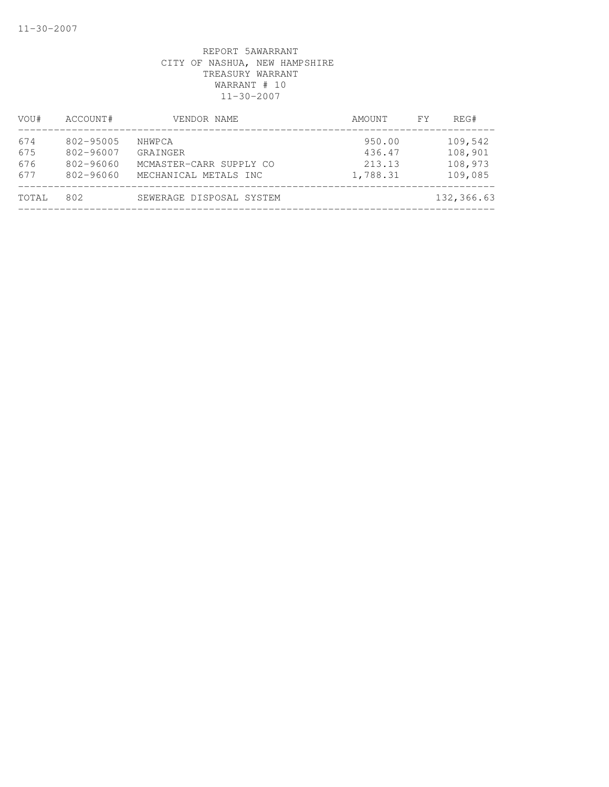| VOU#  | ACCOUNT#      | VENDOR NAME              | AMOUNT   | FY. | REG#       |
|-------|---------------|--------------------------|----------|-----|------------|
| 674   | 802-95005     | NHWPCA                   | 950.00   |     | 109,542    |
| 675   | 802-96007     | GRAINGER                 | 436.47   |     | 108,901    |
| 676   | 802-96060     | MCMASTER-CARR SUPPLY CO  | 213.13   |     | 108,973    |
| 677   | $802 - 96060$ | MECHANICAL METALS INC    | 1,788.31 |     | 109,085    |
| TOTAL | 802           | SEWERAGE DISPOSAL SYSTEM |          |     | 132,366.63 |
|       |               |                          |          |     |            |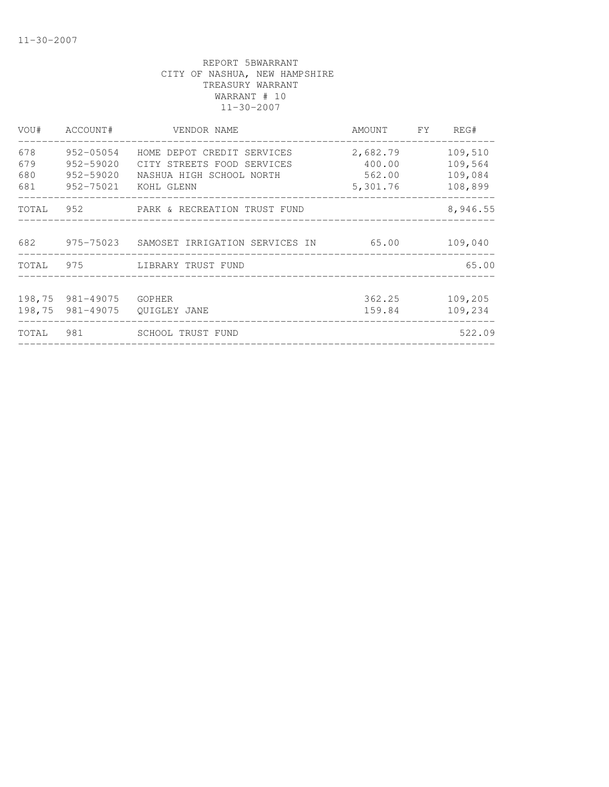| VOU#   | ACCOUNT#         | VENDOR NAME                                     | AMOUNT   | FY. | REG#     |
|--------|------------------|-------------------------------------------------|----------|-----|----------|
| 678    | 952-05054        | HOME DEPOT CREDIT SERVICES                      | 2,682.79 |     | 109,510  |
| 679    | 952-59020        | CITY STREETS FOOD SERVICES                      | 400.00   |     | 109,564  |
| 680    | 952-59020        | NASHUA HIGH SCHOOL NORTH                        | 562.00   |     | 109,084  |
| 681    | 952-75021        | KOHL GLENN<br>_________________________________ | 5,301.76 |     | 108,899  |
| TOTAL  |                  | 952 PARK & RECREATION TRUST FUND                |          |     | 8,946.55 |
| 682    |                  | 975-75023 SAMOSET IRRIGATION SERVICES IN        | 65.00    |     | 109,040  |
| TOTAL  | 975              | LIBRARY TRUST FUND                              |          |     | 65.00    |
|        |                  |                                                 |          |     |          |
|        | 198,75 981-49075 | GOPHER                                          | 362.25   |     | 109,205  |
| 198,75 | 981-49075        | OUIGLEY JANE                                    | 159.84   |     | 109,234  |
| TOTAL  | 981              | <b>SCHOOL TRUST FUND</b>                        |          |     | 522.09   |
|        |                  |                                                 |          |     |          |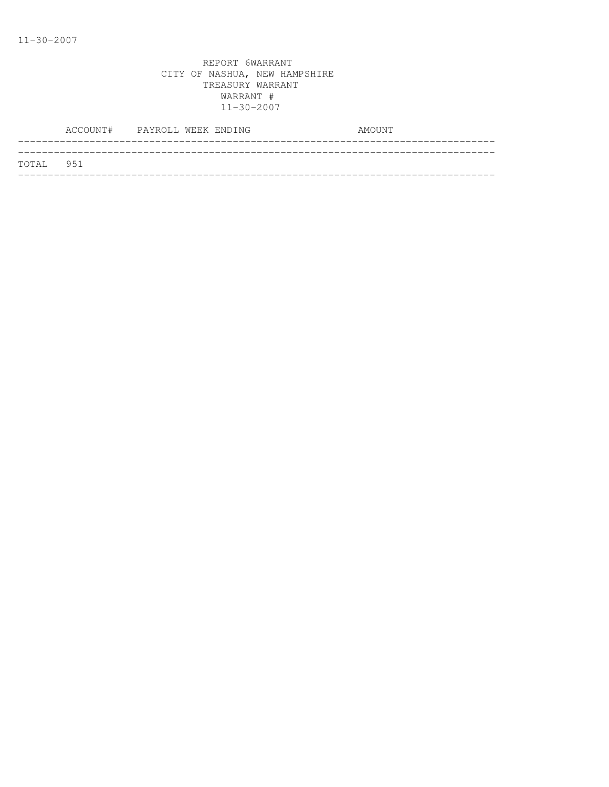|           | ACCOUNT# PAYROLL WEEK ENDING |  |  | AMOUNT |  |
|-----------|------------------------------|--|--|--------|--|
|           |                              |  |  |        |  |
| TOTAL 951 |                              |  |  |        |  |
|           |                              |  |  |        |  |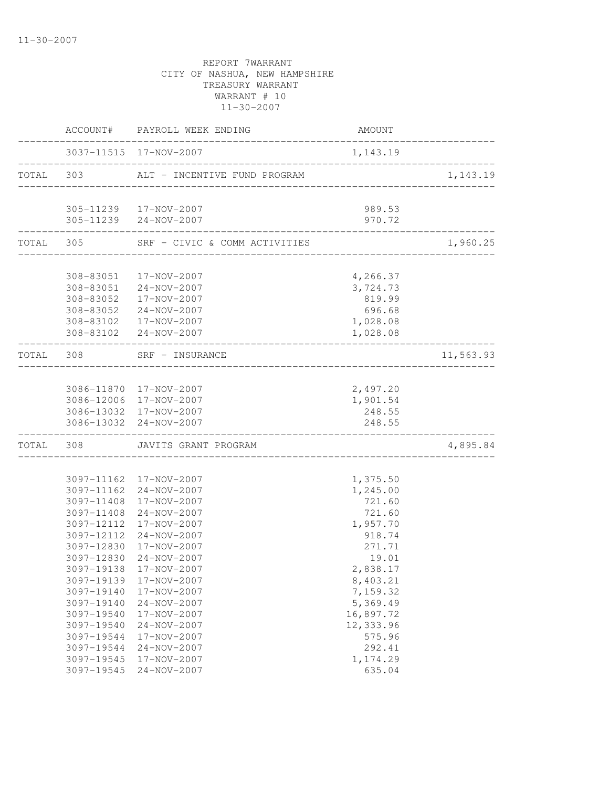|           |            | ACCOUNT# PAYROLL WEEK ENDING                    | AMOUNT           |           |
|-----------|------------|-------------------------------------------------|------------------|-----------|
|           |            | 3037-11515 17-NOV-2007                          | 1, 143.19        |           |
| TOTAL 303 |            | ALT - INCENTIVE FUND PROGRAM                    |                  | 1,143.19  |
|           |            |                                                 |                  |           |
|           |            | 305-11239  17-NOV-2007<br>305-11239 24-NOV-2007 | 989.53<br>970.72 |           |
|           | TOTAL 305  | SRF - CIVIC & COMM ACTIVITIES                   |                  | 1,960.25  |
|           |            |                                                 |                  |           |
|           | 308-83051  | 17-NOV-2007                                     | 4,266.37         |           |
|           |            | 308-83051 24-NOV-2007                           | 3,724.73         |           |
|           |            | 308-83052 17-NOV-2007                           | 819.99           |           |
|           |            | 308-83052 24-NOV-2007                           | 696.68           |           |
|           |            | 308-83102  17-NOV-2007                          | 1,028.08         |           |
|           |            | 308-83102 24-NOV-2007                           | 1,028.08         |           |
| TOTAL 308 |            | SRF - INSURANCE                                 |                  | 11,563.93 |
|           |            |                                                 |                  |           |
|           |            | 3086-11870 17-NOV-2007                          | 2,497.20         |           |
|           |            | 3086-12006 17-NOV-2007                          | 1,901.54         |           |
|           |            | 3086-13032 17-NOV-2007                          | 248.55           |           |
|           | 3086-13032 | 24-NOV-2007                                     | 248.55           |           |
| TOTAL     | 308        | JAVITS GRANT PROGRAM                            |                  | 4,895.84  |
|           |            |                                                 |                  |           |
|           |            | 3097-11162 17-NOV-2007                          | 1,375.50         |           |
|           |            | 3097-11162 24-NOV-2007                          | 1,245.00         |           |
|           | 3097-11408 | 17-NOV-2007                                     | 721.60           |           |
|           | 3097-11408 | 24-NOV-2007                                     | 721.60           |           |
|           | 3097-12112 | 17-NOV-2007                                     | 1,957.70         |           |
|           | 3097-12112 | 24-NOV-2007                                     | 918.74           |           |
|           | 3097-12830 | 17-NOV-2007                                     | 271.71           |           |
|           | 3097-12830 | $24 - NOV - 2007$                               | 19.01            |           |
|           |            | 3097-19138 17-NOV-2007                          | 2,838.17         |           |
|           | 3097-19139 | 17-NOV-2007                                     | 8,403.21         |           |
|           | 3097-19140 | 17-NOV-2007                                     | 7,159.32         |           |
|           | 3097-19140 | 24-NOV-2007                                     | 5,369.49         |           |
|           | 3097-19540 | 17-NOV-2007                                     | 16,897.72        |           |
|           | 3097-19540 | 24-NOV-2007                                     | 12,333.96        |           |
|           | 3097-19544 | 17-NOV-2007                                     | 575.96           |           |
|           | 3097-19544 | $24 - NOV - 2007$                               | 292.41           |           |
|           | 3097-19545 | 17-NOV-2007                                     | 1,174.29         |           |
|           | 3097-19545 | $24 - NOV - 2007$                               | 635.04           |           |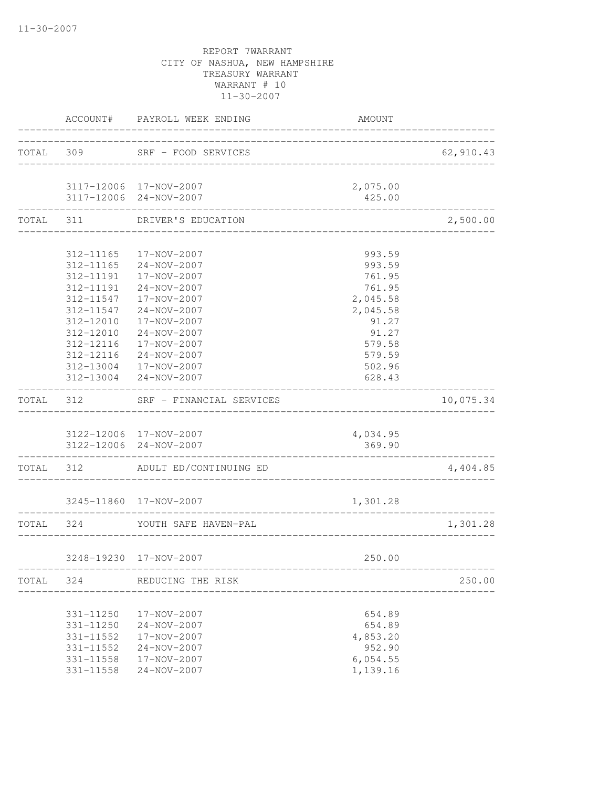|           |           | ACCOUNT# PAYROLL WEEK ENDING                        | AMOUNT              |           |
|-----------|-----------|-----------------------------------------------------|---------------------|-----------|
|           | TOTAL 309 | SRF - FOOD SERVICES                                 | ___________________ | 62,910.43 |
|           |           | 3117-12006 17-NOV-2007                              | 2,075.00            |           |
|           |           | 3117-12006 24-NOV-2007                              | 425.00              |           |
| TOTAL 311 |           | DRIVER'S EDUCATION                                  |                     | 2,500.00  |
|           | 312-11165 | 17-NOV-2007                                         | 993.59              |           |
|           |           | 312-11165 24-NOV-2007                               | 993.59              |           |
|           |           | 312-11191  17-NOV-2007                              | 761.95              |           |
|           | 312-11191 | $24 - NOV - 2007$                                   | 761.95              |           |
|           | 312-11547 | 17-NOV-2007                                         | 2,045.58            |           |
|           | 312-11547 | 24-NOV-2007                                         | 2,045.58            |           |
|           | 312-12010 | 17-NOV-2007                                         | 91.27               |           |
|           | 312-12010 | 24-NOV-2007                                         | 91.27               |           |
|           | 312-12116 | 17-NOV-2007                                         | 579.58              |           |
|           | 312-12116 | $24 - NOV - 2007$                                   | 579.59              |           |
|           |           | 312-13004 17-NOV-2007                               | 502.96              |           |
|           |           | 312-13004 24-NOV-2007                               | 628.43              |           |
| TOTAL 312 |           | SRF - FINANCIAL SERVICES                            |                     | 10,075.34 |
|           |           | 3122-12006 17-NOV-2007                              | 4,034.95            |           |
|           |           | 3122-12006 24-NOV-2007                              | 369.90              |           |
|           |           | TOTAL 312 ADULT ED/CONTINUING ED                    |                     | 4,404.85  |
|           |           | 3245-11860 17-NOV-2007                              | 1,301.28            |           |
| TOTAL 324 |           | YOUTH SAFE HAVEN-PAL                                |                     | 1,301.28  |
|           |           |                                                     |                     |           |
|           |           | 3248-19230 17-NOV-2007<br>_________________________ | 250.00              |           |
|           |           | TOTAL 324 REDUCING THE RISK                         |                     | 250.00    |
|           | 331-11250 | 17-NOV-2007                                         | 654.89              |           |
|           | 331-11250 | 24-NOV-2007                                         | 654.89              |           |
|           | 331-11552 | 17-NOV-2007                                         | 4,853.20            |           |
|           | 331-11552 | 24-NOV-2007                                         | 952.90              |           |
|           | 331-11558 | 17-NOV-2007                                         | 6,054.55            |           |
|           | 331-11558 | 24-NOV-2007                                         | 1,139.16            |           |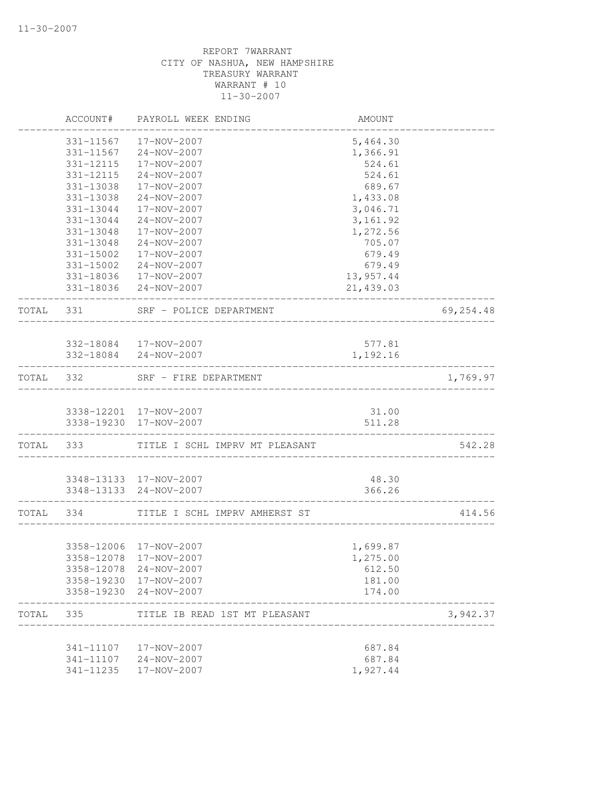|           | ACCOUNT#  | PAYROLL WEEK ENDING                              | AMOUNT          |           |
|-----------|-----------|--------------------------------------------------|-----------------|-----------|
|           | 331-11567 | 17-NOV-2007                                      | 5,464.30        |           |
|           |           | 331-11567 24-NOV-2007                            | 1,366.91        |           |
|           | 331-12115 | 17-NOV-2007                                      | 524.61          |           |
|           | 331-12115 | 24-NOV-2007                                      | 524.61          |           |
|           | 331-13038 | 17-NOV-2007                                      | 689.67          |           |
|           | 331-13038 | 24-NOV-2007                                      | 1,433.08        |           |
|           | 331-13044 | 17-NOV-2007                                      | 3,046.71        |           |
|           | 331-13044 | 24-NOV-2007                                      | 3, 161.92       |           |
|           | 331-13048 | 17-NOV-2007                                      | 1,272.56        |           |
|           | 331-13048 | 24-NOV-2007                                      | 705.07          |           |
|           | 331-15002 | 17-NOV-2007                                      | 679.49          |           |
|           |           | 331-15002 24-NOV-2007                            | 679.49          |           |
|           |           | 331-18036 17-NOV-2007                            | 13,957.44       |           |
|           |           | 331-18036 24-NOV-2007                            | 21,439.03       |           |
| TOTAL 331 |           | SRF - POLICE DEPARTMENT                          |                 | 69,254.48 |
|           |           |                                                  |                 |           |
|           |           | 332-18084 17-NOV-2007                            | 577.81          |           |
|           |           | 332-18084 24-NOV-2007                            | 1,192.16        |           |
| TOTAL 332 |           | SRF - FIRE DEPARTMENT                            |                 | 1,769.97  |
|           |           | 3338-12201 17-NOV-2007                           | 31.00           |           |
|           |           | 3338-19230 17-NOV-2007                           | 511.28          |           |
|           | TOTAL 333 | TITLE I SCHL IMPRV MT PLEASANT                   |                 | 542.28    |
|           |           |                                                  |                 |           |
|           |           | 3348-13133 17-NOV-2007<br>3348-13133 24-NOV-2007 | 48.30<br>366.26 |           |
|           |           |                                                  | _____________   |           |
|           | TOTAL 334 | TITLE I SCHL IMPRV AMHERST ST                    |                 | 414.56    |
|           |           |                                                  |                 |           |
|           |           | 3358-12006 17-NOV-2007                           | 1,699.87        |           |
|           |           | 3358-12078 17-NOV-2007                           | 1,275.00        |           |
|           |           | 3358-12078 24-NOV-2007                           | 612.50          |           |
|           |           | 3358-19230 17-NOV-2007                           | 181.00          |           |
|           |           | 3358-19230 24-NOV-2007                           | 174.00          |           |
| TOTAL     | 335       | TITLE IB READ 1ST MT PLEASANT                    |                 | 3,942.37  |
|           |           | 341-11107  17-NOV-2007                           | 687.84          |           |
|           |           | 341-11107 24-NOV-2007                            | 687.84          |           |
|           | 341-11235 | 17-NOV-2007                                      | 1,927.44        |           |
|           |           |                                                  |                 |           |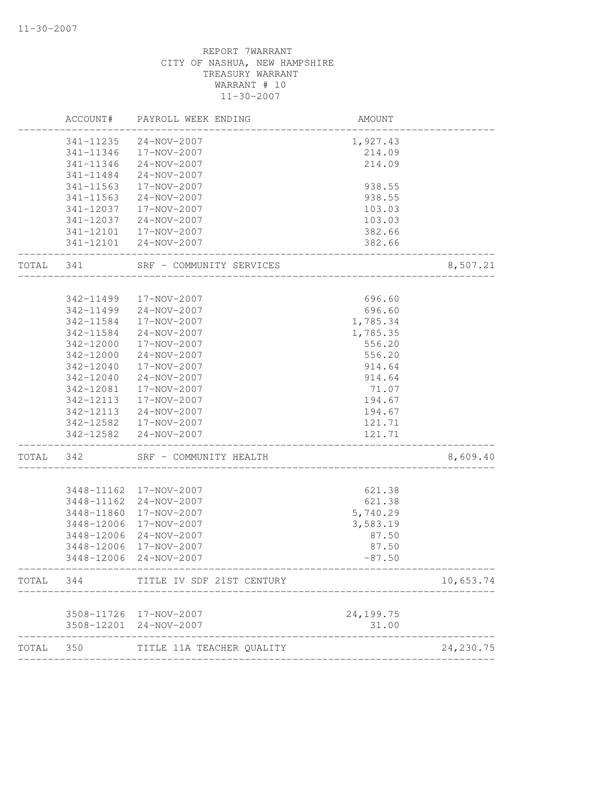|       | ACCOUNT#   | PAYROLL WEEK ENDING                 | AMOUNT                         |            |
|-------|------------|-------------------------------------|--------------------------------|------------|
|       | 341-11235  | 24-NOV-2007                         | 1,927.43                       |            |
|       | 341-11346  | 17-NOV-2007                         | 214.09                         |            |
|       | 341-11346  | 24-NOV-2007                         | 214.09                         |            |
|       | 341-11484  | 24-NOV-2007                         |                                |            |
|       | 341-11563  | 17-NOV-2007                         | 938.55                         |            |
|       | 341-11563  | 24-NOV-2007                         | 938.55                         |            |
|       | 341-12037  | 17-NOV-2007                         | 103.03                         |            |
|       | 341-12037  | 24-NOV-2007                         | 103.03                         |            |
|       |            | 341-12101  17-NOV-2007              | 382.66                         |            |
|       |            | 341-12101 24-NOV-2007               | 382.66                         |            |
| TOTAL | 341        | SRF - COMMUNITY SERVICES            |                                | 8,507.21   |
|       |            |                                     |                                |            |
|       | 342-11499  | 17-NOV-2007                         | 696.60                         |            |
|       | 342-11499  | 24-NOV-2007                         | 696.60                         |            |
|       | 342-11584  | 17-NOV-2007                         | 1,785.34                       |            |
|       | 342-11584  | 24-NOV-2007                         | 1,785.35                       |            |
|       | 342-12000  | 17-NOV-2007                         | 556.20                         |            |
|       | 342-12000  | 24-NOV-2007                         | 556.20                         |            |
|       | 342-12040  | 17-NOV-2007                         | 914.64                         |            |
|       | 342-12040  | 24-NOV-2007                         | 914.64                         |            |
|       | 342-12081  | 17-NOV-2007                         | 71.07                          |            |
|       | 342-12113  | 17-NOV-2007                         | 194.67                         |            |
|       | 342-12113  | 24-NOV-2007                         | 194.67                         |            |
|       |            | 342-12582  17-NOV-2007              | 121.71                         |            |
|       |            | 342-12582 24-NOV-2007               | 121.71<br>-------------------- |            |
| TOTAL | 342        | SRF - COMMUNITY HEALTH              |                                | 8,609.40   |
|       | 3448-11162 | 17-NOV-2007                         | 621.38                         |            |
|       | 3448-11162 | 24-NOV-2007                         | 621.38                         |            |
|       | 3448-11860 | 17-NOV-2007                         | 5,740.29                       |            |
|       | 3448-12006 | 17-NOV-2007                         | 3,583.19                       |            |
|       | 3448-12006 | 24-NOV-2007                         | 87.50                          |            |
|       | 3448-12006 | 17-NOV-2007                         | 87.50                          |            |
|       | 3448-12006 | $24 - NOV - 2007$                   | $-87.50$                       |            |
| TOTAL | 344        | TITLE IV SDF 21ST CENTURY           |                                | 10,653.74  |
|       |            |                                     |                                |            |
|       |            | 3508-11726 17-NOV-2007              | 24,199.75                      |            |
|       | 3508-12201 | 24-NOV-2007<br>-------------------- | 31.00                          |            |
| TOTAL | 350        | TITLE 11A TEACHER QUALITY           |                                | 24, 230.75 |
|       |            |                                     |                                |            |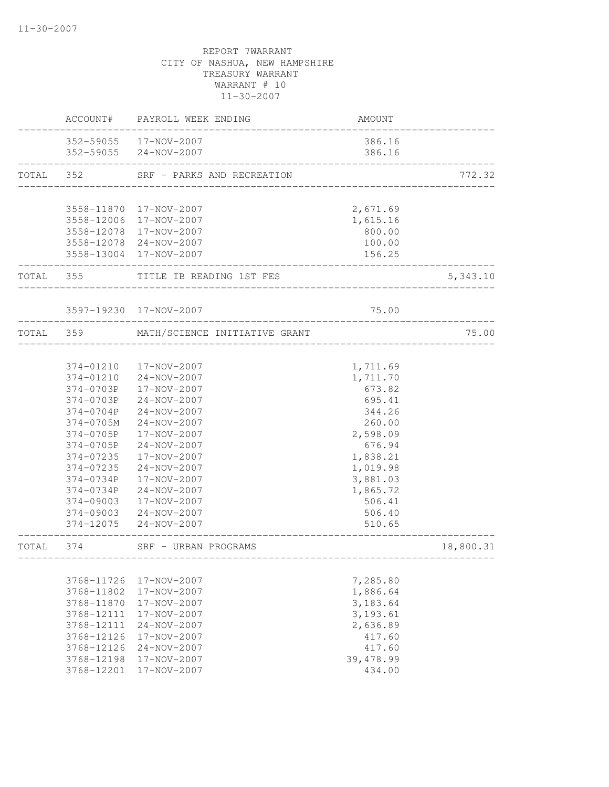|           | ACCOUNT#               | PAYROLL WEEK ENDING                            | AMOUNT               |           |
|-----------|------------------------|------------------------------------------------|----------------------|-----------|
|           |                        | 352-59055 17-NOV-2007<br>352-59055 24-NOV-2007 | 386.16<br>386.16     |           |
| TOTAL 352 |                        | SRF - PARKS AND RECREATION                     |                      | 772.32    |
|           |                        |                                                |                      |           |
|           |                        | 3558-11870 17-NOV-2007                         | 2,671.69             |           |
|           |                        | 3558-12006 17-NOV-2007                         | 1,615.16             |           |
|           |                        | 3558-12078 17-NOV-2007                         | 800.00               |           |
|           |                        | 3558-12078 24-NOV-2007                         | 100.00               |           |
|           |                        | 3558-13004 17-NOV-2007                         | 156.25               |           |
|           | TOTAL 355              | TITLE IB READING 1ST FES                       |                      | 5,343.10  |
|           |                        | 3597-19230 17-NOV-2007                         | 75.00                |           |
|           |                        |                                                |                      |           |
| TOTAL 359 |                        | MATH/SCIENCE INITIATIVE GRANT                  |                      | 75.00     |
|           |                        |                                                |                      |           |
|           | 374-01210              | 17-NOV-2007                                    | 1,711.69             |           |
|           | 374-01210              | 24-NOV-2007                                    | 1,711.70             |           |
|           | 374-0703P              | 17-NOV-2007                                    | 673.82               |           |
|           | 374-0703P              | 24-NOV-2007                                    | 695.41               |           |
|           | 374-0704P<br>374-0705M | 24-NOV-2007<br>24-NOV-2007                     | 344.26               |           |
|           | 374-0705P              | 17-NOV-2007                                    | 260.00               |           |
|           | 374-0705P              | 24-NOV-2007                                    | 2,598.09             |           |
|           | 374-07235              | 17-NOV-2007                                    | 676.94               |           |
|           | 374-07235              | 24-NOV-2007                                    | 1,838.21             |           |
|           | 374-0734P              | 17-NOV-2007                                    | 1,019.98             |           |
|           | 374-0734P              | 24-NOV-2007                                    | 3,881.03<br>1,865.72 |           |
|           | 374-09003              | 17-NOV-2007                                    | 506.41               |           |
|           |                        | 374-09003 24-NOV-2007                          | 506.40               |           |
|           | 374-12075              | 24-NOV-2007                                    | 510.65               |           |
| TOTAL     | 374                    | SRF - URBAN PROGRAMS                           |                      | 18,800.31 |
|           |                        |                                                |                      |           |
|           | 3768-11726             | 17-NOV-2007                                    | 7,285.80             |           |
|           | 3768-11802             | 17-NOV-2007                                    | 1,886.64             |           |
|           | 3768-11870             | 17-NOV-2007                                    | 3,183.64             |           |
|           | 3768-12111             | 17-NOV-2007                                    | 3, 193.61            |           |
|           | 3768-12111             | 24-NOV-2007                                    | 2,636.89             |           |
|           | 3768-12126             | 17-NOV-2007                                    | 417.60               |           |
|           | 3768-12126             | 24-NOV-2007                                    | 417.60               |           |
|           | 3768-12198             | 17-NOV-2007                                    | 39,478.99            |           |
|           | 3768-12201             | 17-NOV-2007                                    | 434.00               |           |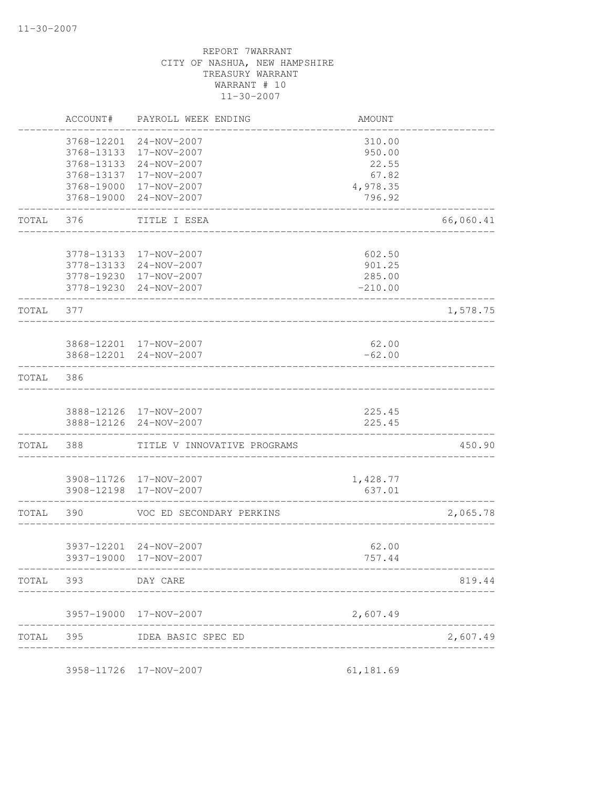|           | ACCOUNT#                               | PAYROLL WEEK ENDING                       | AMOUNT                    |           |
|-----------|----------------------------------------|-------------------------------------------|---------------------------|-----------|
|           | 3768-12201<br>3768-13133<br>3768-13133 | 24-NOV-2007<br>17-NOV-2007<br>24-NOV-2007 | 310.00<br>950.00<br>22.55 |           |
|           | 3768-13137                             | 17-NOV-2007                               | 67.82                     |           |
|           |                                        | 3768-19000 17-NOV-2007                    | 4,978.35                  |           |
|           | 3768-19000                             | 24-NOV-2007                               | 796.92                    |           |
| TOTAL     | 376                                    | TITLE I ESEA                              |                           | 66,060.41 |
|           |                                        | 3778-13133 17-NOV-2007                    | 602.50                    |           |
|           |                                        | 3778-13133 24-NOV-2007                    | 901.25                    |           |
|           |                                        | 3778-19230 17-NOV-2007                    | 285.00                    |           |
|           |                                        | 3778-19230 24-NOV-2007                    | $-210.00$                 |           |
| TOTAL     | 377                                    |                                           |                           | 1,578.75  |
|           |                                        | 3868-12201 17-NOV-2007                    | 62.00                     |           |
|           |                                        | 3868-12201 24-NOV-2007                    | $-62.00$                  |           |
| TOTAL     | 386                                    |                                           |                           |           |
|           |                                        | 3888-12126 17-NOV-2007                    | 225.45                    |           |
|           |                                        | 3888-12126 24-NOV-2007                    | 225.45                    |           |
| TOTAL     | 388                                    | TITLE V INNOVATIVE PROGRAMS               |                           | 450.90    |
|           |                                        | 3908-11726 17-NOV-2007                    | 1,428.77                  |           |
|           |                                        | 3908-12198 17-NOV-2007                    | 637.01                    |           |
| TOTAL     | 390                                    | VOC ED SECONDARY PERKINS                  |                           | 2,065.78  |
|           |                                        | 3937-12201 24-NOV-2007                    | 62.00                     |           |
|           |                                        | 3937-19000 17-NOV-2007                    | 757.44                    |           |
|           | TOTAL 393 DAY CARE                     |                                           |                           | 819.44    |
|           |                                        | 3957-19000 17-NOV-2007                    | 2,607.49                  |           |
| TOTAL 395 |                                        | IDEA BASIC SPEC ED                        |                           | 2,607.49  |
|           |                                        | ----------------------                    | ------------              |           |
|           |                                        | 3958-11726 17-NOV-2007                    | 61,181.69                 |           |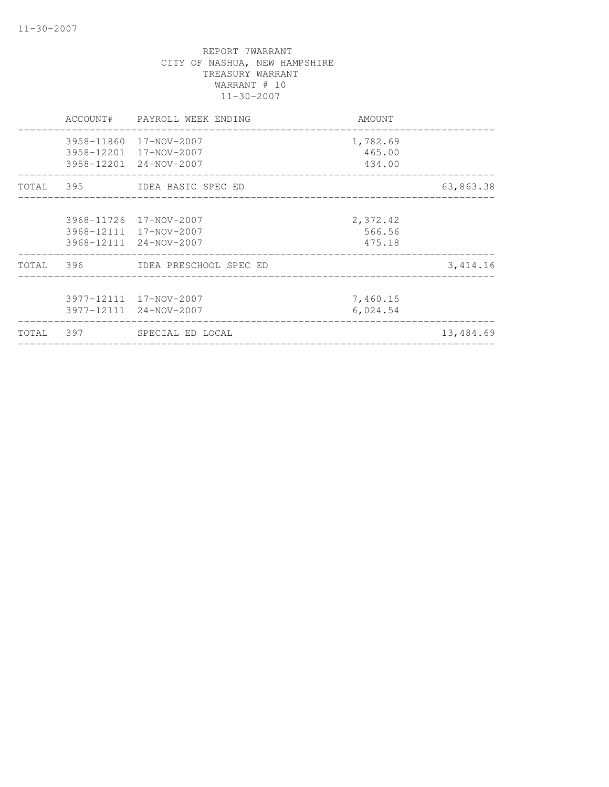|  | ACCOUNT# PAYROLL WEEK ENDING                               | AMOUNT   |           |
|--|------------------------------------------------------------|----------|-----------|
|  | 3958-11860 17-NOV-2007                                     | 1,782.69 |           |
|  | 3958-12201 17-NOV-2007                                     | 465.00   |           |
|  | 3958-12201 24-NOV-2007                                     | 434.00   |           |
|  | TOTAL 395 IDEA BASIC SPEC ED                               |          | 63,863.38 |
|  | 3968-11726 17-NOV-2007                                     | 2,372.42 |           |
|  | 3968-12111 17-NOV-2007                                     | 566.56   |           |
|  | 3968-12111 24-NOV-2007                                     | 475.18   |           |
|  | TOTAL 396 IDEA PRESCHOOL SPEC ED                           |          | 3,414.16  |
|  | 3977-12111 17-NOV-2007                                     | 7,460.15 |           |
|  | 3977-12111 24-NOV-2007<br>________________________________ | 6,024.54 |           |
|  | TOTAL 397 SPECIAL ED LOCAL                                 |          | 13,484.69 |
|  |                                                            |          |           |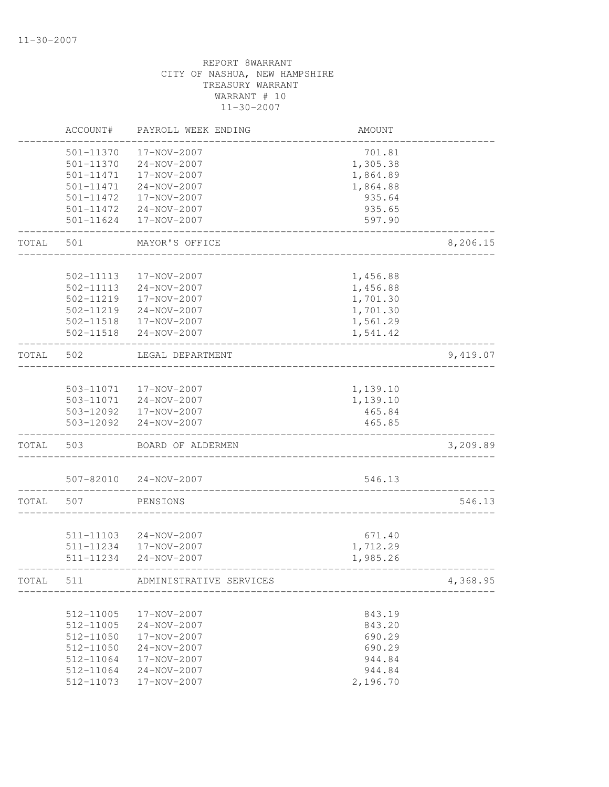|       | ACCOUNT#               | PAYROLL WEEK ENDING              | AMOUNT           |          |
|-------|------------------------|----------------------------------|------------------|----------|
|       | 501-11370              | 17-NOV-2007                      | 701.81           |          |
|       | $501 - 11370$          | $24 - NOV - 2007$                | 1,305.38         |          |
|       | 501-11471              | 17-NOV-2007                      | 1,864.89         |          |
|       | 501-11471              | $24 - NOV - 2007$                | 1,864.88         |          |
|       | 501-11472              | 17-NOV-2007                      | 935.64           |          |
|       | 501-11472              | $24 - NOV - 2007$                | 935.65           |          |
|       | 501-11624              | 17-NOV-2007                      | 597.90           |          |
| TOTAL | 501                    | MAYOR'S OFFICE                   |                  | 8,206.15 |
|       |                        |                                  |                  |          |
|       | 502-11113              | 17-NOV-2007                      | 1,456.88         |          |
|       | 502-11113              | 24-NOV-2007                      | 1,456.88         |          |
|       | 502-11219              | 17-NOV-2007                      | 1,701.30         |          |
|       | 502-11219              | $24 - NOV - 2007$                | 1,701.30         |          |
|       | 502-11518              | 17-NOV-2007                      | 1,561.29         |          |
|       | 502-11518              | 24-NOV-2007                      | 1,541.42         |          |
| TOTAL | 502                    | LEGAL DEPARTMENT                 |                  | 9,419.07 |
|       | 503-11071              | 17-NOV-2007                      |                  |          |
|       |                        |                                  | 1,139.10         |          |
|       | 503-11071              | 24-NOV-2007                      | 1,139.10         |          |
|       | 503-12092<br>503-12092 | 17-NOV-2007<br>$24 - NOV - 2007$ | 465.84<br>465.85 |          |
| TOTAL | 503                    | BOARD OF ALDERMEN                |                  | 3,209.89 |
|       |                        |                                  |                  |          |
|       | 507-82010              | $24 - NOV - 2007$                | 546.13           |          |
| TOTAL | 507                    | PENSIONS                         |                  | 546.13   |
|       |                        |                                  |                  |          |
|       | 511-11103              | 24-NOV-2007                      | 671.40           |          |
|       | 511-11234              | 17-NOV-2007                      | 1,712.29         |          |
|       | 511-11234              | $24 - NOV - 2007$                | 1,985.26         |          |
| TOTAL | 511                    | ADMINISTRATIVE SERVICES          |                  | 4,368.95 |
|       |                        |                                  |                  |          |
|       | 512-11005              | 17-NOV-2007                      | 843.19           |          |
|       | 512-11005              | 24-NOV-2007                      | 843.20           |          |
|       | 512-11050              | 17-NOV-2007                      | 690.29           |          |
|       | 512-11050              | 24-NOV-2007                      | 690.29           |          |
|       | 512-11064              | 17-NOV-2007                      | 944.84           |          |
|       | 512-11064              | 24-NOV-2007                      | 944.84           |          |
|       | 512-11073              | 17-NOV-2007                      | 2,196.70         |          |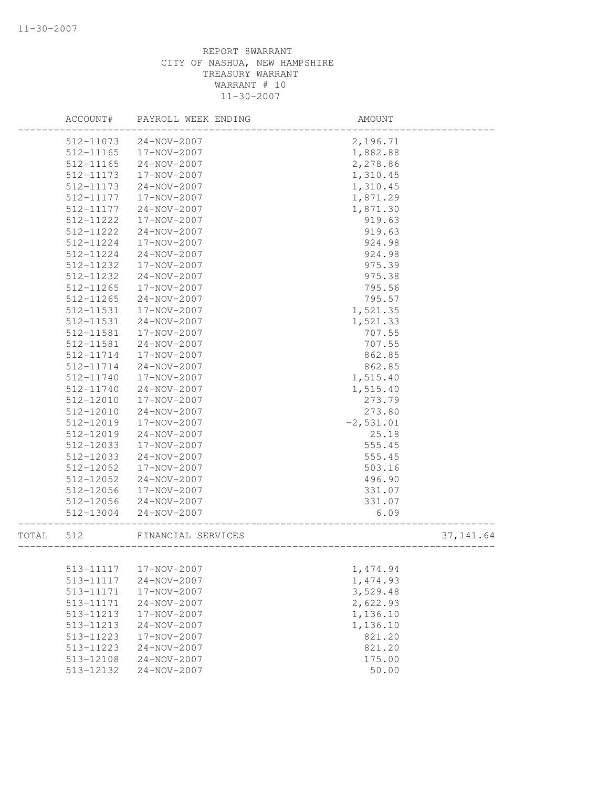|       | ACCOUNT#  | PAYROLL WEEK ENDING | AMOUNT       |            |
|-------|-----------|---------------------|--------------|------------|
|       | 512-11073 | $24 - NOV - 2007$   | 2,196.71     |            |
|       | 512-11165 | 17-NOV-2007         | 1,882.88     |            |
|       | 512-11165 | 24-NOV-2007         | 2,278.86     |            |
|       | 512-11173 | 17-NOV-2007         | 1,310.45     |            |
|       | 512-11173 | 24-NOV-2007         | 1,310.45     |            |
|       | 512-11177 | 17-NOV-2007         | 1,871.29     |            |
|       | 512-11177 | $24 - NOV - 2007$   | 1,871.30     |            |
|       | 512-11222 | 17-NOV-2007         | 919.63       |            |
|       | 512-11222 | $24 - NOV - 2007$   | 919.63       |            |
|       | 512-11224 | 17-NOV-2007         | 924.98       |            |
|       | 512-11224 | $24 - NOV - 2007$   | 924.98       |            |
|       | 512-11232 | 17-NOV-2007         | 975.39       |            |
|       | 512-11232 | 24-NOV-2007         | 975.38       |            |
|       | 512-11265 | 17-NOV-2007         | 795.56       |            |
|       | 512-11265 | 24-NOV-2007         | 795.57       |            |
|       | 512-11531 | 17-NOV-2007         | 1,521.35     |            |
|       | 512-11531 | 24-NOV-2007         | 1,521.33     |            |
|       | 512-11581 | 17-NOV-2007         | 707.55       |            |
|       | 512-11581 | $24 - NOV - 2007$   | 707.55       |            |
|       | 512-11714 | 17-NOV-2007         | 862.85       |            |
|       | 512-11714 | 24-NOV-2007         | 862.85       |            |
|       | 512-11740 | 17-NOV-2007         | 1,515.40     |            |
|       | 512-11740 | 24-NOV-2007         | 1,515.40     |            |
|       | 512-12010 | 17-NOV-2007         | 273.79       |            |
|       | 512-12010 | $24 - NOV - 2007$   | 273.80       |            |
|       | 512-12019 | 17-NOV-2007         | $-2, 531.01$ |            |
|       | 512-12019 | $24 - NOV - 2007$   | 25.18        |            |
|       | 512-12033 | 17-NOV-2007         | 555.45       |            |
|       | 512-12033 | 24-NOV-2007         | 555.45       |            |
|       | 512-12052 | 17-NOV-2007         | 503.16       |            |
|       | 512-12052 | 24-NOV-2007         | 496.90       |            |
|       | 512-12056 | 17-NOV-2007         | 331.07       |            |
|       | 512-12056 | 24-NOV-2007         | 331.07       |            |
|       | 512-13004 | 24-NOV-2007         | 6.09         |            |
| TOTAL | 512       | FINANCIAL SERVICES  |              | 37, 141.64 |
|       |           |                     |              |            |
|       | 513-11117 | 17-NOV-2007         | 1,474.94     |            |
|       | 513-11117 | $24 - NOV - 2007$   | 1,474.93     |            |
|       | 513-11171 | 17-NOV-2007         | 3,529.48     |            |
|       | 513-11171 | 24-NOV-2007         | 2,622.93     |            |
|       | 513-11213 | 17-NOV-2007         | 1,136.10     |            |
|       | 513-11213 | 24-NOV-2007         | 1,136.10     |            |
|       | 513-11223 | 17-NOV-2007         | 821.20       |            |
|       | 513-11223 | 24-NOV-2007         | 821.20       |            |
|       | 513-12108 | 24-NOV-2007         | 175.00       |            |
|       | 513-12132 | $24 - NOV - 2007$   | 50.00        |            |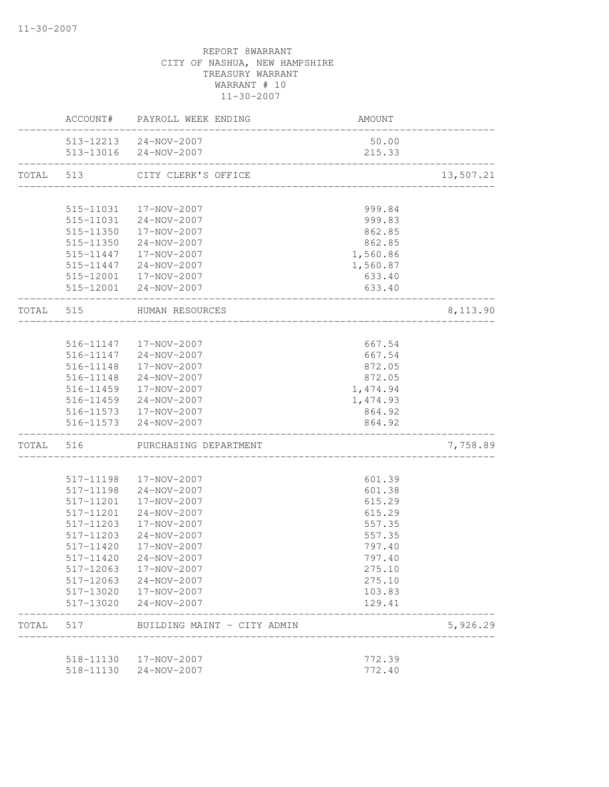|           |                        | ACCOUNT# PAYROLL WEEK ENDING                   | AMOUNT           |           |
|-----------|------------------------|------------------------------------------------|------------------|-----------|
|           |                        | 513-12213 24-NOV-2007<br>513-13016 24-NOV-2007 | 50.00<br>215.33  |           |
| TOTAL 513 |                        | CITY CLERK'S OFFICE                            |                  | 13,507.21 |
|           |                        |                                                |                  |           |
|           | 515-11031              | 17-NOV-2007                                    | 999.84           |           |
|           |                        | 515-11031 24-NOV-2007                          | 999.83           |           |
|           |                        | 515-11350  17-NOV-2007                         | 862.85           |           |
|           |                        | 515-11350 24-NOV-2007                          | 862.85           |           |
|           |                        | 515-11447  17-NOV-2007                         | 1,560.86         |           |
|           |                        | 515-11447 24-NOV-2007                          | 1,560.87         |           |
|           |                        | 515-12001 17-NOV-2007<br>515-12001 24-NOV-2007 | 633.40<br>633.40 |           |
|           |                        | TOTAL 515 HUMAN RESOURCES                      |                  | 8,113.90  |
|           |                        | ____________________                           |                  |           |
|           |                        | 516-11147  17-NOV-2007                         | 667.54           |           |
|           |                        | 516-11147 24-NOV-2007                          | 667.54           |           |
|           |                        | 516-11148  17-NOV-2007                         | 872.05           |           |
|           |                        | 516-11148 24-NOV-2007                          | 872.05           |           |
|           |                        | 516-11459  17-NOV-2007                         | 1,474.94         |           |
|           |                        | 516-11459 24-NOV-2007                          | 1,474.93         |           |
|           |                        | 516-11573  17-NOV-2007                         | 864.92           |           |
|           |                        | 516-11573 24-NOV-2007                          | 864.92           |           |
|           |                        | TOTAL 516 PURCHASING DEPARTMENT                |                  | 7,758.89  |
|           |                        |                                                |                  |           |
|           |                        | 517-11198  17-NOV-2007                         | 601.39           |           |
|           | 517-11198<br>517-11201 | 24-NOV-2007<br>17-NOV-2007                     | 601.38<br>615.29 |           |
|           | 517-11201              | 24-NOV-2007                                    | 615.29           |           |
|           | 517-11203              | 17-NOV-2007                                    | 557.35           |           |
|           | 517-11203              | 24-NOV-2007                                    | 557.35           |           |
|           | 517-11420              | 17-NOV-2007                                    | 797.40           |           |
|           | 517-11420              | 24-NOV-2007                                    | 797.40           |           |
|           | 517-12063              | 17-NOV-2007                                    | 275.10           |           |
|           | 517-12063              | $24 - NOV - 2007$                              | 275.10           |           |
|           | 517-13020              | 17-NOV-2007                                    | 103.83           |           |
|           | 517-13020              | $24 - NOV - 2007$                              | 129.41           |           |
| TOTAL     | 517                    | BUILDING MAINT - CITY ADMIN                    |                  | 5,926.29  |
|           |                        |                                                |                  |           |
|           | 518-11130<br>518-11130 | 17-NOV-2007<br>$24 - NOV - 2007$               | 772.39<br>772.40 |           |
|           |                        |                                                |                  |           |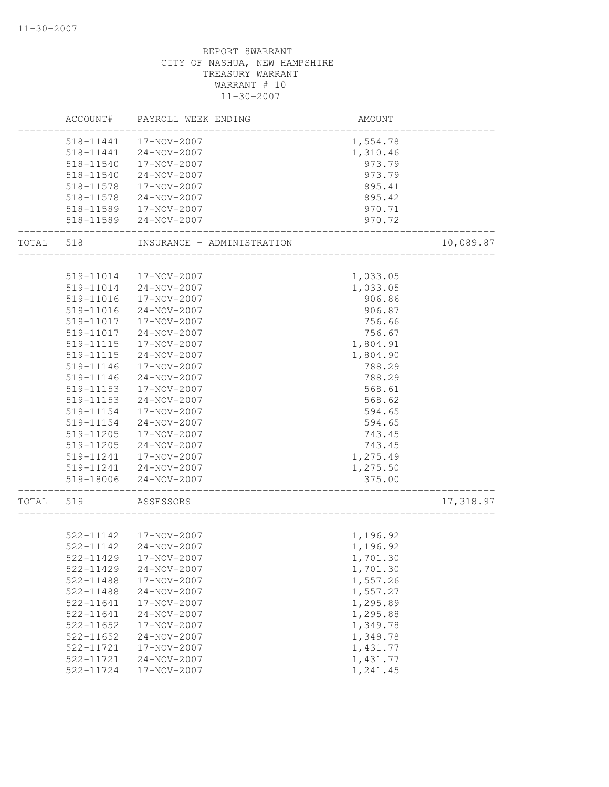|       | ACCOUNT#               | PAYROLL WEEK ENDING              | AMOUNT           |           |
|-------|------------------------|----------------------------------|------------------|-----------|
|       | 518-11441              | 17-NOV-2007                      | 1,554.78         |           |
|       | 518-11441              | 24-NOV-2007                      | 1,310.46         |           |
|       | 518-11540              | 17-NOV-2007                      | 973.79           |           |
|       | 518-11540              | $24 - NOV - 2007$                | 973.79           |           |
|       | 518-11578              | 17-NOV-2007                      | 895.41           |           |
|       | 518-11578              | 24-NOV-2007                      | 895.42           |           |
|       | 518-11589              | 17-NOV-2007                      | 970.71           |           |
|       | 518-11589              | 24-NOV-2007                      | 970.72           |           |
| TOTAL | 518                    | INSURANCE - ADMINISTRATION       |                  | 10,089.87 |
|       |                        |                                  |                  |           |
|       | 519-11014              | 17-NOV-2007                      | 1,033.05         |           |
|       | 519-11014              | 24-NOV-2007                      | 1,033.05         |           |
|       | 519-11016              | 17-NOV-2007                      | 906.86           |           |
|       | 519-11016<br>519-11017 | 24-NOV-2007<br>17-NOV-2007       | 906.87           |           |
|       | 519-11017              | 24-NOV-2007                      | 756.66<br>756.67 |           |
|       | 519-11115              | 17-NOV-2007                      |                  |           |
|       |                        |                                  | 1,804.91         |           |
|       | 519-11115              | 24-NOV-2007                      | 1,804.90         |           |
|       | 519-11146              | 17-NOV-2007                      | 788.29           |           |
|       | 519-11146              | 24-NOV-2007                      | 788.29<br>568.61 |           |
|       | 519-11153<br>519-11153 | 17-NOV-2007                      |                  |           |
|       |                        | 24-NOV-2007                      | 568.62           |           |
|       | 519-11154              | 17-NOV-2007                      | 594.65           |           |
|       | 519-11154              | 24-NOV-2007                      | 594.65           |           |
|       | 519-11205              | 17-NOV-2007<br>$24 - NOV - 2007$ | 743.45           |           |
|       | 519-11205              |                                  | 743.45           |           |
|       | 519-11241              | 17-NOV-2007                      | 1,275.49         |           |
|       | 519-11241              | 24-NOV-2007                      | 1,275.50         |           |
|       | 519-18006              | 24-NOV-2007                      | 375.00           |           |
| TOTAL | 519                    | ASSESSORS                        |                  | 17,318.97 |
|       |                        | 522-11142  17-NOV-2007           | 1,196.92         |           |
|       | 522-11142              | 24-NOV-2007                      | 1,196.92         |           |
|       | 522-11429              | 17-NOV-2007                      | 1,701.30         |           |
|       | 522-11429              | 24-NOV-2007                      | 1,701.30         |           |
|       | 522-11488              | 17-NOV-2007                      | 1,557.26         |           |
|       | 522-11488              | $24 - NOV - 2007$                | 1,557.27         |           |
|       | 522-11641              | 17-NOV-2007                      | 1,295.89         |           |
|       | 522-11641              | 24-NOV-2007                      | 1,295.88         |           |
|       | 522-11652              | 17-NOV-2007                      | 1,349.78         |           |
|       | 522-11652              | 24-NOV-2007                      | 1,349.78         |           |
|       | 522-11721              | 17-NOV-2007                      | 1,431.77         |           |
|       | 522-11721              | $24 - NOV - 2007$                | 1,431.77         |           |
|       | 522-11724              | 17-NOV-2007                      | 1,241.45         |           |
|       |                        |                                  |                  |           |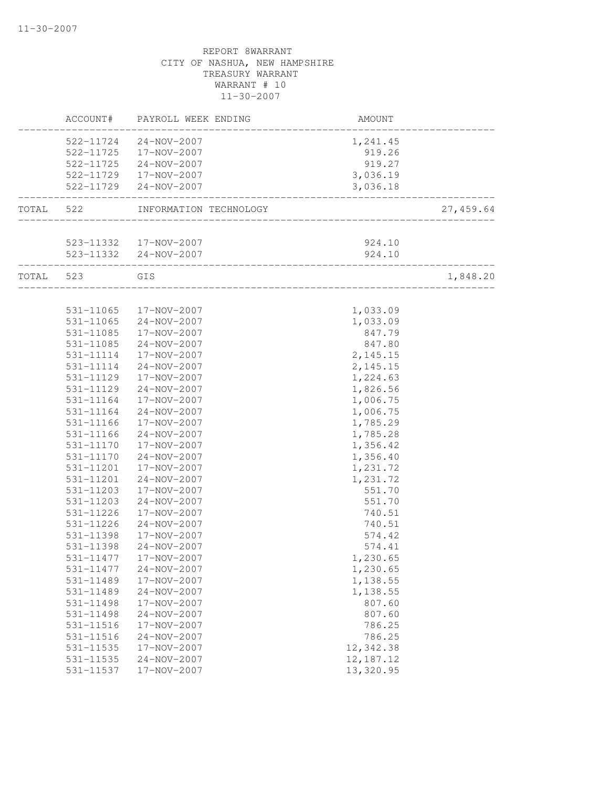|       | ACCOUNT#  | PAYROLL WEEK ENDING                                      | AMOUNT      |           |
|-------|-----------|----------------------------------------------------------|-------------|-----------|
|       |           | 522-11724 24-NOV-2007                                    | 1,241.45    |           |
|       |           | 522-11725  17-NOV-2007                                   | 919.26      |           |
|       | 522-11725 | 24-NOV-2007                                              | 919.27      |           |
|       |           | 522-11729  17-NOV-2007                                   | 3,036.19    |           |
|       | 522-11729 | 24-NOV-2007                                              | 3,036.18    |           |
| TOTAL | 522       | INFORMATION TECHNOLOGY                                   |             | 27,459.64 |
|       |           |                                                          |             |           |
|       |           | 523-11332  17-NOV-2007                                   | 924.10      |           |
|       |           | 523-11332 24-NOV-2007<br>_______________________________ | 924.10      |           |
| TOTAL | 523       | GIS                                                      |             | 1,848.20  |
|       |           |                                                          |             |           |
|       | 531-11065 | 17-NOV-2007                                              | 1,033.09    |           |
|       | 531-11065 | 24-NOV-2007                                              | 1,033.09    |           |
|       | 531-11085 | 17-NOV-2007                                              | 847.79      |           |
|       | 531-11085 | 24-NOV-2007                                              | 847.80      |           |
|       | 531-11114 | 17-NOV-2007                                              | 2, 145.15   |           |
|       | 531-11114 | 24-NOV-2007                                              | 2,145.15    |           |
|       | 531-11129 | 17-NOV-2007                                              | 1,224.63    |           |
|       | 531-11129 | 24-NOV-2007                                              | 1,826.56    |           |
|       | 531-11164 | 17-NOV-2007                                              | 1,006.75    |           |
|       | 531-11164 | 24-NOV-2007                                              | 1,006.75    |           |
|       | 531-11166 | 17-NOV-2007                                              | 1,785.29    |           |
|       | 531-11166 | 24-NOV-2007                                              | 1,785.28    |           |
|       | 531-11170 | 17-NOV-2007                                              | 1,356.42    |           |
|       | 531-11170 | 24-NOV-2007                                              | 1,356.40    |           |
|       | 531-11201 | 17-NOV-2007                                              | 1,231.72    |           |
|       | 531-11201 | $24 - NOV - 2007$                                        | 1,231.72    |           |
|       | 531-11203 | 17-NOV-2007                                              | 551.70      |           |
|       | 531-11203 | 24-NOV-2007                                              | 551.70      |           |
|       | 531-11226 | 17-NOV-2007                                              | 740.51      |           |
|       | 531-11226 | 24-NOV-2007                                              | 740.51      |           |
|       | 531-11398 | 17-NOV-2007                                              | 574.42      |           |
|       | 531-11398 | 24-NOV-2007                                              | 574.41      |           |
|       | 531-11477 | 17-NOV-2007                                              | 1,230.65    |           |
|       | 531-11477 | $24 - NOV - 2007$                                        | 1,230.65    |           |
|       | 531-11489 | 17-NOV-2007                                              | 1,138.55    |           |
|       | 531-11489 | 24-NOV-2007                                              | 1,138.55    |           |
|       | 531-11498 | 17-NOV-2007                                              | 807.60      |           |
|       | 531-11498 | 24-NOV-2007                                              | 807.60      |           |
|       | 531-11516 | 17-NOV-2007                                              | 786.25      |           |
|       | 531-11516 | 24-NOV-2007                                              | 786.25      |           |
|       | 531-11535 | 17-NOV-2007                                              | 12,342.38   |           |
|       | 531-11535 | 24-NOV-2007                                              | 12, 187. 12 |           |
|       | 531-11537 | 17-NOV-2007                                              | 13,320.95   |           |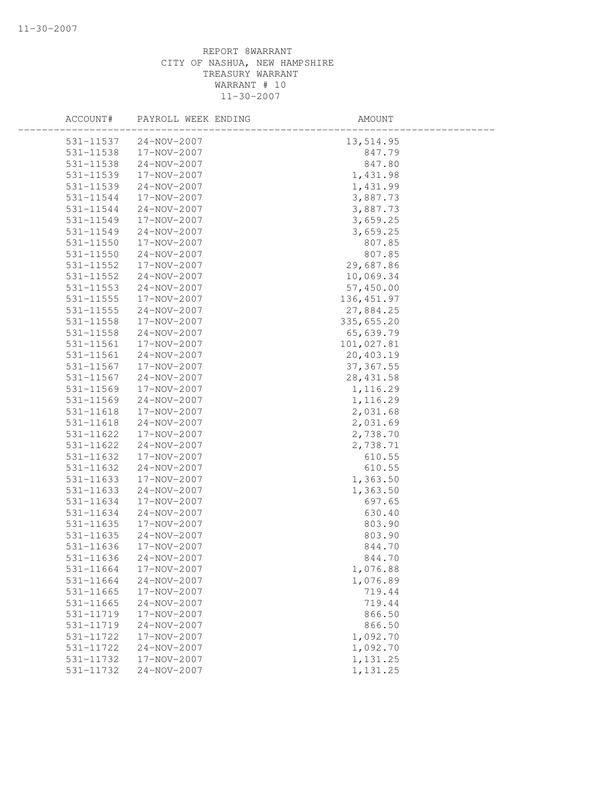| 531-11537<br>24-NOV-2007<br>13,514.95        |  |
|----------------------------------------------|--|
| 531-11538<br>17-NOV-2007<br>847.79           |  |
| 531-11538<br>24-NOV-2007<br>847.80           |  |
| 531-11539<br>17-NOV-2007<br>1,431.98         |  |
| 531-11539<br>1,431.99<br>24-NOV-2007         |  |
| 3,887.73<br>531-11544<br>17-NOV-2007         |  |
| 3,887.73<br>531-11544<br>24-NOV-2007         |  |
| 17-NOV-2007<br>3,659.25<br>531-11549         |  |
| 3,659.25<br>531-11549<br>24-NOV-2007         |  |
| 531-11550<br>17-NOV-2007<br>807.85           |  |
| 531-11550<br>24-NOV-2007<br>807.85           |  |
| $531 - 11552$<br>17-NOV-2007<br>29,687.86    |  |
| 531-11552<br>24-NOV-2007<br>10,069.34        |  |
| 531-11553<br>57,450.00<br>24-NOV-2007        |  |
| 136, 451.97<br>531-11555<br>17-NOV-2007      |  |
| 27,884.25<br>$531 - 11555$<br>24-NOV-2007    |  |
| 17-NOV-2007<br>335,655.20<br>531-11558       |  |
| 65,639.79<br>531-11558<br>24-NOV-2007        |  |
| 101,027.81<br>531-11561<br>17-NOV-2007       |  |
| 531-11561<br>24-NOV-2007<br>20,403.19        |  |
| 531-11567<br>17-NOV-2007<br>37, 367.55       |  |
| 531-11567<br>24-NOV-2007<br>28, 431.58       |  |
| 531-11569<br>1,116.29<br>17-NOV-2007         |  |
| 531-11569<br>24-NOV-2007<br>1,116.29         |  |
| 2,031.68<br>17-NOV-2007<br>531-11618         |  |
| 24-NOV-2007<br>2,031.69<br>531-11618         |  |
| 2,738.70<br>531-11622<br>17-NOV-2007         |  |
| $24 - NOV - 2007$<br>2,738.71<br>531-11622   |  |
| 531-11632<br>17-NOV-2007<br>610.55           |  |
| 531-11632<br>24-NOV-2007<br>610.55           |  |
| 531-11633<br>17-NOV-2007<br>1,363.50         |  |
| 531-11633<br>1,363.50<br>24-NOV-2007         |  |
| 697.65<br>531-11634<br>17-NOV-2007           |  |
| 531-11634<br>24-NOV-2007<br>630.40           |  |
| 17-NOV-2007<br>803.90<br>531-11635           |  |
| 803.90<br>531-11635<br>$24 - NOV - 2007$     |  |
| 531-11636<br>17-NOV-2007<br>844.70           |  |
| 531-11636<br>$24 - NOV - 2007$<br>844.70     |  |
| 17-NOV-2007<br>531-11664<br>1,076.88         |  |
| 531-11664<br>24-NOV-2007<br>1,076.89         |  |
| 719.44<br>531-11665<br>17-NOV-2007           |  |
| 719.44<br>$531 - 11665$<br>$24 - NOV - 2007$ |  |
| 17-NOV-2007<br>866.50<br>531-11719           |  |
| 866.50<br>531-11719<br>$24 - NOV - 2007$     |  |
| 17-NOV-2007<br>1,092.70<br>531-11722         |  |
| 531-11722<br>$24 - NOV - 2007$<br>1,092.70   |  |
| 17-NOV-2007<br>1,131.25<br>531-11732         |  |
| 531-11732<br>24-NOV-2007<br>1,131.25         |  |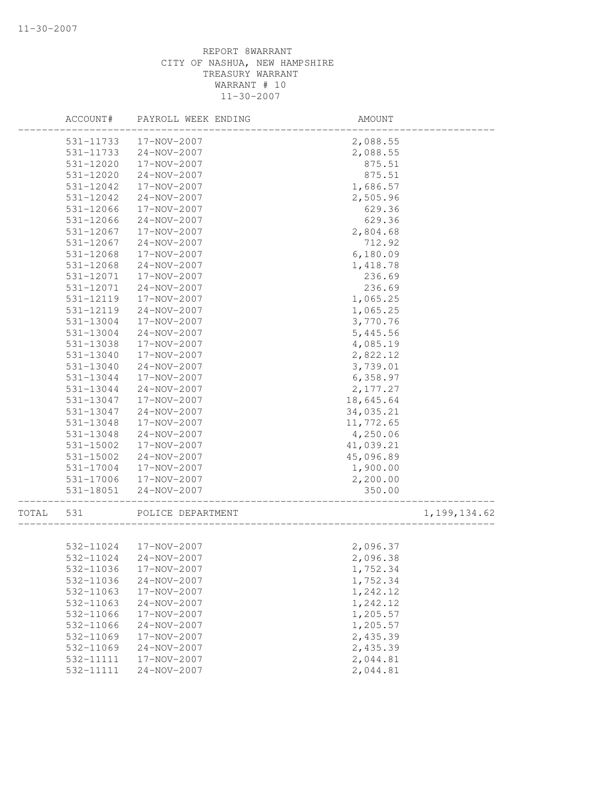|       | ACCOUNT#  | PAYROLL WEEK ENDING | AMOUNT    |                |
|-------|-----------|---------------------|-----------|----------------|
|       | 531-11733 | 17-NOV-2007         | 2,088.55  |                |
|       | 531-11733 | 24-NOV-2007         | 2,088.55  |                |
|       | 531-12020 | 17-NOV-2007         | 875.51    |                |
|       | 531-12020 | $24 - NOV - 2007$   | 875.51    |                |
|       | 531-12042 | 17-NOV-2007         | 1,686.57  |                |
|       | 531-12042 | 24-NOV-2007         | 2,505.96  |                |
|       | 531-12066 | 17-NOV-2007         | 629.36    |                |
|       | 531-12066 | 24-NOV-2007         | 629.36    |                |
|       | 531-12067 | 17-NOV-2007         | 2,804.68  |                |
|       | 531-12067 | 24-NOV-2007         | 712.92    |                |
|       | 531-12068 | 17-NOV-2007         | 6,180.09  |                |
|       | 531-12068 | 24-NOV-2007         | 1,418.78  |                |
|       | 531-12071 | 17-NOV-2007         | 236.69    |                |
|       | 531-12071 | 24-NOV-2007         | 236.69    |                |
|       | 531-12119 | 17-NOV-2007         | 1,065.25  |                |
|       | 531-12119 | 24-NOV-2007         | 1,065.25  |                |
|       | 531-13004 | 17-NOV-2007         | 3,770.76  |                |
|       | 531-13004 | $24 - NOV - 2007$   | 5,445.56  |                |
|       | 531-13038 | 17-NOV-2007         | 4,085.19  |                |
|       | 531-13040 | 17-NOV-2007         | 2,822.12  |                |
|       | 531-13040 | 24-NOV-2007         | 3,739.01  |                |
|       | 531-13044 | 17-NOV-2007         | 6,358.97  |                |
|       | 531-13044 | 24-NOV-2007         | 2,177.27  |                |
|       | 531-13047 | 17-NOV-2007         | 18,645.64 |                |
|       | 531-13047 | 24-NOV-2007         | 34,035.21 |                |
|       | 531-13048 | 17-NOV-2007         | 11,772.65 |                |
|       | 531-13048 | 24-NOV-2007         | 4,250.06  |                |
|       | 531-15002 | 17-NOV-2007         | 41,039.21 |                |
|       | 531-15002 | 24-NOV-2007         | 45,096.89 |                |
|       | 531-17004 | 17-NOV-2007         | 1,900.00  |                |
|       | 531-17006 | 17-NOV-2007         | 2,200.00  |                |
|       | 531-18051 | 24-NOV-2007         | 350.00    |                |
| TOTAL | 531       | POLICE DEPARTMENT   |           | 1, 199, 134.62 |
|       |           |                     |           |                |
|       | 532-11024 | 17-NOV-2007         | 2,096.37  |                |
|       | 532-11024 | 24-NOV-2007         | 2,096.38  |                |
|       | 532-11036 | 17-NOV-2007         | 1,752.34  |                |
|       | 532-11036 | 24-NOV-2007         | 1,752.34  |                |
|       | 532-11063 | 17-NOV-2007         | 1,242.12  |                |
|       | 532-11063 | 24-NOV-2007         | 1,242.12  |                |
|       | 532-11066 | 17-NOV-2007         | 1,205.57  |                |
|       | 532-11066 | $24 - NOV - 2007$   | 1,205.57  |                |
|       | 532-11069 | 17-NOV-2007         | 2,435.39  |                |
|       | 532-11069 | $24 - NOV - 2007$   | 2,435.39  |                |
|       | 532-11111 | 17-NOV-2007         | 2,044.81  |                |
|       | 532-11111 | 24-NOV-2007         | 2,044.81  |                |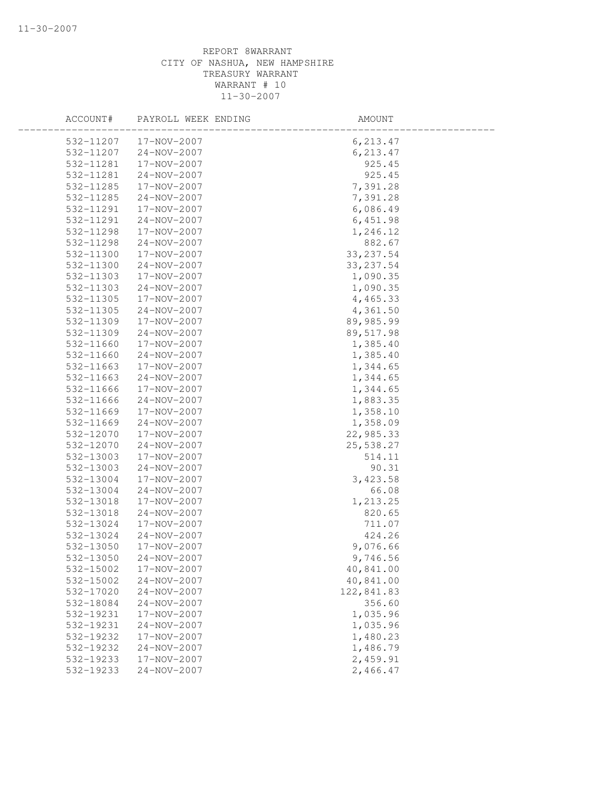| ACCOUNT#  | PAYROLL WEEK ENDING | AMOUNT     |  |
|-----------|---------------------|------------|--|
| 532-11207 | 17-NOV-2007         | 6, 213.47  |  |
| 532-11207 | 24-NOV-2007         | 6, 213.47  |  |
| 532-11281 | 17-NOV-2007         | 925.45     |  |
| 532-11281 | 24-NOV-2007         | 925.45     |  |
| 532-11285 | 17-NOV-2007         | 7,391.28   |  |
| 532-11285 | 24-NOV-2007         | 7,391.28   |  |
| 532-11291 | 17-NOV-2007         | 6,086.49   |  |
| 532-11291 | 24-NOV-2007         | 6,451.98   |  |
| 532-11298 | 17-NOV-2007         | 1,246.12   |  |
| 532-11298 | 24-NOV-2007         | 882.67     |  |
| 532-11300 | 17-NOV-2007         | 33, 237.54 |  |
| 532-11300 | 24-NOV-2007         | 33, 237.54 |  |
| 532-11303 | 17-NOV-2007         | 1,090.35   |  |
| 532-11303 | 24-NOV-2007         | 1,090.35   |  |
| 532-11305 | 17-NOV-2007         | 4,465.33   |  |
| 532-11305 | 24-NOV-2007         | 4,361.50   |  |
| 532-11309 | 17-NOV-2007         | 89,985.99  |  |
| 532-11309 | $24 - NOV - 2007$   | 89,517.98  |  |
| 532-11660 | 17-NOV-2007         | 1,385.40   |  |
| 532-11660 | $24 - NOV - 2007$   | 1,385.40   |  |
| 532-11663 | 17-NOV-2007         | 1,344.65   |  |
| 532-11663 | 24-NOV-2007         | 1,344.65   |  |
| 532-11666 | 17-NOV-2007         | 1,344.65   |  |
| 532-11666 | 24-NOV-2007         | 1,883.35   |  |
| 532-11669 | 17-NOV-2007         | 1,358.10   |  |
| 532-11669 | 24-NOV-2007         | 1,358.09   |  |
| 532-12070 | 17-NOV-2007         | 22,985.33  |  |
| 532-12070 | 24-NOV-2007         | 25,538.27  |  |
| 532-13003 | 17-NOV-2007         | 514.11     |  |
| 532-13003 | 24-NOV-2007         | 90.31      |  |
| 532-13004 | 17-NOV-2007         | 3,423.58   |  |
| 532-13004 | 24-NOV-2007         | 66.08      |  |
| 532-13018 | 17-NOV-2007         | 1,213.25   |  |
| 532-13018 | 24-NOV-2007         | 820.65     |  |
| 532-13024 | 17-NOV-2007         | 711.07     |  |
| 532-13024 | $24 - NOV - 2007$   | 424.26     |  |
| 532-13050 | 17-NOV-2007         | 9,076.66   |  |
| 532-13050 | $24 - NOV - 2007$   | 9,746.56   |  |
| 532-15002 | 17-NOV-2007         | 40,841.00  |  |
| 532-15002 | 24-NOV-2007         | 40,841.00  |  |
| 532-17020 | 24-NOV-2007         | 122,841.83 |  |
| 532-18084 | 24-NOV-2007         | 356.60     |  |
| 532-19231 | 17-NOV-2007         | 1,035.96   |  |
| 532-19231 | $24 - NOV - 2007$   | 1,035.96   |  |
| 532-19232 | 17-NOV-2007         | 1,480.23   |  |
| 532-19232 | 24-NOV-2007         | 1,486.79   |  |
| 532-19233 | 17-NOV-2007         | 2,459.91   |  |
| 532-19233 | 24-NOV-2007         | 2,466.47   |  |
|           |                     |            |  |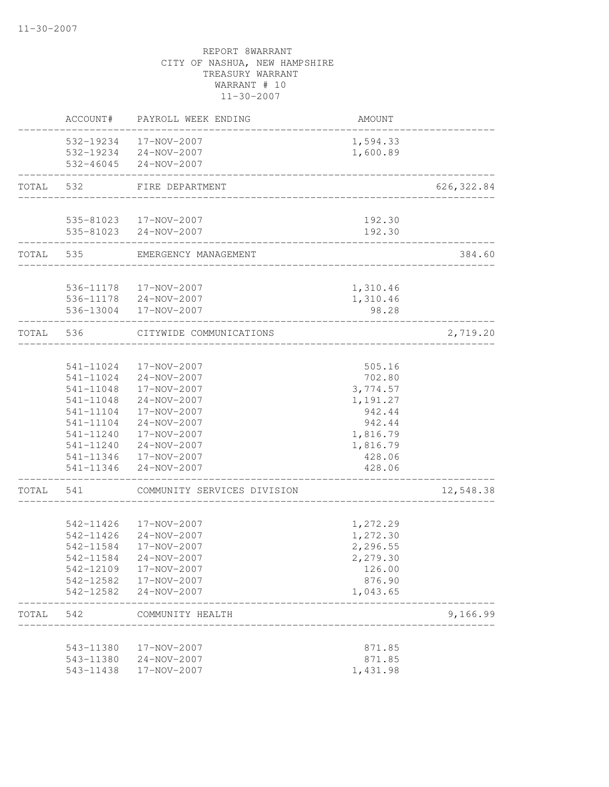|       | ACCOUNT#  | PAYROLL WEEK ENDING                  | <b>AMOUNT</b>                      |             |
|-------|-----------|--------------------------------------|------------------------------------|-------------|
|       |           | 532-19234 17-NOV-2007                | 1,594.33                           |             |
|       |           | 532-19234 24-NOV-2007                | 1,600.89                           |             |
|       |           | 532-46045 24-NOV-2007                | __________________________________ |             |
| TOTAL | 532       | FIRE DEPARTMENT                      | _________________________________  | 626, 322.84 |
|       |           |                                      |                                    |             |
|       |           | 535-81023  17-NOV-2007               | 192.30                             |             |
|       |           | 535-81023 24-NOV-2007                | 192.30<br>______________           |             |
|       | TOTAL 535 | EMERGENCY MANAGEMENT                 |                                    | 384.60      |
|       |           | 536-11178  17-NOV-2007               | 1,310.46                           |             |
|       |           |                                      | 1,310.46                           |             |
|       | 536-13004 | 536-11178 24-NOV-2007<br>17-NOV-2007 | 98.28                              |             |
| TOTAL | 536       | CITYWIDE COMMUNICATIONS              |                                    | 2,719.20    |
|       |           |                                      |                                    |             |
|       | 541-11024 | 17-NOV-2007                          | 505.16                             |             |
|       | 541-11024 | 24-NOV-2007                          | 702.80                             |             |
|       | 541-11048 | 17-NOV-2007                          | 3,774.57                           |             |
|       | 541-11048 | 24-NOV-2007                          | 1,191.27                           |             |
|       | 541-11104 | 17-NOV-2007                          | 942.44                             |             |
|       | 541-11104 | 24-NOV-2007                          | 942.44                             |             |
|       | 541-11240 | 17-NOV-2007                          | 1,816.79                           |             |
|       | 541-11240 | 24-NOV-2007                          | 1,816.79                           |             |
|       |           | 541-11346  17-NOV-2007               | 428.06                             |             |
|       | 541-11346 | 24-NOV-2007                          | 428.06<br>___________              |             |
| TOTAL | 541       | COMMUNITY SERVICES DIVISION          |                                    | 12,548.38   |
|       |           |                                      |                                    |             |
|       | 542-11426 | 17-NOV-2007                          | 1,272.29                           |             |
|       | 542-11426 | 24-NOV-2007                          | 1,272.30                           |             |
|       | 542-11584 | 17-NOV-2007                          | 2,296.55                           |             |
|       |           | 542-11584 24-NOV-2007                | 2,279.30                           |             |
|       |           | 542-12109 17-NOV-2007                | 126.00                             |             |
|       |           | 542-12582  17-NOV-2007               | 876.90                             |             |
|       |           | 542-12582 24-NOV-2007                | 1,043.65                           |             |
| TOTAL | 542       | COMMUNITY HEALTH                     |                                    | 9,166.99    |
|       | 543-11380 | 17-NOV-2007                          | 871.85                             |             |
|       | 543-11380 | 24-NOV-2007                          | 871.85                             |             |
|       | 543-11438 | 17-NOV-2007                          | 1,431.98                           |             |
|       |           |                                      |                                    |             |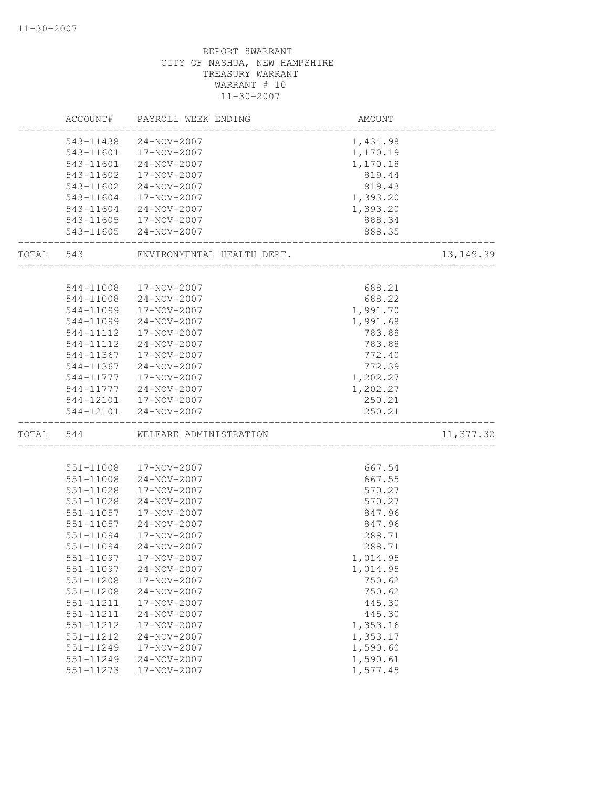|       | ACCOUNT#  | PAYROLL WEEK ENDING        | AMOUNT   |            |
|-------|-----------|----------------------------|----------|------------|
|       | 543-11438 | 24-NOV-2007                | 1,431.98 |            |
|       | 543-11601 | 17-NOV-2007                | 1,170.19 |            |
|       | 543-11601 | 24-NOV-2007                | 1,170.18 |            |
|       | 543-11602 | 17-NOV-2007                | 819.44   |            |
|       | 543-11602 | $24 - NOV - 2007$          | 819.43   |            |
|       | 543-11604 | 17-NOV-2007                | 1,393.20 |            |
|       | 543-11604 | 24-NOV-2007                | 1,393.20 |            |
|       |           | 543-11605  17-NOV-2007     | 888.34   |            |
|       |           | 543-11605 24-NOV-2007      | 888.35   |            |
| TOTAL | 543       | ENVIRONMENTAL HEALTH DEPT. |          | 13, 149.99 |
|       |           |                            |          |            |
|       | 544-11008 | 17-NOV-2007                | 688.21   |            |
|       | 544-11008 | 24-NOV-2007                | 688.22   |            |
|       | 544-11099 | 17-NOV-2007                | 1,991.70 |            |
|       | 544-11099 | 24-NOV-2007                | 1,991.68 |            |
|       | 544-11112 | 17-NOV-2007                | 783.88   |            |
|       | 544-11112 | $24 - NOV - 2007$          | 783.88   |            |
|       | 544-11367 | 17-NOV-2007                | 772.40   |            |
|       | 544-11367 | 24-NOV-2007                | 772.39   |            |
|       | 544-11777 | 17-NOV-2007                | 1,202.27 |            |
|       | 544-11777 | 24-NOV-2007                | 1,202.27 |            |
|       |           | 544-12101  17-NOV-2007     | 250.21   |            |
|       | 544-12101 | 24-NOV-2007                | 250.21   |            |
| TOTAL | 544       | WELFARE ADMINISTRATION     |          | 11,377.32  |
|       |           |                            |          |            |
|       | 551-11008 | 17-NOV-2007                | 667.54   |            |
|       | 551-11008 | 24-NOV-2007                | 667.55   |            |
|       | 551-11028 | 17-NOV-2007                | 570.27   |            |
|       | 551-11028 | 24-NOV-2007                | 570.27   |            |
|       | 551-11057 | 17-NOV-2007                | 847.96   |            |
|       | 551-11057 | 24-NOV-2007                | 847.96   |            |
|       | 551-11094 | 17-NOV-2007                | 288.71   |            |
|       | 551-11094 | $24 - NOV - 2007$          | 288.71   |            |
|       | 551-11097 | 17-NOV-2007                | 1,014.95 |            |
|       | 551-11097 | 24-NOV-2007                | 1,014.95 |            |
|       | 551-11208 | 17-NOV-2007                | 750.62   |            |
|       | 551-11208 | 24-NOV-2007                | 750.62   |            |
|       | 551-11211 | 17-NOV-2007                | 445.30   |            |
|       | 551-11211 | 24-NOV-2007                | 445.30   |            |
|       | 551-11212 | 17-NOV-2007                | 1,353.16 |            |
|       | 551-11212 | 24-NOV-2007                | 1,353.17 |            |
|       | 551-11249 | 17-NOV-2007                | 1,590.60 |            |
|       | 551-11249 | $24 - NOV - 2007$          | 1,590.61 |            |
|       | 551-11273 | 17-NOV-2007                | 1,577.45 |            |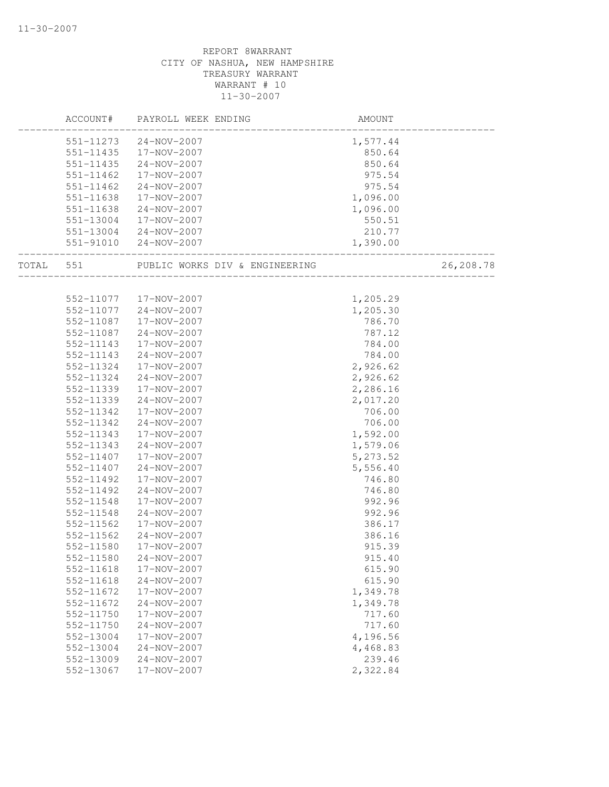|       | ACCOUNT#      | PAYROLL WEEK ENDING            | AMOUNT   |           |
|-------|---------------|--------------------------------|----------|-----------|
|       | 551-11273     | 24-NOV-2007                    | 1,577.44 |           |
|       | 551-11435     | 17-NOV-2007                    | 850.64   |           |
|       | 551-11435     | 24-NOV-2007                    | 850.64   |           |
|       | 551-11462     | 17-NOV-2007                    | 975.54   |           |
|       | $551 - 11462$ | 24-NOV-2007                    | 975.54   |           |
|       | 551-11638     | 17-NOV-2007                    | 1,096.00 |           |
|       | 551-11638     | 24-NOV-2007                    | 1,096.00 |           |
|       | 551-13004     | 17-NOV-2007                    | 550.51   |           |
|       |               | 551-13004 24-NOV-2007          | 210.77   |           |
|       |               | 551-91010 24-NOV-2007          | 1,390.00 |           |
| TOTAL | 551           | PUBLIC WORKS DIV & ENGINEERING |          | 26,208.78 |
|       |               |                                |          |           |
|       |               | 552-11077  17-NOV-2007         | 1,205.29 |           |
|       | 552-11077     | 24-NOV-2007                    | 1,205.30 |           |
|       | 552-11087     | 17-NOV-2007                    | 786.70   |           |
|       | 552-11087     | 24-NOV-2007                    | 787.12   |           |
|       | 552-11143     | 17-NOV-2007                    | 784.00   |           |
|       | 552-11143     | 24-NOV-2007                    | 784.00   |           |
|       | 552-11324     | 17-NOV-2007                    | 2,926.62 |           |
|       | 552-11324     | 24-NOV-2007                    | 2,926.62 |           |
|       | 552-11339     | 17-NOV-2007                    | 2,286.16 |           |
|       | 552-11339     | 24-NOV-2007                    | 2,017.20 |           |
|       | 552-11342     | 17-NOV-2007                    | 706.00   |           |
|       | 552-11342     | $24 - NOV - 2007$              | 706.00   |           |
|       | 552-11343     | 17-NOV-2007                    | 1,592.00 |           |
|       | 552-11343     | $24 - NOV - 2007$              | 1,579.06 |           |
|       | 552-11407     | 17-NOV-2007                    | 5,273.52 |           |
|       | 552-11407     | 24-NOV-2007                    | 5,556.40 |           |
|       | 552-11492     | 17-NOV-2007                    | 746.80   |           |
|       | 552-11492     | 24-NOV-2007                    | 746.80   |           |
|       | 552-11548     | 17-NOV-2007                    | 992.96   |           |
|       | 552-11548     | 24-NOV-2007                    | 992.96   |           |
|       | 552-11562     | 17-NOV-2007                    | 386.17   |           |
|       | 552-11562     | 24-NOV-2007                    | 386.16   |           |
|       | 552-11580     | 17-NOV-2007                    | 915.39   |           |
|       | 552-11580     | $24 - NOV - 2007$              | 915.40   |           |
|       | 552-11618     | 17-NOV-2007                    | 615.90   |           |
|       | 552-11618     | 24-NOV-2007                    | 615.90   |           |
|       | 552-11672     | 17-NOV-2007                    | 1,349.78 |           |
|       | 552-11672     | 24-NOV-2007                    | 1,349.78 |           |
|       | 552-11750     | 17-NOV-2007                    | 717.60   |           |
|       | 552-11750     | $24 - NOV - 2007$              | 717.60   |           |
|       | 552-13004     | 17-NOV-2007                    | 4,196.56 |           |
|       | 552-13004     | $24 - NOV - 2007$              | 4,468.83 |           |
|       | 552-13009     | 24-NOV-2007                    | 239.46   |           |
|       | $552 - 13067$ | 17-NOV-2007                    | 2,322.84 |           |
|       |               |                                |          |           |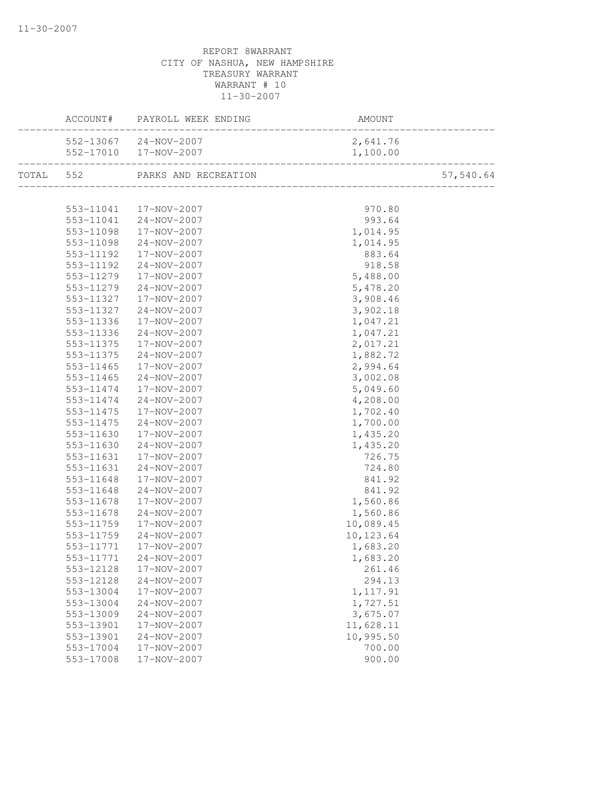|           |           |                        | AMOUNT                         |                      |
|-----------|-----------|------------------------|--------------------------------|----------------------|
|           |           | 552-13067 24-NOV-2007  | 2,641.76                       |                      |
|           |           | 552-17010 17-NOV-2007  | 1,100.00                       | 0<br>--------------- |
| TOTAL 552 |           | PARKS AND RECREATION   | ______________________________ | 57,540.64            |
|           |           |                        |                                |                      |
|           |           | 553-11041  17-NOV-2007 | 970.80                         |                      |
|           | 553-11041 | $24 - NOV - 2007$      | 993.64                         |                      |
|           | 553-11098 | 17-NOV-2007            | 1,014.95                       |                      |
|           | 553-11098 | 24-NOV-2007            | 1,014.95                       |                      |
|           | 553-11192 | 17-NOV-2007            | 883.64                         |                      |
|           | 553-11192 | 24-NOV-2007            | 918.58                         |                      |
|           | 553-11279 | 17-NOV-2007            | 5,488.00                       |                      |
|           | 553-11279 | 24-NOV-2007            | 5,478.20                       |                      |
|           | 553-11327 | 17-NOV-2007            | 3,908.46                       |                      |
|           | 553-11327 | 24-NOV-2007            | 3,902.18                       |                      |
|           | 553-11336 | 17-NOV-2007            | 1,047.21                       |                      |
|           | 553-11336 | 24-NOV-2007            | 1,047.21                       |                      |
|           | 553-11375 | 17-NOV-2007            | 2,017.21                       |                      |
|           | 553-11375 | 24-NOV-2007            | 1,882.72                       |                      |
|           | 553-11465 | 17-NOV-2007            | 2,994.64                       |                      |
|           | 553-11465 | 24-NOV-2007            | 3,002.08                       |                      |
|           | 553-11474 | 17-NOV-2007            | 5,049.60                       |                      |
|           | 553-11474 | 24-NOV-2007            | 4,208.00                       |                      |
|           | 553-11475 | 17-NOV-2007            | 1,702.40                       |                      |
|           | 553-11475 | $24 - NOV - 2007$      | 1,700.00                       |                      |
|           | 553-11630 | 17-NOV-2007            | 1,435.20                       |                      |
|           | 553-11630 | 24-NOV-2007            | 1,435.20                       |                      |
|           | 553-11631 | 17-NOV-2007            | 726.75                         |                      |
|           | 553-11631 | 24-NOV-2007            | 724.80                         |                      |
|           | 553-11648 | 17-NOV-2007            | 841.92                         |                      |
|           | 553-11648 | 24-NOV-2007            | 841.92                         |                      |
|           | 553-11678 | 17-NOV-2007            | 1,560.86                       |                      |
|           | 553-11678 | 24-NOV-2007            | 1,560.86                       |                      |
|           | 553-11759 | 17-NOV-2007            | 10,089.45                      |                      |
|           | 553-11759 | 24-NOV-2007            | 10,123.64                      |                      |
|           | 553-11771 | 17-NOV-2007            | 1,683.20                       |                      |
|           |           |                        | 1,683.20                       |                      |
|           | 553-12128 | 17-NOV-2007            | 261.46                         |                      |
|           | 553-12128 | 24-NOV-2007            | 294.13                         |                      |
|           | 553-13004 | 17-NOV-2007            | 1, 117.91                      |                      |
|           | 553-13004 | 24-NOV-2007            | 1,727.51                       |                      |
|           | 553-13009 | 24-NOV-2007            | 3,675.07                       |                      |
|           | 553-13901 | 17-NOV-2007            | 11,628.11                      |                      |
|           | 553-13901 | 24-NOV-2007            | 10,995.50                      |                      |
|           | 553-17004 | 17-NOV-2007            | 700.00                         |                      |
|           | 553-17008 | 17-NOV-2007            | 900.00                         |                      |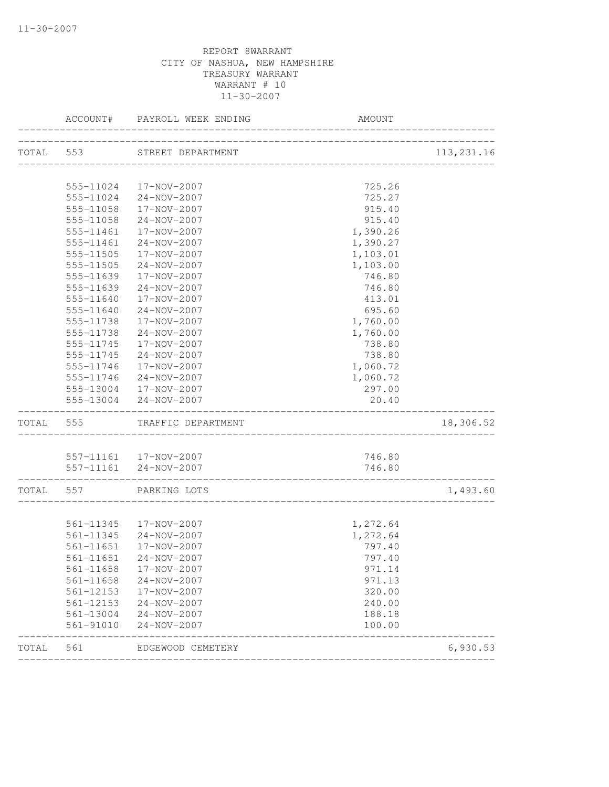|           | ACCOUNT#          | PAYROLL WEEK ENDING         | AMOUNT                           |             |
|-----------|-------------------|-----------------------------|----------------------------------|-------------|
|           |                   | TOTAL 553 STREET DEPARTMENT |                                  | 113, 231.16 |
|           |                   |                             |                                  |             |
|           |                   | 555-11024  17-NOV-2007      | 725.26                           |             |
|           |                   | 555-11024 24-NOV-2007       | 725.27                           |             |
|           | 555-11058         | 17-NOV-2007                 | 915.40                           |             |
|           | 555-11058         | 24-NOV-2007                 | 915.40                           |             |
|           | 555-11461         | 17-NOV-2007                 | 1,390.26                         |             |
|           | 555-11461         | 24-NOV-2007                 | 1,390.27                         |             |
|           | 555-11505         | 17-NOV-2007                 | 1,103.01                         |             |
|           | 555-11505         | 24-NOV-2007                 | 1,103.00                         |             |
|           | 555-11639         | 17-NOV-2007                 | 746.80                           |             |
|           | 555-11639         | 24-NOV-2007                 | 746.80                           |             |
|           | 555-11640         | 17-NOV-2007                 | 413.01                           |             |
|           | 555-11640         | 24-NOV-2007                 | 695.60                           |             |
|           | 555-11738         | 17-NOV-2007                 | 1,760.00                         |             |
|           | 555-11738         | 24-NOV-2007                 | 1,760.00                         |             |
|           | 555-11745         | 17-NOV-2007                 | 738.80                           |             |
|           | 555-11745         | 24-NOV-2007                 | 738.80                           |             |
|           | 555-11746         | 17-NOV-2007                 | 1,060.72                         |             |
|           | 555-11746         | 24-NOV-2007                 | 1,060.72                         |             |
|           |                   | 555-13004 17-NOV-2007       | 297.00                           |             |
|           |                   | 555-13004 24-NOV-2007       | 20.40                            |             |
| TOTAL 555 |                   | TRAFFIC DEPARTMENT          |                                  | 18,306.52   |
|           |                   |                             |                                  |             |
|           |                   | 557-11161  17-NOV-2007      | 746.80                           |             |
|           | ----------------- | 557-11161 24-NOV-2007       | 746.80                           |             |
|           |                   | TOTAL 557 PARKING LOTS      | ________________________________ | 1,493.60    |
|           |                   |                             |                                  |             |
|           |                   | 561-11345 17-NOV-2007       | 1,272.64                         |             |
|           |                   | 561-11345 24-NOV-2007       | 1,272.64                         |             |
|           | 561-11651         | 17-NOV-2007                 | 797.40                           |             |
|           |                   | 561-11651 24-NOV-2007       | 797.40                           |             |
|           | 561-11658         | 17-NOV-2007                 | 971.14                           |             |
|           |                   | 561-11658 24-NOV-2007       | 971.13                           |             |
|           |                   | 561-12153  17-NOV-2007      | 320.00                           |             |
|           | 561-12153         | 24-NOV-2007                 | 240.00                           |             |
|           | 561-13004         | 24-NOV-2007                 | 188.18                           |             |
|           | 561-91010         | 24-NOV-2007                 | 100.00                           |             |
| TOTAL 561 |                   | EDGEWOOD CEMETERY           |                                  | 6,930.53    |
|           |                   |                             |                                  |             |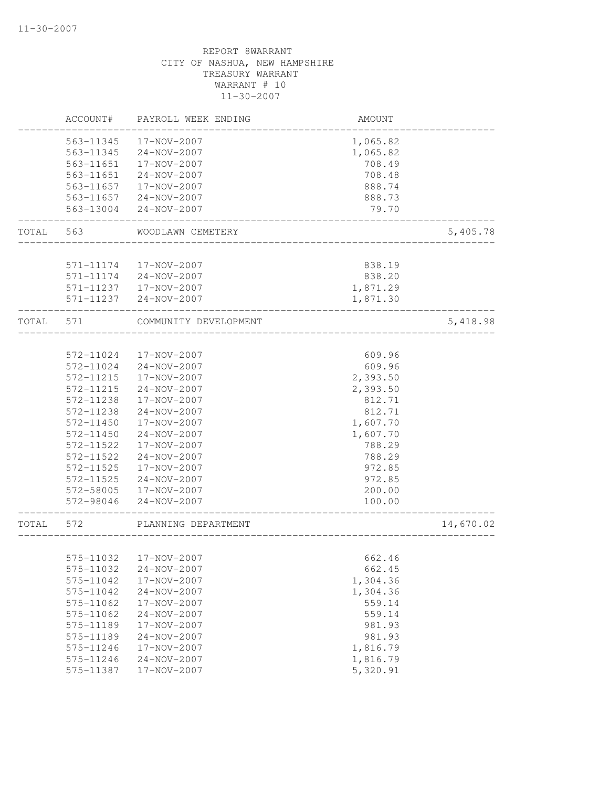|       | ACCOUNT#  | PAYROLL WEEK ENDING    | AMOUNT   |           |
|-------|-----------|------------------------|----------|-----------|
|       | 563-11345 | 17-NOV-2007            | 1,065.82 |           |
|       | 563-11345 | 24-NOV-2007            | 1,065.82 |           |
|       | 563-11651 | 17-NOV-2007            | 708.49   |           |
|       | 563-11651 | $24 - NOV - 2007$      | 708.48   |           |
|       | 563-11657 | 17-NOV-2007            | 888.74   |           |
|       | 563-11657 | 24-NOV-2007            | 888.73   |           |
|       | 563-13004 | 24-NOV-2007            | 79.70    |           |
| TOTAL | 563       | WOODLAWN CEMETERY      |          | 5,405.78  |
|       |           |                        |          |           |
|       | 571-11174 | 17-NOV-2007            | 838.19   |           |
|       | 571-11174 | 24-NOV-2007            | 838.20   |           |
|       |           | 571-11237  17-NOV-2007 | 1,871.29 |           |
|       | 571-11237 | 24-NOV-2007            | 1,871.30 |           |
| TOTAL | 571       | COMMUNITY DEVELOPMENT  |          | 5,418.98  |
|       |           |                        |          |           |
|       | 572-11024 | 17-NOV-2007            | 609.96   |           |
|       | 572-11024 | 24-NOV-2007            | 609.96   |           |
|       | 572-11215 | 17-NOV-2007            | 2,393.50 |           |
|       | 572-11215 | 24-NOV-2007            | 2,393.50 |           |
|       | 572-11238 | 17-NOV-2007            | 812.71   |           |
|       | 572-11238 | $24 - NOV - 2007$      | 812.71   |           |
|       | 572-11450 | 17-NOV-2007            | 1,607.70 |           |
|       | 572-11450 | 24-NOV-2007            | 1,607.70 |           |
|       | 572-11522 | 17-NOV-2007            | 788.29   |           |
|       | 572-11522 | 24-NOV-2007            | 788.29   |           |
|       | 572-11525 | 17-NOV-2007            | 972.85   |           |
|       | 572-11525 | 24-NOV-2007            | 972.85   |           |
|       | 572-58005 | 17-NOV-2007            | 200.00   |           |
|       | 572-98046 | 24-NOV-2007            | 100.00   |           |
| TOTAL | 572       | PLANNING DEPARTMENT    |          | 14,670.02 |
|       |           |                        |          |           |
|       |           | 575-11032  17-NOV-2007 | 662.46   |           |
|       | 575-11032 | 24-NOV-2007            | 662.45   |           |
|       | 575-11042 | 17-NOV-2007            | 1,304.36 |           |
|       | 575-11042 | $24 - NOV - 2007$      | 1,304.36 |           |
|       | 575-11062 | 17-NOV-2007            | 559.14   |           |
|       | 575-11062 | 24-NOV-2007            | 559.14   |           |
|       | 575-11189 | 17-NOV-2007            | 981.93   |           |
|       | 575-11189 | $24 - NOV - 2007$      | 981.93   |           |
|       | 575-11246 | 17-NOV-2007            | 1,816.79 |           |
|       | 575-11246 | 24-NOV-2007            | 1,816.79 |           |
|       | 575-11387 | 17-NOV-2007            | 5,320.91 |           |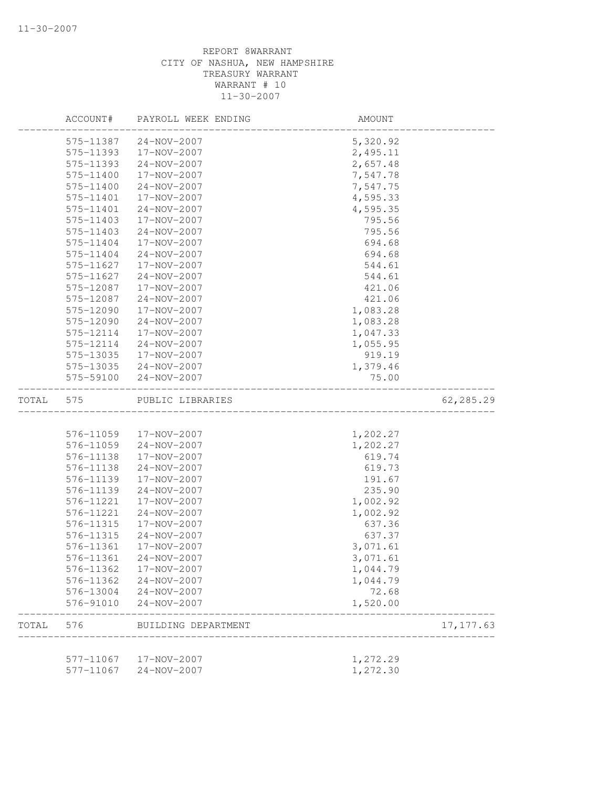|       | ACCOUNT#  | PAYROLL WEEK ENDING | AMOUNT   |            |
|-------|-----------|---------------------|----------|------------|
|       | 575-11387 | 24-NOV-2007         | 5,320.92 |            |
|       | 575-11393 | 17-NOV-2007         | 2,495.11 |            |
|       | 575-11393 | 24-NOV-2007         | 2,657.48 |            |
|       | 575-11400 | 17-NOV-2007         | 7,547.78 |            |
|       | 575-11400 | 24-NOV-2007         | 7,547.75 |            |
|       | 575-11401 | 17-NOV-2007         | 4,595.33 |            |
|       | 575-11401 | 24-NOV-2007         | 4,595.35 |            |
|       | 575-11403 | 17-NOV-2007         | 795.56   |            |
|       | 575-11403 | 24-NOV-2007         | 795.56   |            |
|       | 575-11404 | 17-NOV-2007         | 694.68   |            |
|       | 575-11404 | 24-NOV-2007         | 694.68   |            |
|       | 575-11627 | 17-NOV-2007         | 544.61   |            |
|       | 575-11627 | $24 - NOV - 2007$   | 544.61   |            |
|       | 575-12087 | 17-NOV-2007         | 421.06   |            |
|       | 575-12087 | 24-NOV-2007         | 421.06   |            |
|       | 575-12090 | 17-NOV-2007         | 1,083.28 |            |
|       | 575-12090 | 24-NOV-2007         | 1,083.28 |            |
|       | 575-12114 | 17-NOV-2007         | 1,047.33 |            |
|       | 575-12114 | 24-NOV-2007         | 1,055.95 |            |
|       | 575-13035 | 17-NOV-2007         | 919.19   |            |
|       | 575-13035 | $24 - NOV - 2007$   | 1,379.46 |            |
|       | 575-59100 | 24-NOV-2007         | 75.00    |            |
| TOTAL | 575       | PUBLIC LIBRARIES    |          | 62,285.29  |
|       |           |                     |          |            |
|       | 576-11059 | 17-NOV-2007         | 1,202.27 |            |
|       | 576-11059 | $24 - NOV - 2007$   | 1,202.27 |            |
|       | 576-11138 | 17-NOV-2007         | 619.74   |            |
|       | 576-11138 | 24-NOV-2007         | 619.73   |            |
|       | 576-11139 | 17-NOV-2007         | 191.67   |            |
|       | 576-11139 | 24-NOV-2007         | 235.90   |            |
|       | 576-11221 | 17-NOV-2007         | 1,002.92 |            |
|       | 576-11221 | 24-NOV-2007         | 1,002.92 |            |
|       | 576-11315 | 17-NOV-2007         | 637.36   |            |
|       | 576-11315 | 24-NOV-2007         | 637.37   |            |
|       | 576-11361 | 17-NOV-2007         | 3,071.61 |            |
|       | 576-11361 | $24 - NOV - 2007$   | 3,071.61 |            |
|       | 576-11362 | 17-NOV-2007         | 1,044.79 |            |
|       | 576-11362 | 24-NOV-2007         | 1,044.79 |            |
|       | 576-13004 | 24-NOV-2007         | 72.68    |            |
|       | 576-91010 | $24 - NOV - 2007$   | 1,520.00 |            |
| TOTAL | 576       | BUILDING DEPARTMENT |          | 17, 177.63 |
|       | 577-11067 | 17-NOV-2007         | 1,272.29 |            |
|       | 577-11067 | $24 - NOV - 2007$   | 1,272.30 |            |
|       |           |                     |          |            |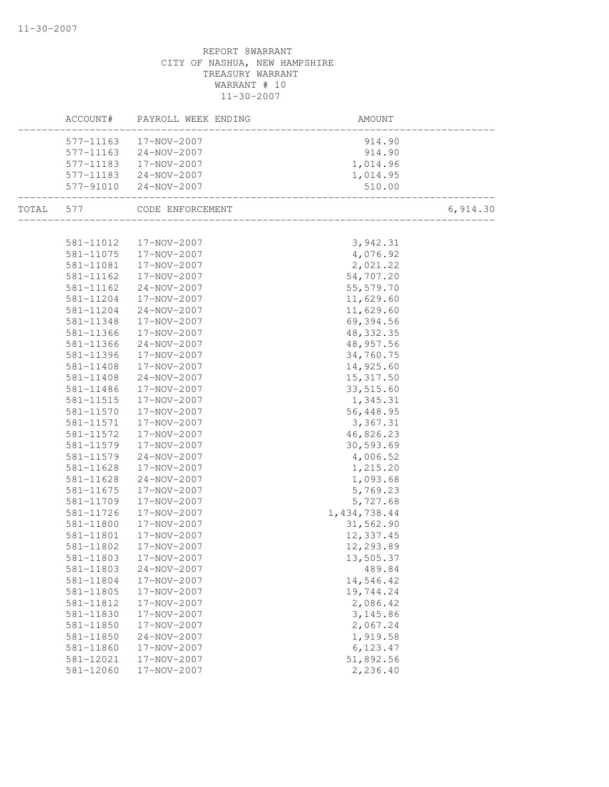| 17-NOV-2007<br>914.90<br>577-11163<br>577-11163<br>24-NOV-2007<br>914.90<br>577-11183<br>17-NOV-2007<br>1,014.96<br>24-NOV-2007<br>577-11183<br>1,014.95<br>577-91010<br>24-NOV-2007<br>510.00<br>6,914.30<br>TOTAL<br>577<br>CODE ENFORCEMENT<br><br>_________________________________<br>581-11012<br>17-NOV-2007<br>3,942.31<br>581-11075<br>17-NOV-2007<br>4,076.92<br>17-NOV-2007<br>2,021.22<br>581-11081<br>54,707.20<br>581-11162<br>17-NOV-2007<br>55, 579.70<br>581-11162<br>24-NOV-2007<br>11,629.60<br>581-11204<br>17-NOV-2007<br>11,629.60<br>581-11204<br>24-NOV-2007<br>69,394.56<br>581-11348<br>17-NOV-2007<br>48, 332.35<br>581-11366<br>17-NOV-2007<br>48, 957.56<br>581-11366<br>24-NOV-2007<br>17-NOV-2007<br>34,760.75<br>581-11396<br>17-NOV-2007<br>14,925.60<br>581-11408<br>581-11408<br>24-NOV-2007<br>15, 317.50<br>17-NOV-2007<br>33,515.60<br>581-11486<br>17-NOV-2007<br>1,345.31<br>581-11515<br>581-11570<br>17-NOV-2007<br>56,448.95<br>581-11571<br>17-NOV-2007<br>3,367.31<br>46,826.23<br>581-11572<br>17-NOV-2007<br>30,593.69<br>581-11579<br>17-NOV-2007<br>581-11579<br>24-NOV-2007<br>4,006.52<br>581-11628<br>17-NOV-2007<br>1,215.20<br>1,093.68<br>581-11628<br>24-NOV-2007<br>5,769.23<br>581-11675<br>17-NOV-2007<br>5,727.68<br>581-11709<br>17-NOV-2007<br>1, 434, 738.44<br>581-11726<br>17-NOV-2007<br>31,562.90<br>581-11800<br>17-NOV-2007<br>12,337.45<br>581-11801<br>17-NOV-2007<br>17-NOV-2007<br>12,293.89<br>581-11802<br>581-11803<br>17-NOV-2007<br>13,505.37<br>581-11803<br>489.84<br>$24 - NOV - 2007$<br>581-11804<br>17-NOV-2007<br>14,546.42<br>17-NOV-2007<br>19,744.24<br>581-11805<br>17-NOV-2007<br>2,086.42<br>581-11812<br>3, 145.86<br>581-11830<br>17-NOV-2007<br>2,067.24<br>581-11850<br>17-NOV-2007<br>1,919.58<br>24-NOV-2007<br>581-11850<br>6,123.47<br>581-11860<br>17-NOV-2007<br>51,892.56<br>17-NOV-2007<br>581-12021<br>581-12060<br>17-NOV-2007<br>2,236.40 | ACCOUNT# | PAYROLL WEEK ENDING | AMOUNT |  |
|-----------------------------------------------------------------------------------------------------------------------------------------------------------------------------------------------------------------------------------------------------------------------------------------------------------------------------------------------------------------------------------------------------------------------------------------------------------------------------------------------------------------------------------------------------------------------------------------------------------------------------------------------------------------------------------------------------------------------------------------------------------------------------------------------------------------------------------------------------------------------------------------------------------------------------------------------------------------------------------------------------------------------------------------------------------------------------------------------------------------------------------------------------------------------------------------------------------------------------------------------------------------------------------------------------------------------------------------------------------------------------------------------------------------------------------------------------------------------------------------------------------------------------------------------------------------------------------------------------------------------------------------------------------------------------------------------------------------------------------------------------------------------------------------------------------------------------------------------------------------------------------------------------------------------------------------------------|----------|---------------------|--------|--|
|                                                                                                                                                                                                                                                                                                                                                                                                                                                                                                                                                                                                                                                                                                                                                                                                                                                                                                                                                                                                                                                                                                                                                                                                                                                                                                                                                                                                                                                                                                                                                                                                                                                                                                                                                                                                                                                                                                                                                     |          |                     |        |  |
|                                                                                                                                                                                                                                                                                                                                                                                                                                                                                                                                                                                                                                                                                                                                                                                                                                                                                                                                                                                                                                                                                                                                                                                                                                                                                                                                                                                                                                                                                                                                                                                                                                                                                                                                                                                                                                                                                                                                                     |          |                     |        |  |
|                                                                                                                                                                                                                                                                                                                                                                                                                                                                                                                                                                                                                                                                                                                                                                                                                                                                                                                                                                                                                                                                                                                                                                                                                                                                                                                                                                                                                                                                                                                                                                                                                                                                                                                                                                                                                                                                                                                                                     |          |                     |        |  |
|                                                                                                                                                                                                                                                                                                                                                                                                                                                                                                                                                                                                                                                                                                                                                                                                                                                                                                                                                                                                                                                                                                                                                                                                                                                                                                                                                                                                                                                                                                                                                                                                                                                                                                                                                                                                                                                                                                                                                     |          |                     |        |  |
|                                                                                                                                                                                                                                                                                                                                                                                                                                                                                                                                                                                                                                                                                                                                                                                                                                                                                                                                                                                                                                                                                                                                                                                                                                                                                                                                                                                                                                                                                                                                                                                                                                                                                                                                                                                                                                                                                                                                                     |          |                     |        |  |
|                                                                                                                                                                                                                                                                                                                                                                                                                                                                                                                                                                                                                                                                                                                                                                                                                                                                                                                                                                                                                                                                                                                                                                                                                                                                                                                                                                                                                                                                                                                                                                                                                                                                                                                                                                                                                                                                                                                                                     |          |                     |        |  |
|                                                                                                                                                                                                                                                                                                                                                                                                                                                                                                                                                                                                                                                                                                                                                                                                                                                                                                                                                                                                                                                                                                                                                                                                                                                                                                                                                                                                                                                                                                                                                                                                                                                                                                                                                                                                                                                                                                                                                     |          |                     |        |  |
|                                                                                                                                                                                                                                                                                                                                                                                                                                                                                                                                                                                                                                                                                                                                                                                                                                                                                                                                                                                                                                                                                                                                                                                                                                                                                                                                                                                                                                                                                                                                                                                                                                                                                                                                                                                                                                                                                                                                                     |          |                     |        |  |
|                                                                                                                                                                                                                                                                                                                                                                                                                                                                                                                                                                                                                                                                                                                                                                                                                                                                                                                                                                                                                                                                                                                                                                                                                                                                                                                                                                                                                                                                                                                                                                                                                                                                                                                                                                                                                                                                                                                                                     |          |                     |        |  |
|                                                                                                                                                                                                                                                                                                                                                                                                                                                                                                                                                                                                                                                                                                                                                                                                                                                                                                                                                                                                                                                                                                                                                                                                                                                                                                                                                                                                                                                                                                                                                                                                                                                                                                                                                                                                                                                                                                                                                     |          |                     |        |  |
|                                                                                                                                                                                                                                                                                                                                                                                                                                                                                                                                                                                                                                                                                                                                                                                                                                                                                                                                                                                                                                                                                                                                                                                                                                                                                                                                                                                                                                                                                                                                                                                                                                                                                                                                                                                                                                                                                                                                                     |          |                     |        |  |
|                                                                                                                                                                                                                                                                                                                                                                                                                                                                                                                                                                                                                                                                                                                                                                                                                                                                                                                                                                                                                                                                                                                                                                                                                                                                                                                                                                                                                                                                                                                                                                                                                                                                                                                                                                                                                                                                                                                                                     |          |                     |        |  |
|                                                                                                                                                                                                                                                                                                                                                                                                                                                                                                                                                                                                                                                                                                                                                                                                                                                                                                                                                                                                                                                                                                                                                                                                                                                                                                                                                                                                                                                                                                                                                                                                                                                                                                                                                                                                                                                                                                                                                     |          |                     |        |  |
|                                                                                                                                                                                                                                                                                                                                                                                                                                                                                                                                                                                                                                                                                                                                                                                                                                                                                                                                                                                                                                                                                                                                                                                                                                                                                                                                                                                                                                                                                                                                                                                                                                                                                                                                                                                                                                                                                                                                                     |          |                     |        |  |
|                                                                                                                                                                                                                                                                                                                                                                                                                                                                                                                                                                                                                                                                                                                                                                                                                                                                                                                                                                                                                                                                                                                                                                                                                                                                                                                                                                                                                                                                                                                                                                                                                                                                                                                                                                                                                                                                                                                                                     |          |                     |        |  |
|                                                                                                                                                                                                                                                                                                                                                                                                                                                                                                                                                                                                                                                                                                                                                                                                                                                                                                                                                                                                                                                                                                                                                                                                                                                                                                                                                                                                                                                                                                                                                                                                                                                                                                                                                                                                                                                                                                                                                     |          |                     |        |  |
|                                                                                                                                                                                                                                                                                                                                                                                                                                                                                                                                                                                                                                                                                                                                                                                                                                                                                                                                                                                                                                                                                                                                                                                                                                                                                                                                                                                                                                                                                                                                                                                                                                                                                                                                                                                                                                                                                                                                                     |          |                     |        |  |
|                                                                                                                                                                                                                                                                                                                                                                                                                                                                                                                                                                                                                                                                                                                                                                                                                                                                                                                                                                                                                                                                                                                                                                                                                                                                                                                                                                                                                                                                                                                                                                                                                                                                                                                                                                                                                                                                                                                                                     |          |                     |        |  |
|                                                                                                                                                                                                                                                                                                                                                                                                                                                                                                                                                                                                                                                                                                                                                                                                                                                                                                                                                                                                                                                                                                                                                                                                                                                                                                                                                                                                                                                                                                                                                                                                                                                                                                                                                                                                                                                                                                                                                     |          |                     |        |  |
|                                                                                                                                                                                                                                                                                                                                                                                                                                                                                                                                                                                                                                                                                                                                                                                                                                                                                                                                                                                                                                                                                                                                                                                                                                                                                                                                                                                                                                                                                                                                                                                                                                                                                                                                                                                                                                                                                                                                                     |          |                     |        |  |
|                                                                                                                                                                                                                                                                                                                                                                                                                                                                                                                                                                                                                                                                                                                                                                                                                                                                                                                                                                                                                                                                                                                                                                                                                                                                                                                                                                                                                                                                                                                                                                                                                                                                                                                                                                                                                                                                                                                                                     |          |                     |        |  |
|                                                                                                                                                                                                                                                                                                                                                                                                                                                                                                                                                                                                                                                                                                                                                                                                                                                                                                                                                                                                                                                                                                                                                                                                                                                                                                                                                                                                                                                                                                                                                                                                                                                                                                                                                                                                                                                                                                                                                     |          |                     |        |  |
|                                                                                                                                                                                                                                                                                                                                                                                                                                                                                                                                                                                                                                                                                                                                                                                                                                                                                                                                                                                                                                                                                                                                                                                                                                                                                                                                                                                                                                                                                                                                                                                                                                                                                                                                                                                                                                                                                                                                                     |          |                     |        |  |
|                                                                                                                                                                                                                                                                                                                                                                                                                                                                                                                                                                                                                                                                                                                                                                                                                                                                                                                                                                                                                                                                                                                                                                                                                                                                                                                                                                                                                                                                                                                                                                                                                                                                                                                                                                                                                                                                                                                                                     |          |                     |        |  |
|                                                                                                                                                                                                                                                                                                                                                                                                                                                                                                                                                                                                                                                                                                                                                                                                                                                                                                                                                                                                                                                                                                                                                                                                                                                                                                                                                                                                                                                                                                                                                                                                                                                                                                                                                                                                                                                                                                                                                     |          |                     |        |  |
|                                                                                                                                                                                                                                                                                                                                                                                                                                                                                                                                                                                                                                                                                                                                                                                                                                                                                                                                                                                                                                                                                                                                                                                                                                                                                                                                                                                                                                                                                                                                                                                                                                                                                                                                                                                                                                                                                                                                                     |          |                     |        |  |
|                                                                                                                                                                                                                                                                                                                                                                                                                                                                                                                                                                                                                                                                                                                                                                                                                                                                                                                                                                                                                                                                                                                                                                                                                                                                                                                                                                                                                                                                                                                                                                                                                                                                                                                                                                                                                                                                                                                                                     |          |                     |        |  |
|                                                                                                                                                                                                                                                                                                                                                                                                                                                                                                                                                                                                                                                                                                                                                                                                                                                                                                                                                                                                                                                                                                                                                                                                                                                                                                                                                                                                                                                                                                                                                                                                                                                                                                                                                                                                                                                                                                                                                     |          |                     |        |  |
|                                                                                                                                                                                                                                                                                                                                                                                                                                                                                                                                                                                                                                                                                                                                                                                                                                                                                                                                                                                                                                                                                                                                                                                                                                                                                                                                                                                                                                                                                                                                                                                                                                                                                                                                                                                                                                                                                                                                                     |          |                     |        |  |
|                                                                                                                                                                                                                                                                                                                                                                                                                                                                                                                                                                                                                                                                                                                                                                                                                                                                                                                                                                                                                                                                                                                                                                                                                                                                                                                                                                                                                                                                                                                                                                                                                                                                                                                                                                                                                                                                                                                                                     |          |                     |        |  |
|                                                                                                                                                                                                                                                                                                                                                                                                                                                                                                                                                                                                                                                                                                                                                                                                                                                                                                                                                                                                                                                                                                                                                                                                                                                                                                                                                                                                                                                                                                                                                                                                                                                                                                                                                                                                                                                                                                                                                     |          |                     |        |  |
|                                                                                                                                                                                                                                                                                                                                                                                                                                                                                                                                                                                                                                                                                                                                                                                                                                                                                                                                                                                                                                                                                                                                                                                                                                                                                                                                                                                                                                                                                                                                                                                                                                                                                                                                                                                                                                                                                                                                                     |          |                     |        |  |
|                                                                                                                                                                                                                                                                                                                                                                                                                                                                                                                                                                                                                                                                                                                                                                                                                                                                                                                                                                                                                                                                                                                                                                                                                                                                                                                                                                                                                                                                                                                                                                                                                                                                                                                                                                                                                                                                                                                                                     |          |                     |        |  |
|                                                                                                                                                                                                                                                                                                                                                                                                                                                                                                                                                                                                                                                                                                                                                                                                                                                                                                                                                                                                                                                                                                                                                                                                                                                                                                                                                                                                                                                                                                                                                                                                                                                                                                                                                                                                                                                                                                                                                     |          |                     |        |  |
|                                                                                                                                                                                                                                                                                                                                                                                                                                                                                                                                                                                                                                                                                                                                                                                                                                                                                                                                                                                                                                                                                                                                                                                                                                                                                                                                                                                                                                                                                                                                                                                                                                                                                                                                                                                                                                                                                                                                                     |          |                     |        |  |
|                                                                                                                                                                                                                                                                                                                                                                                                                                                                                                                                                                                                                                                                                                                                                                                                                                                                                                                                                                                                                                                                                                                                                                                                                                                                                                                                                                                                                                                                                                                                                                                                                                                                                                                                                                                                                                                                                                                                                     |          |                     |        |  |
|                                                                                                                                                                                                                                                                                                                                                                                                                                                                                                                                                                                                                                                                                                                                                                                                                                                                                                                                                                                                                                                                                                                                                                                                                                                                                                                                                                                                                                                                                                                                                                                                                                                                                                                                                                                                                                                                                                                                                     |          |                     |        |  |
|                                                                                                                                                                                                                                                                                                                                                                                                                                                                                                                                                                                                                                                                                                                                                                                                                                                                                                                                                                                                                                                                                                                                                                                                                                                                                                                                                                                                                                                                                                                                                                                                                                                                                                                                                                                                                                                                                                                                                     |          |                     |        |  |
|                                                                                                                                                                                                                                                                                                                                                                                                                                                                                                                                                                                                                                                                                                                                                                                                                                                                                                                                                                                                                                                                                                                                                                                                                                                                                                                                                                                                                                                                                                                                                                                                                                                                                                                                                                                                                                                                                                                                                     |          |                     |        |  |
|                                                                                                                                                                                                                                                                                                                                                                                                                                                                                                                                                                                                                                                                                                                                                                                                                                                                                                                                                                                                                                                                                                                                                                                                                                                                                                                                                                                                                                                                                                                                                                                                                                                                                                                                                                                                                                                                                                                                                     |          |                     |        |  |
|                                                                                                                                                                                                                                                                                                                                                                                                                                                                                                                                                                                                                                                                                                                                                                                                                                                                                                                                                                                                                                                                                                                                                                                                                                                                                                                                                                                                                                                                                                                                                                                                                                                                                                                                                                                                                                                                                                                                                     |          |                     |        |  |
|                                                                                                                                                                                                                                                                                                                                                                                                                                                                                                                                                                                                                                                                                                                                                                                                                                                                                                                                                                                                                                                                                                                                                                                                                                                                                                                                                                                                                                                                                                                                                                                                                                                                                                                                                                                                                                                                                                                                                     |          |                     |        |  |
|                                                                                                                                                                                                                                                                                                                                                                                                                                                                                                                                                                                                                                                                                                                                                                                                                                                                                                                                                                                                                                                                                                                                                                                                                                                                                                                                                                                                                                                                                                                                                                                                                                                                                                                                                                                                                                                                                                                                                     |          |                     |        |  |
|                                                                                                                                                                                                                                                                                                                                                                                                                                                                                                                                                                                                                                                                                                                                                                                                                                                                                                                                                                                                                                                                                                                                                                                                                                                                                                                                                                                                                                                                                                                                                                                                                                                                                                                                                                                                                                                                                                                                                     |          |                     |        |  |
|                                                                                                                                                                                                                                                                                                                                                                                                                                                                                                                                                                                                                                                                                                                                                                                                                                                                                                                                                                                                                                                                                                                                                                                                                                                                                                                                                                                                                                                                                                                                                                                                                                                                                                                                                                                                                                                                                                                                                     |          |                     |        |  |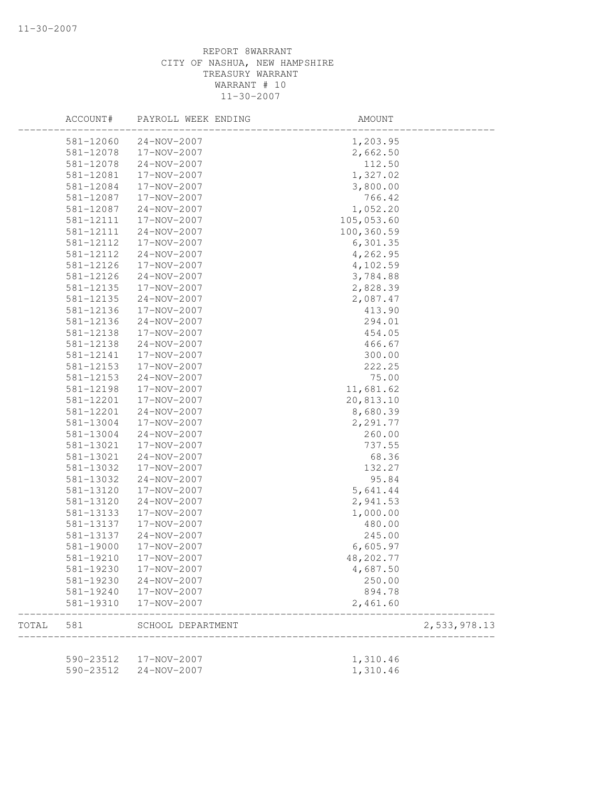|       | ACCOUNT#      | PAYROLL WEEK ENDING    | AMOUNT             |              |
|-------|---------------|------------------------|--------------------|--------------|
|       | 581-12060     | 24-NOV-2007            | 1,203.95           |              |
|       | 581-12078     | 17-NOV-2007            | 2,662.50           |              |
|       | 581-12078     | 24-NOV-2007            | 112.50             |              |
|       | 581-12081     | 17-NOV-2007            | 1,327.02           |              |
|       | 581-12084     | 17-NOV-2007            | 3,800.00           |              |
|       | 581-12087     | 17-NOV-2007            | 766.42             |              |
|       | 581-12087     | 24-NOV-2007            | 1,052.20           |              |
|       | 581-12111     | 17-NOV-2007            | 105,053.60         |              |
|       | 581-12111     | 24-NOV-2007            | 100,360.59         |              |
|       | 581-12112     | 17-NOV-2007            | 6,301.35           |              |
|       | 581-12112     | 24-NOV-2007            | 4,262.95           |              |
|       | 581-12126     | 17-NOV-2007            | 4,102.59           |              |
|       | 581-12126     | 24-NOV-2007            | 3,784.88           |              |
|       | 581-12135     | 17-NOV-2007            | 2,828.39           |              |
|       | 581-12135     | 24-NOV-2007            | 2,087.47           |              |
|       | 581-12136     | 17-NOV-2007            | 413.90             |              |
|       | 581-12136     | 24-NOV-2007            | 294.01             |              |
|       | 581-12138     | 17-NOV-2007            | 454.05             |              |
|       | 581-12138     | $24 - NOV - 2007$      | 466.67             |              |
|       | 581-12141     | 17-NOV-2007            | 300.00             |              |
|       | 581-12153     | 17-NOV-2007            | 222.25             |              |
|       | 581-12153     | 24-NOV-2007            | 75.00              |              |
|       |               |                        |                    |              |
|       | 581-12198     | 17-NOV-2007            | 11,681.62          |              |
|       | 581-12201     | 17-NOV-2007            | 20,813.10          |              |
|       | 581-12201     | 24-NOV-2007            | 8,680.39           |              |
|       | 581-13004     | 17-NOV-2007            | 2,291.77           |              |
|       | 581-13004     | 24-NOV-2007            | 260.00             |              |
|       | 581-13021     | 17-NOV-2007            | 737.55             |              |
|       | 581-13021     | 24-NOV-2007            | 68.36              |              |
|       | 581-13032     | 17-NOV-2007            | 132.27             |              |
|       | 581-13032     | $24 - NOV - 2007$      | 95.84              |              |
|       | 581-13120     | 17-NOV-2007            | 5,641.44           |              |
|       | 581-13120     | 24-NOV-2007            | 2,941.53           |              |
|       | 581-13133     | 17-NOV-2007            | 1,000.00           |              |
|       | 581-13137     | 17-NOV-2007            | 480.00             |              |
|       | 581-13137     | 24-NOV-2007            | 245.00             |              |
|       | $581 - 19000$ | 17-NOV-2007            | 6,605.97           |              |
|       | 581-19210     | 17-NOV-2007            | 48, 202.77         |              |
|       | 581-19230     | 17-NOV-2007            | 4,687.50           |              |
|       | 581-19230     | 24-NOV-2007            | 250.00             |              |
|       | 581-19240     | 17-NOV-2007            | 894.78             |              |
|       | 581-19310     | 17-NOV-2007            | 2,461.60           |              |
| TOTAL | 581           | SCHOOL DEPARTMENT      | __________________ | 2,533,978.13 |
|       |               |                        |                    |              |
|       |               | 590-23512  17-NOV-2007 | 1,310.46           |              |
|       | 590-23512     | $24 - NOV - 2007$      | 1,310.46           |              |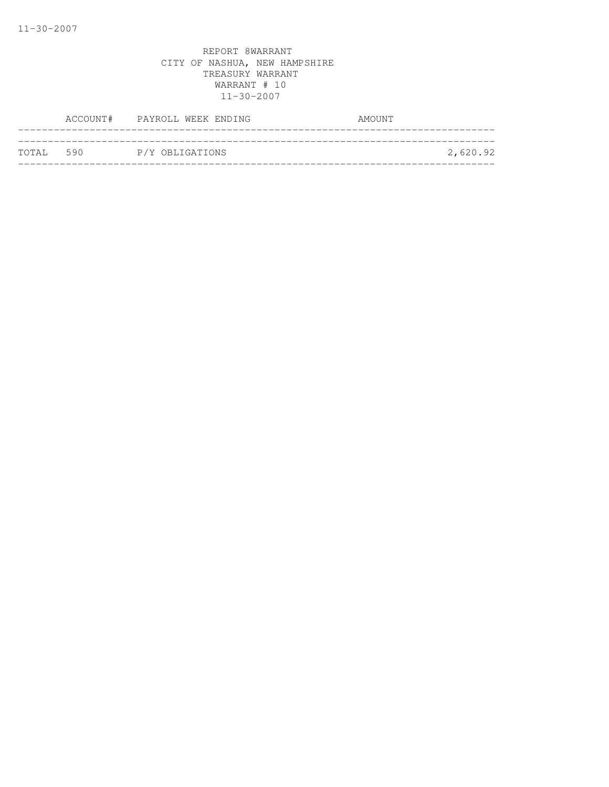|           | ACCOUNT# PAYROLL WEEK ENDING | AMOUNT |          |
|-----------|------------------------------|--------|----------|
| TOTAL 590 | P/Y OBLIGATIONS              |        | 2,620.92 |
|           |                              |        |          |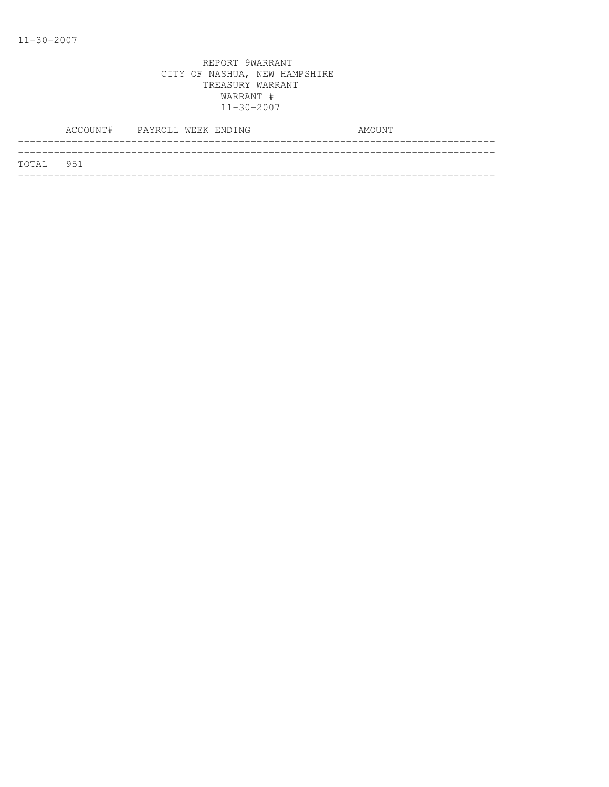|           | ACCOUNT# PAYROLL WEEK ENDING |  |  | AMOUNT |  |
|-----------|------------------------------|--|--|--------|--|
|           |                              |  |  |        |  |
| TOTAL 951 |                              |  |  |        |  |
|           |                              |  |  |        |  |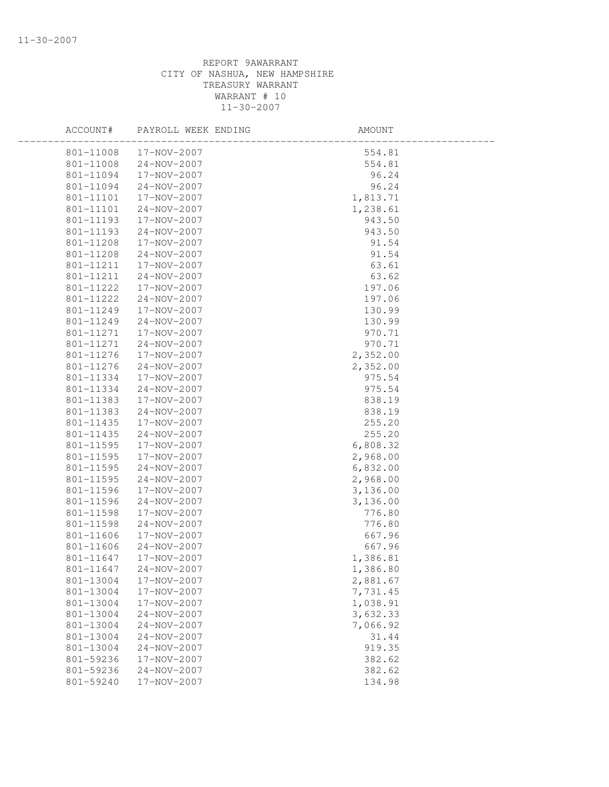| ACCOUNT#               | PAYROLL WEEK ENDING        | AMOUNT   |  |
|------------------------|----------------------------|----------|--|
| 801-11008              | 17-NOV-2007                | 554.81   |  |
| 801-11008              | 24-NOV-2007                | 554.81   |  |
| 801-11094              | 17-NOV-2007                | 96.24    |  |
| 801-11094              | 24-NOV-2007                | 96.24    |  |
| 801-11101              | 17-NOV-2007                | 1,813.71 |  |
| 801-11101              | 24-NOV-2007                | 1,238.61 |  |
| 801-11193              | 17-NOV-2007                | 943.50   |  |
| 801-11193              | 24-NOV-2007                | 943.50   |  |
| 801-11208              | 17-NOV-2007                | 91.54    |  |
| 801-11208              | 24-NOV-2007                | 91.54    |  |
| 801-11211              | 17-NOV-2007                | 63.61    |  |
| 801-11211              | 24-NOV-2007                | 63.62    |  |
| 801-11222              | 17-NOV-2007                | 197.06   |  |
| 801-11222              | 24-NOV-2007                | 197.06   |  |
| 801-11249              | 17-NOV-2007                | 130.99   |  |
| 801-11249              | $24 - NOV - 2007$          | 130.99   |  |
| 801-11271              | 17-NOV-2007                | 970.71   |  |
| 801-11271              | $24 - NOV - 2007$          | 970.71   |  |
| 801-11276              | 17-NOV-2007                | 2,352.00 |  |
| 801-11276              | $24 - NOV - 2007$          | 2,352.00 |  |
| 801-11334              | 17-NOV-2007                | 975.54   |  |
| 801-11334              | 24-NOV-2007                | 975.54   |  |
| 801-11383              | 17-NOV-2007                | 838.19   |  |
| 801-11383              | $24 - NOV - 2007$          | 838.19   |  |
| 801-11435              | 17-NOV-2007                | 255.20   |  |
| 801-11435              | 24-NOV-2007                | 255.20   |  |
| 801-11595              | 17-NOV-2007                | 6,808.32 |  |
| 801-11595              | 17-NOV-2007                | 2,968.00 |  |
| 801-11595              | 24-NOV-2007                | 6,832.00 |  |
| 801-11595              | 24-NOV-2007                | 2,968.00 |  |
| 801-11596              | 17-NOV-2007                | 3,136.00 |  |
| 801-11596              | 24-NOV-2007                | 3,136.00 |  |
| 801-11598              | 17-NOV-2007                | 776.80   |  |
| 801-11598              | 24-NOV-2007                | 776.80   |  |
| 801-11606              | 17-NOV-2007                | 667.96   |  |
| 801-11606              | 24-NOV-2007                | 667.96   |  |
| 801-11647              | 17-NOV-2007                | 1,386.81 |  |
| 801-11647              | 24-NOV-2007                | 1,386.80 |  |
| 801-13004              | 17-NOV-2007                | 2,881.67 |  |
| 801-13004              | 17-NOV-2007                | 7,731.45 |  |
| 801-13004              | 17-NOV-2007                | 1,038.91 |  |
| 801-13004              | 24-NOV-2007                | 3,632.33 |  |
| 801-13004              | 24-NOV-2007                | 7,066.92 |  |
| 801-13004<br>801-13004 | 24-NOV-2007                | 31.44    |  |
|                        | 24-NOV-2007<br>17-NOV-2007 | 919.35   |  |
| 801-59236              |                            | 382.62   |  |
| 801-59236              | 24-NOV-2007                | 382.62   |  |
| 801-59240              | 17-NOV-2007                | 134.98   |  |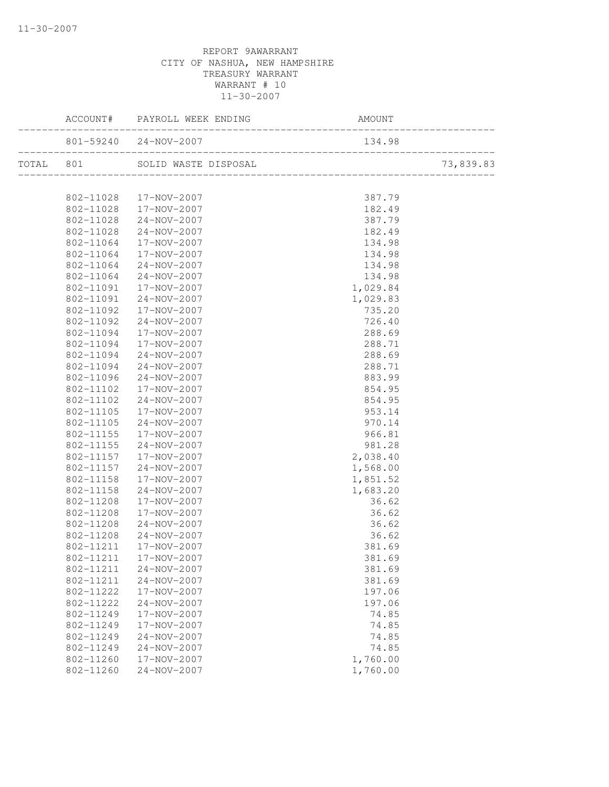|           |           | ACCOUNT# PAYROLL WEEK ENDING | AMOU<br>-------------------------<br>AMOUNT |           |
|-----------|-----------|------------------------------|---------------------------------------------|-----------|
|           |           | 801-59240 24-NOV-2007        | 134.98                                      |           |
| TOTAL 801 |           |                              |                                             | 73,839.83 |
|           |           |                              |                                             |           |
|           |           | 802-11028  17-NOV-2007       | 387.79                                      |           |
|           | 802-11028 | 17-NOV-2007                  | 182.49                                      |           |
|           | 802-11028 | 24-NOV-2007                  | 387.79                                      |           |
|           | 802-11028 | 24-NOV-2007                  | 182.49                                      |           |
|           | 802-11064 | 17-NOV-2007                  | 134.98                                      |           |
|           | 802-11064 | 17-NOV-2007                  | 134.98                                      |           |
|           | 802-11064 | 24-NOV-2007                  | 134.98                                      |           |
|           | 802-11064 | 24-NOV-2007                  | 134.98                                      |           |
|           | 802-11091 | 17-NOV-2007                  | 1,029.84                                    |           |
|           | 802-11091 | 24-NOV-2007                  | 1,029.83                                    |           |
|           | 802-11092 | 17-NOV-2007                  | 735.20                                      |           |
|           | 802-11092 | 24-NOV-2007                  | 726.40                                      |           |
|           | 802-11094 | 17-NOV-2007                  | 288.69                                      |           |
|           | 802-11094 | 17-NOV-2007                  | 288.71                                      |           |
|           | 802-11094 | 24-NOV-2007                  | 288.69                                      |           |
|           | 802-11094 | $24 - NOV - 2007$            | 288.71                                      |           |
|           | 802-11096 | 24-NOV-2007                  | 883.99                                      |           |
|           | 802-11102 | 17-NOV-2007                  | 854.95                                      |           |
|           | 802-11102 | 24-NOV-2007                  | 854.95                                      |           |
|           | 802-11105 | 17-NOV-2007                  | 953.14                                      |           |
|           | 802-11105 | 24-NOV-2007                  | 970.14                                      |           |
|           | 802-11155 | 17-NOV-2007                  | 966.81                                      |           |
|           | 802-11155 | $24 - NOV - 2007$            | 981.28                                      |           |
|           | 802-11157 | 17-NOV-2007                  | 2,038.40                                    |           |
|           | 802-11157 | 24-NOV-2007                  | 1,568.00                                    |           |
|           | 802-11158 | 17-NOV-2007                  | 1,851.52                                    |           |
|           | 802-11158 | $24 - NOV - 2007$            | 1,683.20                                    |           |
|           | 802-11208 | 17-NOV-2007                  | 36.62                                       |           |
|           | 802-11208 | 17-NOV-2007                  | 36.62                                       |           |
|           | 802-11208 | 24-NOV-2007                  | 36.62                                       |           |
|           | 802-11208 | 24-NOV-2007                  | 36.62                                       |           |
|           | 802-11211 | 17-NOV-2007                  | 381.69                                      |           |
|           |           | 802-11211  17-NOV-2007       | 381.69                                      |           |
|           | 802-11211 | $24 - NOV - 2007$            | 381.69                                      |           |
|           | 802-11211 | $24 - NOV - 2007$            | 381.69                                      |           |
|           | 802-11222 | 17-NOV-2007                  | 197.06                                      |           |
|           | 802-11222 | 24-NOV-2007                  | 197.06                                      |           |
|           | 802-11249 | 17-NOV-2007                  | 74.85                                       |           |
|           | 802-11249 | 17-NOV-2007                  | 74.85                                       |           |
|           | 802-11249 | 24-NOV-2007                  | 74.85                                       |           |
|           | 802-11249 | 24-NOV-2007                  | 74.85                                       |           |
|           | 802-11260 | 17-NOV-2007                  | 1,760.00                                    |           |
|           | 802-11260 | $24 - NOV - 2007$            | 1,760.00                                    |           |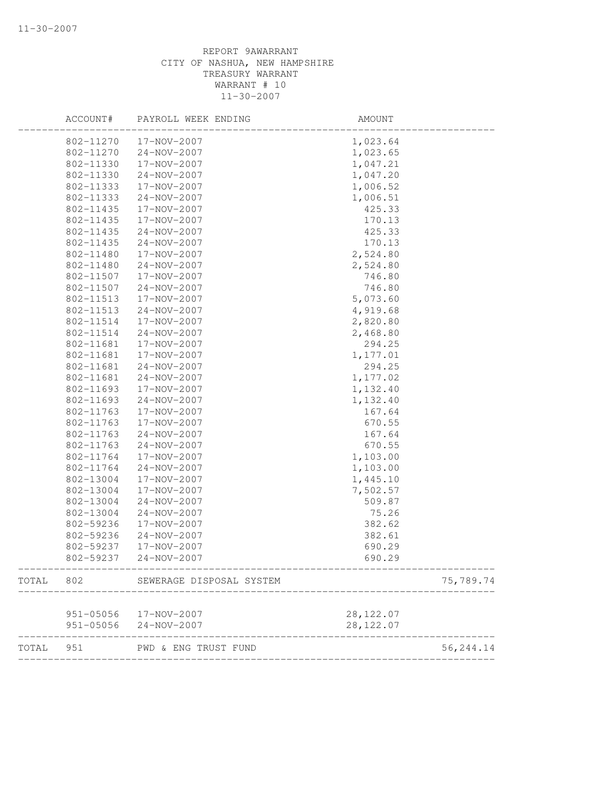|       | ACCOUNT#      | PAYROLL WEEK ENDING      | AMOUNT     |            |
|-------|---------------|--------------------------|------------|------------|
|       | 802-11270     | 17-NOV-2007              | 1,023.64   |            |
|       | 802-11270     | 24-NOV-2007              | 1,023.65   |            |
|       | 802-11330     | 17-NOV-2007              | 1,047.21   |            |
|       | 802-11330     | $24 - NOV - 2007$        | 1,047.20   |            |
|       | 802-11333     | 17-NOV-2007              | 1,006.52   |            |
|       | 802-11333     | 24-NOV-2007              | 1,006.51   |            |
|       | 802-11435     | 17-NOV-2007              | 425.33     |            |
|       | 802-11435     | 17-NOV-2007              | 170.13     |            |
|       | 802-11435     | 24-NOV-2007              | 425.33     |            |
|       | 802-11435     | 24-NOV-2007              | 170.13     |            |
|       | 802-11480     | 17-NOV-2007              | 2,524.80   |            |
|       | 802-11480     | 24-NOV-2007              | 2,524.80   |            |
|       | 802-11507     | 17-NOV-2007              | 746.80     |            |
|       | 802-11507     | 24-NOV-2007              | 746.80     |            |
|       | 802-11513     | 17-NOV-2007              | 5,073.60   |            |
|       | 802-11513     | 24-NOV-2007              | 4,919.68   |            |
|       | 802-11514     | 17-NOV-2007              | 2,820.80   |            |
|       | 802-11514     | 24-NOV-2007              | 2,468.80   |            |
|       | 802-11681     | 17-NOV-2007              | 294.25     |            |
|       | 802-11681     | 17-NOV-2007              | 1,177.01   |            |
|       | 802-11681     | 24-NOV-2007              | 294.25     |            |
|       | 802-11681     | 24-NOV-2007              | 1,177.02   |            |
|       | 802-11693     | 17-NOV-2007              | 1,132.40   |            |
|       | 802-11693     | 24-NOV-2007              | 1,132.40   |            |
|       | 802-11763     | 17-NOV-2007              | 167.64     |            |
|       | 802-11763     | 17-NOV-2007              | 670.55     |            |
|       | 802-11763     | 24-NOV-2007              | 167.64     |            |
|       | 802-11763     | 24-NOV-2007              | 670.55     |            |
|       | 802-11764     | 17-NOV-2007              | 1,103.00   |            |
|       | 802-11764     | 24-NOV-2007              | 1,103.00   |            |
|       | 802-13004     | 17-NOV-2007              | 1,445.10   |            |
|       | 802-13004     | 17-NOV-2007              | 7,502.57   |            |
|       | 802-13004     | 24-NOV-2007              | 509.87     |            |
|       | 802-13004     | $24 - NOV - 2007$        | 75.26      |            |
|       | 802-59236     | 17-NOV-2007              | 382.62     |            |
|       | 802-59236     | 24-NOV-2007              | 382.61     |            |
|       | 802-59237     | 17-NOV-2007              | 690.29     |            |
|       | 802-59237     | $24 - NOV - 2007$        | 690.29     |            |
| TOTAL | 802           | SEWERAGE DISPOSAL SYSTEM |            | 75,789.74  |
|       |               |                          |            |            |
|       |               | 951-05056  17-NOV-2007   | 28, 122.07 |            |
|       | $951 - 05056$ | $24 - NOV - 2007$        | 28, 122.07 |            |
| TOTAL | 951           | PWD & ENG TRUST FUND     |            | 56, 244.14 |
|       |               |                          |            |            |